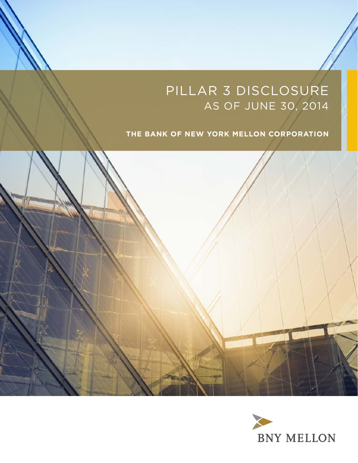# Pillar 3 Disclosure as of June 30, 2014

# **The Bank of New York Mellon Corporation**



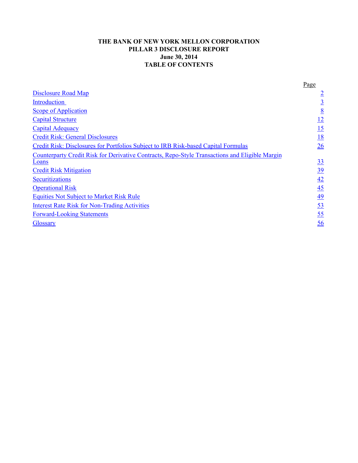## **THE BANK OF NEW YORK MELLON CORPORATION PILLAR 3 DISCLOSURE REPORT June 30, 2014 TABLE OF CONTENTS**

|                                                                                                | Page            |
|------------------------------------------------------------------------------------------------|-----------------|
| <b>Disclosure Road Map</b>                                                                     | $\overline{2}$  |
| Introduction                                                                                   |                 |
| <b>Scope of Application</b>                                                                    | $\underline{8}$ |
| <b>Capital Structure</b>                                                                       | <u>12</u>       |
| <b>Capital Adequacy</b>                                                                        | 15              |
| <b>Credit Risk: General Disclosures</b>                                                        | <u>18</u>       |
| Credit Risk: Disclosures for Portfolios Subject to IRB Risk-based Capital Formulas             | 26              |
| Counterparty Credit Risk for Derivative Contracts, Repo-Style Transactions and Eligible Margin |                 |
| Loans                                                                                          | 33              |
| <b>Credit Risk Mitigation</b>                                                                  | <u>39</u>       |
| <b>Securitizations</b>                                                                         | 42              |
| <b>Operational Risk</b>                                                                        | $\overline{45}$ |
| <b>Equities Not Subject to Market Risk Rule</b>                                                | <u>49</u>       |
| <b>Interest Rate Risk for Non-Trading Activities</b>                                           | 53              |
| <b>Forward-Looking Statements</b>                                                              | <u>55</u>       |
| <b>Glossary</b>                                                                                | 56              |
|                                                                                                |                 |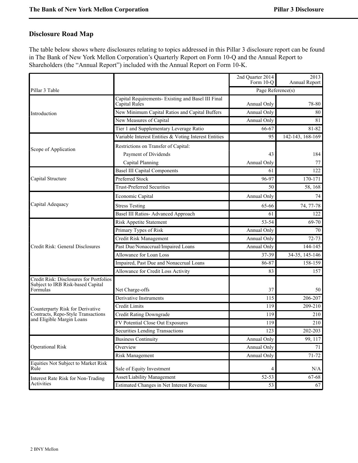# <span id="page-2-0"></span>**Disclosure Road Map**

The table below shows where disclosures relating to topics addressed in this Pillar 3 disclosure report can be found in The Bank of New York Mellon Corporation's Quarterly Report on Form 10-Q and the Annual Report to Shareholders (the "Annual Report") included with the Annual Report on Form 10-K.

|                                                                                          |                                                                                  | 2nd Quarter 2014<br>Form 10-O | 2013<br>Annual Report |  |  |
|------------------------------------------------------------------------------------------|----------------------------------------------------------------------------------|-------------------------------|-----------------------|--|--|
| Pillar 3 Table                                                                           |                                                                                  | Page Reference(s)             |                       |  |  |
|                                                                                          | Capital Requirements- Existing and Basel III Final<br>Capital Rules              | Annual Only                   | 78-80                 |  |  |
| Introduction                                                                             | New Minimum Capital Ratios and Capital Buffers                                   | Annual Only                   | 80                    |  |  |
|                                                                                          | New Measures of Capital                                                          | Annual Only                   | 81                    |  |  |
|                                                                                          | Tier 1 and Supplementary Leverage Ratio                                          | 66-67                         | $81 - 82$             |  |  |
|                                                                                          | Variable Interest Entities & Voting Interest Entities                            | 95                            | 142-143, 168-169      |  |  |
| Scope of Application                                                                     | Restrictions on Transfer of Capital:<br>Payment of Dividends<br>Capital Planning | 43<br>Annual Only             | 184<br>77             |  |  |
|                                                                                          | <b>Basel III Capital Components</b>                                              | 61                            | 122                   |  |  |
| Capital Structure                                                                        | Preferred Stock                                                                  | 96-97                         | 170-171               |  |  |
|                                                                                          | <b>Trust-Preferred Securities</b>                                                | 50                            | 58, 168               |  |  |
|                                                                                          | Economic Capital                                                                 | Annual Only                   | 74                    |  |  |
| Capital Adequacy                                                                         | <b>Stress Testing</b>                                                            | 65-66                         | 74, 77-78             |  |  |
|                                                                                          | Basel III Ratios- Advanced Approach                                              | 61                            | 122                   |  |  |
|                                                                                          | <b>Risk Appetite Statement</b>                                                   | 53-54                         | 69-70                 |  |  |
|                                                                                          | Primary Types of Risk                                                            | Annual Only                   | 70                    |  |  |
|                                                                                          | Credit Risk Management                                                           | Annual Only                   | $72 - 73$             |  |  |
| Credit Risk: General Disclosures                                                         | Past Due/Nonaccrual/Impaired Loans                                               | Annual Only                   | 144-145               |  |  |
|                                                                                          | Allowance for Loan Loss                                                          | 37-39                         | 34-35, 145-146        |  |  |
|                                                                                          | Impaired, Past Due and Nonaccrual Loans                                          | 86-87                         | 158-159               |  |  |
|                                                                                          | Allowance for Credit Loss Activity                                               | 83                            | 157                   |  |  |
| Credit Risk: Disclosures for Portfolios<br>Subject to IRB Risk-based Capital<br>Formulas | Net Charge-offs                                                                  | 37                            | 50                    |  |  |
|                                                                                          | Derivative Instruments                                                           | 115                           | 206-207               |  |  |
| Counterparty Risk for Derivative                                                         | Credit Limits                                                                    | 119                           | 209-210               |  |  |
| Contracts, Repo-Style Transactions                                                       | <b>Credit Rating Downgrade</b>                                                   | 119                           | 210                   |  |  |
| and Eligible Margin Loans                                                                | FV Potential Close Out Exposures                                                 | 119                           | 210                   |  |  |
|                                                                                          | Securities Lending Transactions                                                  | 123                           | 202-203               |  |  |
|                                                                                          | <b>Business Continuity</b>                                                       | Annual Only                   | 99, 117               |  |  |
| <b>Operational Risk</b>                                                                  | Overview                                                                         | Annual Only                   | 71                    |  |  |
|                                                                                          | Risk Management                                                                  | Annual Only                   | $71 - 72$             |  |  |
| Equities Not Subject to Market Risk<br>Rule                                              | Sale of Equity Investment                                                        | 4                             | N/A                   |  |  |
| Interest Rate Risk for Non-Trading                                                       | Asset/Liability Management                                                       | 52-53                         | 67-68                 |  |  |
| Activities                                                                               | Estimated Changes in Net Interest Revenue                                        | 53                            | 67                    |  |  |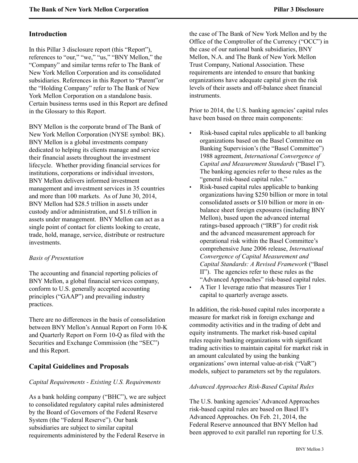## <span id="page-3-0"></span>**Introduction**

In this Pillar 3 disclosure report (this "Report"), references to "our," "we," "us," "BNY Mellon," the "Company" and similar terms refer to The Bank of New York Mellon Corporation and its consolidated subsidiaries. References in this Report to "Parent"or the "Holding Company" refer to The Bank of New York Mellon Corporation on a standalone basis. Certain business terms used in this Report are defined in the Glossary to this Report.

BNY Mellon is the corporate brand of The Bank of New York Mellon Corporation (NYSE symbol: BK). BNY Mellon is a global investments company dedicated to helping its clients manage and service their financial assets throughout the investment lifecycle. Whether providing financial services for institutions, corporations or individual investors, BNY Mellon delivers informed investment management and investment services in 35 countries and more than 100 markets. As of June 30, 2014, BNY Mellon had \$28.5 trillion in assets under custody and/or administration, and \$1.6 trillion in assets under management. BNY Mellon can act as a single point of contact for clients looking to create, trade, hold, manage, service, distribute or restructure investments.

#### *Basis of Presentation*

The accounting and financial reporting policies of BNY Mellon, a global financial services company, conform to U.S. generally accepted accounting principles ("GAAP") and prevailing industry practices.

There are no differences in the basis of consolidation between BNY Mellon's Annual Report on Form 10-K and Quarterly Report on Form 10-Q as filed with the Securities and Exchange Commission (the "SEC") and this Report.

# **Capital Guidelines and Proposals**

## *Capital Requirements - Existing U.S. Requirements*

As a bank holding company ("BHC"), we are subject to consolidated regulatory capital rules administered by the Board of Governors of the Federal Reserve System (the "Federal Reserve"). Our bank subsidiaries are subject to similar capital requirements administered by the Federal Reserve in

the case of The Bank of New York Mellon and by the Office of the Comptroller of the Currency ("OCC") in the case of our national bank subsidiaries, BNY Mellon, N.A. and The Bank of New York Mellon Trust Company, National Association. These requirements are intended to ensure that banking organizations have adequate capital given the risk levels of their assets and off-balance sheet financial instruments.

Prior to 2014, the U.S. banking agencies' capital rules have been based on three main components:

- Risk-based capital rules applicable to all banking organizations based on the Basel Committee on Banking Supervision's (the "Basel Committee") 1988 agreement, *International Convergence of Capital and Measurement Standards* ("Basel I"). The banking agencies refer to these rules as the "general risk-based capital rules."
- Risk-based capital rules applicable to banking organizations having \$250 billion or more in total consolidated assets or \$10 billion or more in onbalance sheet foreign exposures (including BNY Mellon), based upon the advanced internal ratings-based approach ("IRB") for credit risk and the advanced measurement approach for operational risk within the Basel Committee's comprehensive June 2006 release, *International Convergence of Capital Measurement and Capital Standards: A Revised Framework* ("Basel II"). The agencies refer to these rules as the "Advanced Approaches" risk-based capital rules.
- A Tier 1 leverage ratio that measures Tier 1 capital to quarterly average assets.

In addition, the risk-based capital rules incorporate a measure for market risk in foreign exchange and commodity activities and in the trading of debt and equity instruments. The market risk-based capital rules require banking organizations with significant trading activities to maintain capital for market risk in an amount calculated by using the banking organizations' own internal value-at-risk ("VaR") models, subject to parameters set by the regulators.

## *Advanced Approaches Risk-Based Capital Rules*

The U.S. banking agencies'Advanced Approaches risk-based capital rules are based on Basel II's Advanced Approaches. On Feb. 21, 2014, the Federal Reserve announced that BNY Mellon had been approved to exit parallel run reporting for U.S.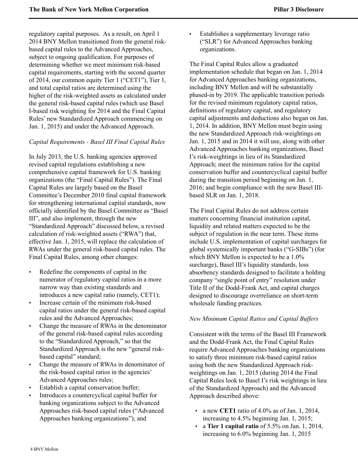regulatory capital purposes. As a result, on April 1 2014 BNY Mellon transitioned from the general riskbased capital rules to the Advanced Approaches, subject to ongoing qualification. For purposes of determining whether we meet minimum risk-based capital requirements, starting with the second quarter of 2014, our common equity Tier 1 ("CET1"), Tier 1, and total capital ratios are determined using the higher of the risk-weighted assets as calculated under the general risk-based capital rules (which use Basel I-based risk weighting for 2014 and the Final Capital Rules' new Standardized Approach commencing on Jan. 1, 2015) and under the Advanced Approach.

## *Capital Requirements - Basel III Final Capital Rules*

In July 2013, the U.S. banking agencies approved revised capital regulations establishing a new comprehensive capital framework for U.S. banking organizations (the "Final Capital Rules"). The Final Capital Rules are largely based on the Basel Committee's December 2010 final capital framework for strengthening international capital standards, now officially identified by the Basel Committee as "Basel III", and also implement, through the new "Standardized Approach" discussed below, a revised calculation of risk-weighted assets ("RWA") that, effective Jan. 1, 2015, will replace the calculation of RWAs under the general risk-based capital rules. The Final Capital Rules, among other changes:

- Redefine the components of capital in the numerator of regulatory capital ratios in a more narrow way than existing standards and introduces a new capital ratio (namely, CET1);
- Increase certain of the minimum risk-based capital ratios under the general risk-based capital rules and the Advanced Approaches;
- Change the measure of RWAs in the denominator of the general risk-based capital rules according to the "Standardized Approach," so that the Standardized Approach is the new "general riskbased capital" standard;
- Change the measure of RWAs in denominator of the risk-based capital ratios in the agencies' Advanced Approaches rules;
- Establish a capital conservation buffer;
- Introduces a countercyclical capital buffer for banking organizations subject to the Advanced Approaches risk-based capital rules ("Advanced Approaches banking organizations"); and

• Establishes a supplementary leverage ratio ("SLR") for Advanced Approaches banking organizations.

The Final Capital Rules allow a graduated implementation schedule that began on Jan. 1, 2014 for Advanced Approaches banking organizations, including BNY Mellon and will be substantially phased-in by 2019. The applicable transition periods for the revised minimum regulatory capital ratios, definitions of regulatory capital, and regulatory capital adjustments and deductions also began on Jan. 1, 2014. In addition, BNY Mellon must begin using the new Standardized Approach risk-weightings on Jan. 1, 2015 and in 2014 it will use, along with other Advanced Approaches banking organizations, Basel I's risk-weightings in lieu of its Standardized Approach; meet the minimum ratios for the capital conservation buffer and countercyclical capital buffer during the transition period beginning on Jan. 1, 2016; and begin compliance with the new Basel IIIbased SLR on Jan. 1, 2018.

The Final Capital Rules do not address certain matters concerning financial institution capital, liquidity and related matters expected to be the subject of regulation in the near term. These items include U.S. implementation of capital surcharges for global systemically important banks ("G-SIBs") (for which BNY Mellon is expected to be a 1.0% surcharge), Basel III's liquidity standards, loss absorbency standards designed to facilitate a holding company "single point of entry" resolution under Title II of the Dodd-Frank Act, and capital charges designed to discourage overreliance on short-term wholesale funding practices.

# *New Minimum Capital Ratios and Capital Buffers*

Consistent with the terms of the Basel III Framework and the Dodd-Frank Act, the Final Capital Rules require Advanced Approaches banking organizations to satisfy three minimum risk-based capital ratios using both the new Standardized Approach riskweightings on Jan. 1, 2015 (during 2014 the Final Capital Rules look to Basel I's risk weightings in lieu of the Standardized Approach) and the Advanced Approach described above:

- a new **CET1** ratio of 4.0% as of Jan. 1, 2014, increasing to 4.5% beginning Jan. 1, 2015;
- a **Tier 1 capital ratio** of 5.5% on Jan. 1, 2014, increasing to 6.0% beginning Jan. 1, 2015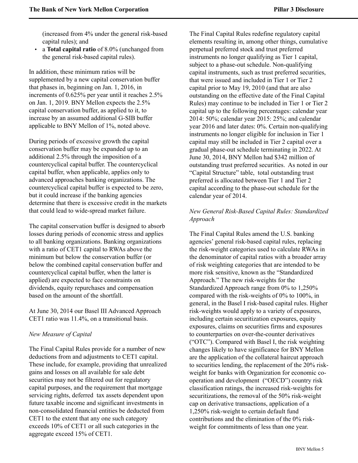(increased from 4% under the general risk-based capital rules); and

• a **Total capital ratio** of 8.0% (unchanged from the general risk-based capital rules).

In addition, these minimum ratios will be supplemented by a new capital conservation buffer that phases in, beginning on Jan. 1, 2016, in increments of 0.625% per year until it reaches 2.5% on Jan. 1, 2019. BNY Mellon expects the 2.5% capital conservation buffer, as applied to it, to increase by an assumed additional G-SIB buffer applicable to BNY Mellon of 1%, noted above.

During periods of excessive growth the capital conservation buffer may be expanded up to an additional 2.5% through the imposition of a countercyclical capital buffer. The countercyclical capital buffer, when applicable, applies only to advanced approaches banking organizations. The countercyclical capital buffer is expected to be zero, but it could increase if the banking agencies determine that there is excessive credit in the markets that could lead to wide-spread market failure.

The capital conservation buffer is designed to absorb losses during periods of economic stress and applies to all banking organizations. Banking organizations with a ratio of CET1 capital to RWAs above the minimum but below the conservation buffer (or below the combined capital conservation buffer and countercyclical capital buffer, when the latter is applied) are expected to face constraints on dividends, equity repurchases and compensation based on the amount of the shortfall.

At June 30, 2014 our Basel III Advanced Approach CET1 ratio was 11.4%, on a transitional basis.

#### *New Measure of Capital*

The Final Capital Rules provide for a number of new deductions from and adjustments to CET1 capital. These include, for example, providing that unrealized gains and losses on all available for sale debt securities may not be filtered out for regulatory capital purposes, and the requirement that mortgage servicing rights, deferred tax assets dependent upon future taxable income and significant investments in non-consolidated financial entities be deducted from CET1 to the extent that any one such category exceeds 10% of CET1 or all such categories in the aggregate exceed 15% of CET1.

The Final Capital Rules redefine regulatory capital elements resulting in, among other things, cumulative perpetual preferred stock and trust preferred instruments no longer qualifying as Tier 1 capital, subject to a phase-out schedule. Non-qualifying capital instruments, such as trust preferred securities, that were issued and included in Tier 1 or Tier 2 capital prior to May 19, 2010 (and that are also outstanding on the effective date of the Final Capital Rules) may continue to be included in Tier 1 or Tier 2 capital up to the following percentages: calendar year 2014: 50%; calendar year 2015: 25%; and calendar year 2016 and later dates: 0%. Certain non-qualifying instruments no longer eligible for inclusion in Tier 1 capital may still be included in Tier 2 capital over a gradual phase-out schedule terminating in 2022. At June 30, 2014, BNY Mellon had \$342 million of outstanding trust preferred securities. As noted in our "Capital Structure" table, total outstanding trust preferred is allocated between Tier 1 and Tier 2 capital according to the phase-out schedule for the calendar year of 2014.

## *New General Risk-Based Capital Rules: Standardized Approach*

The Final Capital Rules amend the U.S. banking agencies' general risk-based capital rules, replacing the risk-weight categories used to calculate RWAs in the denominator of capital ratios with a broader array of risk weighting categories that are intended to be more risk sensitive, known as the "Standardized Approach." The new risk-weights for the Standardized Approach range from 0% to 1,250% compared with the risk-weights of 0% to 100%, in general, in the Basel I risk-based capital rules. Higher risk-weights would apply to a variety of exposures, including certain securitization exposures, equity exposures, claims on securities firms and exposures to counterparties on over-the-counter derivatives ("OTC"). Compared with Basel I, the risk weighting changes likely to have significance for BNY Mellon are the application of the collateral haircut approach to securities lending, the replacement of the 20% riskweight for banks with Organization for economic cooperation and development ("OECD") country risk classification ratings, the increased risk-weights for securitizations, the removal of the 50% risk-weight cap on derivative transactions, application of a 1,250% risk-weight to certain default fund contributions and the elimination of the 0% riskweight for commitments of less than one year.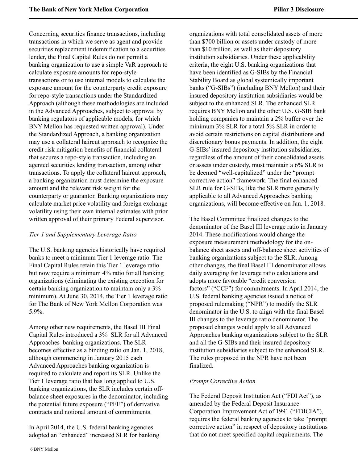Concerning securities finance transactions, including transactions in which we serve as agent and provide securities replacement indemnification to a securities lender, the Final Capital Rules do not permit a banking organization to use a simple VaR approach to calculate exposure amounts for repo-style transactions or to use internal models to calculate the exposure amount for the counterparty credit exposure for repo-style transactions under the Standardized Approach (although these methodologies are included in the Advanced Approaches, subject to approval by banking regulators of applicable models, for which BNY Mellon has requested written approval). Under the Standardized Approach, a banking organization may use a collateral haircut approach to recognize the credit risk mitigation benefits of financial collateral that secures a repo-style transaction, including an agented securities lending transaction, among other transactions. To apply the collateral haircut approach, a banking organization must determine the exposure amount and the relevant risk weight for the counterparty or guarantor. Banking organizations may calculate market price volatility and foreign exchange volatility using their own internal estimates with prior written approval of their primary Federal supervisor.

## *Tier 1 and Supplementary Leverage Ratio*

The U.S. banking agencies historically have required banks to meet a minimum Tier 1 leverage ratio. The Final Capital Rules retain this Tier 1 leverage ratio but now require a minimum 4% ratio for all banking organizations (eliminating the existing exception for certain banking organization to maintain only a 3% minimum). At June 30, 2014, the Tier 1 leverage ratio for The Bank of New York Mellon Corporation was 5.9%.

Among other new requirements, the Basel III Final Capital Rules introduced a 3% SLR for all Advanced Approaches banking organizations. The SLR becomes effective as a binding ratio on Jan. 1, 2018, although commencing in January 2015 each Advanced Approaches banking organization is required to calculate and report its SLR. Unlike the Tier 1 leverage ratio that has long applied to U.S. banking organizations, the SLR includes certain offbalance sheet exposures in the denominator, including the potential future exposure ("PFE") of derivative contracts and notional amount of commitments.

In April 2014, the U.S. federal banking agencies adopted an "enhanced" increased SLR for banking organizations with total consolidated assets of more than \$700 billion or assets under custody of more than \$10 trillion, as well as their depository institution subsidiaries. Under these applicability criteria, the eight U.S. banking organizations that have been identified as G-SIBs by the Financial Stability Board as global systemically important banks ("G-SIBs") (including BNY Mellon) and their insured depository institution subsidiaries would be subject to the enhanced SLR. The enhanced SLR requires BNY Mellon and the other U.S. G-SIB bank holding companies to maintain a 2% buffer over the minimum 3% SLR for a total 5% SLR in order to avoid certain restrictions on capital distributions and discretionary bonus payments. In addition, the eight G-SIBs' insured depository institution subsidiaries, regardless of the amount of their consolidated assets or assets under custody, must maintain a 6% SLR to be deemed "well-capitalized" under the "prompt corrective action" framework. The final enhanced SLR rule for G-SIBs, like the SLR more generally applicable to all Advanced Approaches banking organizations, will become effective on Jan. 1, 2018.

The Basel Committee finalized changes to the denominator of the Basel III leverage ratio in January 2014. These modifications would change the exposure measurement methodology for the onbalance sheet assets and off-balance sheet activities of banking organizations subject to the SLR. Among other changes, the final Basel III denominator allows daily averaging for leverage ratio calculations and adopts more favorable "credit conversion factors" ("CCF") for commitments. In April 2014, the U.S. federal banking agencies issued a notice of proposed rulemaking ("NPR") to modify the SLR denominator in the U.S. to align with the final Basel III changes to the leverage ratio denominator. The proposed changes would apply to all Advanced Approaches banking organizations subject to the SLR and all the G-SIBs and their insured depository institution subsidiaries subject to the enhanced SLR. The rules proposed in the NPR have not been finalized.

## *Prompt Corrective Action*

The Federal Deposit Institution Act ("FDI Act"), as amended by the Federal Deposit Insurance Corporation Improvement Act of 1991 ("FDICIA"), requires the federal banking agencies to take "prompt corrective action" in respect of depository institutions that do not meet specified capital requirements. The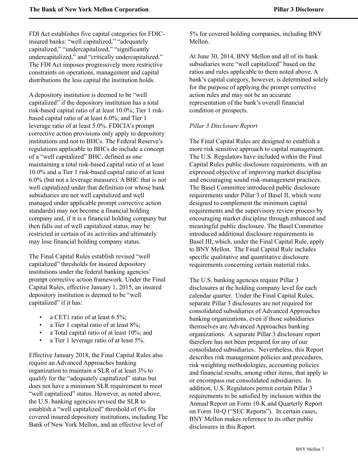FDI Act establishes five capital categories for FDICinsured banks: "well capitalized," "adequately capitalized," "undercapitalized," "significantly undercapitalized," and "critically undercapitalized." The FDI Act imposes progressively more restrictive constraints on operations, management and capital distributions the less capital the institution holds.

A depository institution is deemed to be "well capitalized" if the depository institution has a total risk-based capital ratio of at least 10.0%; Tier 1 riskbased capital ratio of at least 6.0%; and Tier 1 leverage ratio of at least 5.0%. FDICIA's prompt corrective action provisions only apply to depository institutions and not to BHCs. The Federal Reserve's regulations applicable to BHCs do include a concept of a "well capitalized" BHC, defined as one maintaining a total risk-based capital ratio of at least 10.0% and a Tier 1 risk-based capital ratio of at least 6.0% (but not a leverage measure). A BHC that is not well capitalized under that definition (or whose bank subsidiaries are not well capitalized and well managed under applicable prompt corrective action standards) may not become a financial holding company and, if it is a financial holding company but then falls out of well capitalized status, may be restricted in certain of its activities and ultimately may lose financial holding company status.

The Final Capital Rules establish revised "well capitalized" thresholds for insured depository institutions under the federal banking agencies' prompt corrective action framework. Under the Final Capital Rules, effective January 1, 2015, an insured depository institution is deemed to be "well capitalized" if it has:

- a CET1 ratio of at least 6.5%;
- a Tier 1 capital ratio of at least 8%;
- a Total capital ratio of at least 10%; and
- a Tier 1 leverage ratio of at least 5%.

Effective January 2018, the Final Capital Rules also require an Advanced Approaches banking organization to maintain a SLR of at least 3% to qualify for the "adequately capitalized" status but does not have a minimum SLR requirement to meet "well capitalized" status. However, as noted above, the U.S. banking agencies revised the SLR to establish a "well capitalized" threshold of 6% for covered insured depository institutions, including The Bank of New York Mellon, and an effective level of

5% for covered holding companies, including BNY Mellon.

At June 30, 2014, BNY Mellon and all of its bank subsidiaries were "well capitalized" based on the ratios and rules applicable to them noted above. A bank's capital category, however, is determined solely for the purpose of applying the prompt corrective action rules and may not be an accurate representation of the bank's overall financial condition or prospects.

## *Pillar 3 Disclosure Report*

The Final Capital Rules are designed to establish a more risk sensitive approach to capital management. The U.S. Regulators have included within the Final Capital Rules public disclosure requirements, with an expressed objective of improving market discipline and encouraging sound risk-management practices. The Basel Committee introduced public disclosure requirements under Pillar 3 of Basel II, which were designed to complement the minimum capital requirements and the supervisory review process by encouraging market discipline through enhanced and meaningful public disclosure. The Basel Committee introduced additional disclosure requirements in Basel III, which, under the Final Capital Rule, apply to BNY Mellon. The Final Capital Rule includes specific qualitative and quantitative disclosure requirements concerning certain material risks.

The U.S. banking agencies require Pillar 3 disclosures at the holding company level for each calendar quarter. Under the Final Capital Rules, separate Pillar 3 disclosures are not required for consolidated subsidiaries of Advanced Approaches banking organizations, even if those subsidiaries themselves are Advanced Approaches banking organizations. A separate Pillar 3 disclosure report therefore has not been prepared for any of our consolidated subsidiaries. Nevertheless, this Report describes risk management policies and procedures, risk weighting methodologies, accounting policies and financial results, among other items, that apply to or encompass our consolidated subsidiaries. In addition, U.S. Regulators permit certain Pillar 3 requirements to be satisfied by inclusion within the Annual Report on Form 10-K and Quarterly Report on Form 10-Q ("SEC Reports"). In certain cases, BNY Mellon makes reference to its other public disclosures in this Report.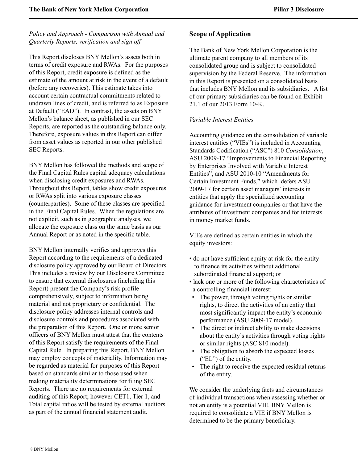*Policy and Approach - Comparison with Annual and Quarterly Reports, verification and sign off* 

This Report discloses BNY Mellon's assets both in terms of credit exposure and RWAs. For the purposes of this Report, credit exposure is defined as the estimate of the amount at risk in the event of a default (before any recoveries). This estimate takes into account certain contractual commitments related to undrawn lines of credit, and is referred to as Exposure at Default ("EAD"). In contrast, the assets on BNY Mellon's balance sheet, as published in our SEC Reports, are reported as the outstanding balance only. Therefore, exposure values in this Report can differ from asset values as reported in our other published SEC Reports.

BNY Mellon has followed the methods and scope of the Final Capital Rules capital adequacy calculations when disclosing credit exposures and RWAs. Throughout this Report, tables show credit exposures or RWAs split into various exposure classes (counterparties). Some of these classes are specified in the Final Capital Rules. When the regulations are not explicit, such as in geographic analyses, we allocate the exposure class on the same basis as our Annual Report or as noted in the specific table.

<span id="page-8-0"></span>BNY Mellon internally verifies and approves this Report according to the requirements of a dedicated disclosure policy approved by our Board of Directors. This includes a review by our Disclosure Committee to ensure that external disclosures (including this Report) present the Company's risk profile comprehensively, subject to information being material and not proprietary or confidential. The disclosure policy addresses internal controls and disclosure controls and procedures associated with the preparation of this Report. One or more senior officers of BNY Mellon must attest that the contents of this Report satisfy the requirements of the Final Capital Rule. In preparing this Report, BNY Mellon may employ concepts of materiality. Information may be regarded as material for purposes of this Report based on standards similar to those used when making materiality determinations for filing SEC Reports. There are no requirements for external auditing of this Report; however CET1, Tier 1, and Total capital ratios will be tested by external auditors as part of the annual financial statement audit.

## **Scope of Application**

The Bank of New York Mellon Corporation is the ultimate parent company to all members of its consolidated group and is subject to consolidated supervision by the Federal Reserve. The information in this Report is presented on a consolidated basis that includes BNY Mellon and its subsidiaries. A list of our primary subsidiaries can be found on Exhibit 21.1 of our 2013 Form 10-K.

## *Variable Interest Entities*

Accounting guidance on the consolidation of variable interest entities ("VIEs") is included in Accounting Standards Codification ("ASC") 810 *Consolidation*, ASU 2009-17 "Improvements to Financial Reporting by Enterprises Involved with Variable Interest Entities", and ASU 2010-10 "Amendments for Certain Investment Funds," which defers ASU 2009-17 for certain asset managers' interests in entities that apply the specialized accounting guidance for investment companies or that have the attributes of investment companies and for interests in money market funds.

VIEs are defined as certain entities in which the equity investors:

- do not have sufficient equity at risk for the entity to finance its activities without additional subordinated financial support; or
- lack one or more of the following characteristics of a controlling financial interest:
- The power, through voting rights or similar rights, to direct the activities of an entity that most significantly impact the entity's economic performance (ASU 2009-17 model).
- The direct or indirect ability to make decisions about the entity's activities through voting rights or similar rights (ASC 810 model).
- The obligation to absorb the expected losses ("EL") of the entity.
- The right to receive the expected residual returns of the entity.

We consider the underlying facts and circumstances of individual transactions when assessing whether or not an entity is a potential VIE. BNY Mellon is required to consolidate a VIE if BNY Mellon is determined to be the primary beneficiary.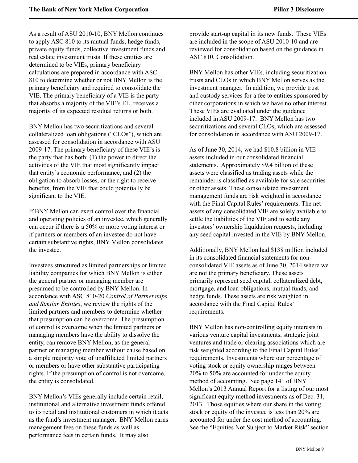As a result of ASU 2010-10, BNY Mellon continues to apply ASC 810 to its mutual funds, hedge funds, private equity funds, collective investment funds and real estate investment trusts. If these entities are determined to be VIEs, primary beneficiary calculations are prepared in accordance with ASC 810 to determine whether or not BNY Mellon is the primary beneficiary and required to consolidate the VIE. The primary beneficiary of a VIE is the party that absorbs a majority of the VIE's EL, receives a majority of its expected residual returns or both.

BNY Mellon has two securitizations and several collateralized loan obligations ("CLOs"), which are assessed for consolidation in accordance with ASU 2009-17. The primary beneficiary of these VIE's is the party that has both: (1) the power to direct the activities of the VIE that most significantly impact that entity's economic performance, and (2) the obligation to absorb losses, or the right to receive benefits, from the VIE that could potentially be significant to the VIE.

If BNY Mellon can exert control over the financial and operating policies of an investee, which generally can occur if there is a 50% or more voting interest or if partners or members of an investee do not have certain substantive rights, BNY Mellon consolidates the investee.

Investees structured as limited partnerships or limited liability companies for which BNY Mellon is either the general partner or managing member are presumed to be controlled by BNY Mellon. In accordance with ASC 810-20 *Control of Partnerships and Similar Entities*, we review the rights of the limited partners and members to determine whether that presumption can be overcome. The presumption of control is overcome when the limited partners or managing members have the ability to dissolve the entity, can remove BNY Mellon, as the general partner or managing member without cause based on a simple majority vote of unaffiliated limited partners or members or have other substantive participating rights. If the presumption of control is not overcome, the entity is consolidated.

BNY Mellon's VIEs generally include certain retail, institutional and alternative investment funds offered to its retail and institutional customers in which it acts as the fund's investment manager. BNY Mellon earns management fees on these funds as well as performance fees in certain funds. It may also

provide start-up capital in its new funds. These VIEs are included in the scope of ASU 2010-10 and are reviewed for consolidation based on the guidance in ASC 810, Consolidation.

BNY Mellon has other VIEs, including securitization trusts and CLOs in which BNY Mellon serves as the investment manager. In addition, we provide trust and custody services for a fee to entities sponsored by other corporations in which we have no other interest. These VIEs are evaluated under the guidance included in ASU 2009-17. BNY Mellon has two securitizations and several CLOs, which are assessed for consolidation in accordance with ASU 2009-17.

As of June 30, 2014, we had \$10.8 billion in VIE assets included in our consolidated financial statements. Approximately \$9.4 billion of these assets were classified as trading assets while the remainder is classified as available for sale securities or other assets. These consolidated investment management funds are risk weighted in accordance with the Final Capital Rules' requirements. The net assets of any consolidated VIE are solely available to settle the liabilities of the VIE and to settle any investors' ownership liquidation requests, including any seed capital invested in the VIE by BNY Mellon.

Additionally, BNY Mellon had \$138 million included in its consolidated financial statements for nonconsolidated VIE assets as of June 30, 2014 where we are not the primary beneficiary. These assets primarily represent seed capital, collateralized debt, mortgage, and loan obligations, mutual funds, and hedge funds. These assets are risk weighted in accordance with the Final Capital Rules' requirements.

BNY Mellon has non-controlling equity interests in various venture capital investments, strategic joint ventures and trade or clearing associations which are risk weighted according to the Final Capital Rules' requirements. Investments where our percentage of voting stock or equity ownership ranges between 20% to 50% are accounted for under the equity method of accounting. See page 141 of BNY Mellon's 2013 Annual Report for a listing of our most significant equity method investments as of Dec. 31, 2013. Those equities where our share in the voting stock or equity of the investee is less than 20% are accounted for under the cost method of accounting. See the "Equities Not Subject to Market Risk" section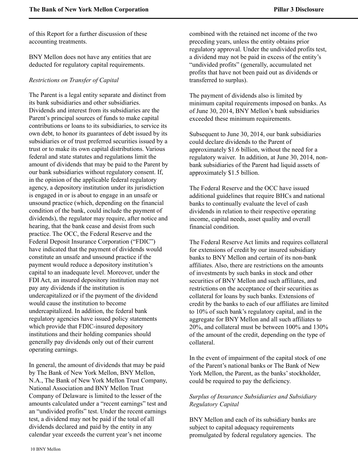of this Report for a further discussion of these accounting treatments.

BNY Mellon does not have any entities that are deducted for regulatory capital requirements.

#### *Restrictions on Transfer of Capital*

The Parent is a legal entity separate and distinct from its bank subsidiaries and other subsidiaries. Dividends and interest from its subsidiaries are the Parent's principal sources of funds to make capital contributions or loans to its subsidiaries, to service its own debt, to honor its guarantees of debt issued by its subsidiaries or of trust preferred securities issued by a trust or to make its own capital distributions. Various federal and state statutes and regulations limit the amount of dividends that may be paid to the Parent by our bank subsidiaries without regulatory consent. If, in the opinion of the applicable federal regulatory agency, a depository institution under its jurisdiction is engaged in or is about to engage in an unsafe or unsound practice (which, depending on the financial condition of the bank, could include the payment of dividends), the regulator may require, after notice and hearing, that the bank cease and desist from such practice. The OCC, the Federal Reserve and the Federal Deposit Insurance Corporation ("FDIC") have indicated that the payment of dividends would constitute an unsafe and unsound practice if the payment would reduce a depository institution's capital to an inadequate level. Moreover, under the FDI Act, an insured depository institution may not pay any dividends if the institution is undercapitalized or if the payment of the dividend would cause the institution to become undercapitalized. In addition, the federal bank regulatory agencies have issued policy statements which provide that FDIC-insured depository institutions and their holding companies should generally pay dividends only out of their current operating earnings.

In general, the amount of dividends that may be paid by The Bank of New York Mellon, BNY Mellon, N.A., The Bank of New York Mellon Trust Company, National Association and BNY Mellon Trust Company of Delaware is limited to the lesser of the amounts calculated under a "recent earnings" test and an "undivided profits" test. Under the recent earnings test, a dividend may not be paid if the total of all dividends declared and paid by the entity in any calendar year exceeds the current year's net income

combined with the retained net income of the two preceding years, unless the entity obtains prior regulatory approval. Under the undivided profits test, a dividend may not be paid in excess of the entity's "undivided profits" (generally, accumulated net profits that have not been paid out as dividends or transferred to surplus).

The payment of dividends also is limited by minimum capital requirements imposed on banks. As of June 30, 2014, BNY Mellon's bank subsidiaries exceeded these minimum requirements.

Subsequent to June 30, 2014, our bank subsidiaries could declare dividends to the Parent of approximately \$1.6 billion, without the need for a regulatory waiver. In addition, at June 30, 2014, nonbank subsidiaries of the Parent had liquid assets of approximately \$1.5 billion.

The Federal Reserve and the OCC have issued additional guidelines that require BHCs and national banks to continually evaluate the level of cash dividends in relation to their respective operating income, capital needs, asset quality and overall financial condition.

The Federal Reserve Act limits and requires collateral for extensions of credit by our insured subsidiary banks to BNY Mellon and certain of its non-bank affiliates. Also, there are restrictions on the amounts of investments by such banks in stock and other securities of BNY Mellon and such affiliates, and restrictions on the acceptance of their securities as collateral for loans by such banks. Extensions of credit by the banks to each of our affiliates are limited to 10% of such bank's regulatory capital, and in the aggregate for BNY Mellon and all such affiliates to 20%, and collateral must be between 100% and 130% of the amount of the credit, depending on the type of collateral.

In the event of impairment of the capital stock of one of the Parent's national banks or The Bank of New York Mellon, the Parent, as the banks' stockholder, could be required to pay the deficiency.

## *Surplus of Insurance Subsidiaries and Subsidiary Regulatory Capital*

BNY Mellon and each of its subsidiary banks are subject to capital adequacy requirements promulgated by federal regulatory agencies. The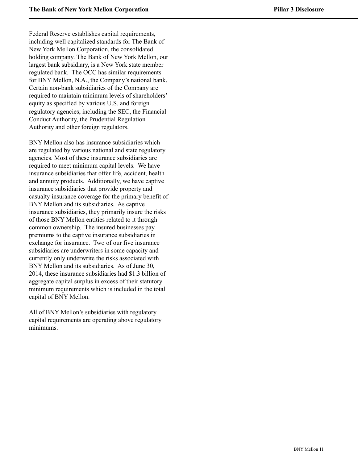Federal Reserve establishes capital requirements, including well capitalized standards for The Bank of New York Mellon Corporation, the consolidated holding company. The Bank of New York Mellon, our largest bank subsidiary, is a New York state member regulated bank. The OCC has similar requirements for BNY Mellon, N.A., the Company's national bank. Certain non-bank subsidiaries of the Company are required to maintain minimum levels of shareholders' equity as specified by various U.S. and foreign regulatory agencies, including the SEC, the Financial Conduct Authority, the Prudential Regulation Authority and other foreign regulators.

BNY Mellon also has insurance subsidiaries which are regulated by various national and state regulatory agencies. Most of these insurance subsidiaries are required to meet minimum capital levels. We have insurance subsidiaries that offer life, accident, health and annuity products. Additionally, we have captive insurance subsidiaries that provide property and casualty insurance coverage for the primary benefit of BNY Mellon and its subsidiaries. As captive insurance subsidiaries, they primarily insure the risks of those BNY Mellon entities related to it through common ownership. The insured businesses pay premiums to the captive insurance subsidiaries in exchange for insurance. Two of our five insurance subsidiaries are underwriters in some capacity and currently only underwrite the risks associated with BNY Mellon and its subsidiaries. As of June 30, 2014, these insurance subsidiaries had \$1.3 billion of aggregate capital surplus in excess of their statutory minimum requirements which is included in the total capital of BNY Mellon.

All of BNY Mellon's subsidiaries with regulatory capital requirements are operating above regulatory minimums.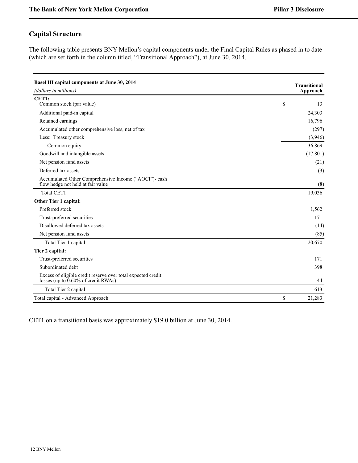# <span id="page-12-0"></span>**Capital Structure**

The following table presents BNY Mellon's capital components under the Final Capital Rules as phased in to date (which are set forth in the column titled, "Transitional Approach"), at June 30, 2014.

| Basel III capital components at June 30, 2014                                                       | <b>Transitional</b> |
|-----------------------------------------------------------------------------------------------------|---------------------|
| (dollars in millions)                                                                               | Approach            |
| CET1:                                                                                               |                     |
| Common stock (par value)                                                                            | \$<br>13            |
| Additional paid-in capital                                                                          | 24,303              |
| Retained earnings                                                                                   | 16,796              |
| Accumulated other comprehensive loss, net of tax                                                    | (297)               |
| Less: Treasury stock                                                                                | (3,946)             |
| Common equity                                                                                       | 36,869              |
| Goodwill and intangible assets                                                                      | (17, 801)           |
| Net pension fund assets                                                                             | (21)                |
| Deferred tax assets                                                                                 | (3)                 |
| Accumulated Other Comprehensive Income ("AOCI")- cash<br>flow hedge not held at fair value          | (8)                 |
| <b>Total CET1</b>                                                                                   | 19,036              |
| Other Tier 1 capital:                                                                               |                     |
| Preferred stock                                                                                     | 1,562               |
| Trust-preferred securities                                                                          | 171                 |
| Disallowed deferred tax assets                                                                      | (14)                |
| Net pension fund assets                                                                             | (85)                |
| Total Tier 1 capital                                                                                | 20,670              |
| Tier 2 capital:                                                                                     |                     |
| Trust-preferred securities                                                                          | 171                 |
| Subordinated debt                                                                                   | 398                 |
| Excess of eligible credit reserve over total expected credit<br>losses (up to 0.60% of credit RWAs) | 44                  |
| Total Tier 2 capital                                                                                | 613                 |
| Total capital - Advanced Approach                                                                   | \$<br>21,283        |

CET1 on a transitional basis was approximately \$19.0 billion at June 30, 2014.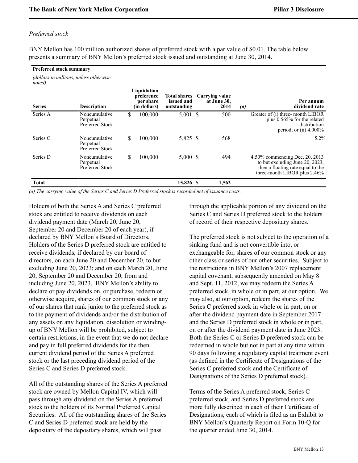#### *Preferred stock*

*noted)*

BNY Mellon has 100 million authorized shares of preferred stock with a par value of \$0.01. The table below presents a summary of BNY Mellon's preferred stock issued and outstanding at June 30, 2014.

#### **Preferred stock summary**

*(dollars in millions, unless otherwise*

| <b>Series</b> | <b>Description</b>                            |    | Liquidation<br>preference<br>per share<br>(in dollars) | <b>Total shares</b><br>issued and<br>outstanding | Carrying value<br>at June 30,<br>2014 | $\left( a\right)$ | Per annum<br>dividend rate                                                                                                             |
|---------------|-----------------------------------------------|----|--------------------------------------------------------|--------------------------------------------------|---------------------------------------|-------------------|----------------------------------------------------------------------------------------------------------------------------------------|
| Series A      | Noncumulative<br>Perpetual<br>Preferred Stock | \$ | 100,000                                                | $5,001$ \$                                       | 500                                   |                   | Greater of (i) three-month LIBOR<br>plus $0.565\%$ for the related<br>distribution<br>period; or (ii) $4.000\%$                        |
| Series C      | Noncumulative<br>Perpetual<br>Preferred Stock | S  | 100,000                                                | 5,825 \$                                         | 568                                   |                   | $5.2\%$                                                                                                                                |
| Series D      | Noncumulative<br>Perpetual<br>Preferred Stock | S  | 100,000                                                | $5,000 \text{ }$ \$                              | 494                                   |                   | 4.50% commencing Dec. 20, 2013<br>to but excluding June 20, 2023,<br>then a floating rate equal to the<br>three-month LIBOR plus 2.46% |
| <b>Total</b>  |                                               |    |                                                        | 15.826 \$                                        | 1,562                                 |                   |                                                                                                                                        |

*(a) The carrying value of the Series C and Series D Preferred stock is recorded net of issuance costs.*

Holders of both the Series A and Series C preferred stock are entitled to receive dividends on each dividend payment date (March 20, June 20, September 20 and December 20 of each year), if declared by BNY Mellon's Board of Directors. Holders of the Series D preferred stock are entitled to receive dividends, if declared by our board of directors, on each June 20 and December 20, to but excluding June 20, 2023; and on each March 20, June 20, September 20 and December 20, from and including June 20, 2023. BNY Mellon's ability to declare or pay dividends on, or purchase, redeem or otherwise acquire, shares of our common stock or any of our shares that rank junior to the preferred stock as to the payment of dividends and/or the distribution of any assets on any liquidation, dissolution or windingup of BNY Mellon will be prohibited, subject to certain restrictions, in the event that we do not declare and pay in full preferred dividends for the then current dividend period of the Series A preferred stock or the last preceding dividend period of the Series C and Series D preferred stock.

All of the outstanding shares of the Series A preferred stock are owned by Mellon Capital IV, which will pass through any dividend on the Series A preferred stock to the holders of its Normal Preferred Capital Securities. All of the outstanding shares of the Series C and Series D preferred stock are held by the depositary of the depositary shares, which will pass

through the applicable portion of any dividend on the Series C and Series D preferred stock to the holders of record of their respective depositary shares.

The preferred stock is not subject to the operation of a sinking fund and is not convertible into, or exchangeable for, shares of our common stock or any other class or series of our other securities. Subject to the restrictions in BNY Mellon's 2007 replacement capital covenant, subsequently amended on May 8 and Sept. 11, 2012, we may redeem the Series A preferred stock, in whole or in part, at our option. We may also, at our option, redeem the shares of the Series C preferred stock in whole or in part, on or after the dividend payment date in September 2017 and the Series D preferred stock in whole or in part, on or after the dividend payment date in June 2023. Both the Series C or Series D preferred stock can be redeemed in whole but not in part at any time within 90 days following a regulatory capital treatment event (as defined in the Certificate of Designations of the Series C preferred stock and the Certificate of Designations of the Series D preferred stock).

Terms of the Series A preferred stock, Series C preferred stock, and Series D preferred stock are more fully described in each of their Certificate of Designations, each of which is filed as an Exhibit to BNY Mellon's Quarterly Report on Form 10-Q for the quarter ended June 30, 2014.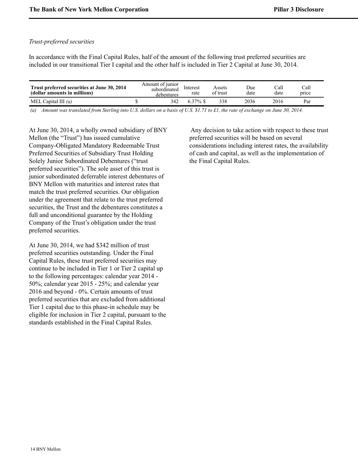### *Trust-preferred securities*

In accordance with the Final Capital Rules, half of the amount of the following trust preferred securities are included in our transitional Tier I capital and the other half is included in Tier 2 Capital at June 30, 2014.

| Trust preferred securities at June 30, 2014<br>(dollar amounts in millions) | Amount of junior<br>subordinated<br>debentures | Interest<br>rate | Assets<br>of trust | Due<br>date | Call<br>date | Call<br>price |
|-----------------------------------------------------------------------------|------------------------------------------------|------------------|--------------------|-------------|--------------|---------------|
| MEL Capital III $(a)$                                                       | 342                                            | $6.37\%$ \$      |                    | 2036        | 2016         | Par           |

 *(a) Amount was translated from Sterling into U.S. dollars on a basis of U.S. \$1.71 to £1, the rate of exchange on June 30, 2014.*

At June 30, 2014, a wholly owned subsidiary of BNY Mellon (the "Trust") has issued cumulative Company-Obligated Mandatory Redeemable Trust Preferred Securities of Subsidiary Trust Holding Solely Junior Subordinated Debentures ("trust preferred securities"). The sole asset of this trust is junior subordinated deferrable interest debentures of BNY Mellon with maturities and interest rates that match the trust preferred securities. Our obligation under the agreement that relate to the trust preferred securities, the Trust and the debentures constitutes a full and unconditional guarantee by the Holding Company of the Trust's obligation under the trust preferred securities.

At June 30, 2014, we had \$342 million of trust preferred securities outstanding. Under the Final Capital Rules, these trust preferred securities may continue to be included in Tier 1 or Tier 2 capital up to the following percentages: calendar year 2014 - 50%; calendar year 2015 - 25%; and calendar year 2016 and beyond - 0%. Certain amounts of trust preferred securities that are excluded from additional Tier 1 capital due to this phase-in schedule may be eligible for inclusion in Tier 2 capital, pursuant to the standards established in the Final Capital Rules.

Any decision to take action with respect to these trust preferred securities will be based on several considerations including interest rates, the availability of cash and capital, as well as the implementation of the Final Capital Rules.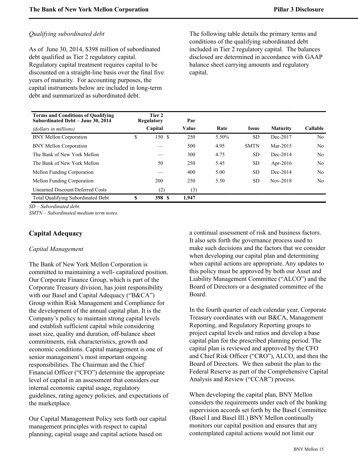## *Qualifying subordinated debt*

As of June 30, 2014, \$398 million of subordinated debt qualified as Tier 2 regulatory capital. Regulatory capital treatment requires capital to be discounted on a straight-line basis over the final five years of maturity. For accounting purposes, the capital instruments below are included in long-term debt and summarized as subordinated debt.

The following table details the primary terms and conditions of the qualifying subordinated debt included in Tier 2 regulatory capital. The balances disclosed are determined in accordance with GAAP balance sheet carrying amounts and regulatory capital.

| <b>Terms and Conditions of Qualifying</b><br>Subordinated Debt - June 30, 2014 |    | Tier 2<br><b>Regulatory</b> | Par   |       |              |                 |                |
|--------------------------------------------------------------------------------|----|-----------------------------|-------|-------|--------------|-----------------|----------------|
| (dollars in millions)                                                          |    | Capital                     | Value | Rate  | <b>Issue</b> | <b>Maturity</b> | Callable       |
| <b>BNY Mellon Corporation</b>                                                  | \$ | 150 \$                      | 250   | 5.50% | <b>SD</b>    | Dec-2017        | N <sub>0</sub> |
| <b>BNY Mellon Corporation</b>                                                  |    |                             | 500   | 4.95  | <b>SMTN</b>  | Mar-2015        | No.            |
| The Bank of New York Mellon                                                    |    |                             | 300   | 4.75  | <b>SD</b>    | Dec-2014        | No.            |
| The Bank of New York Mellon                                                    |    | 50                          | 250   | 5.45  | <b>SD</b>    | Apr-2016        | No.            |
| Mellon Funding Corporation                                                     |    |                             | 400   | 5.00  | <b>SD</b>    | Dec-2014        | No             |
| Mellon Funding Corporation                                                     |    | 200                         | 250   | 5.50  | <b>SD</b>    | Nov-2018        | No.            |
| Unearned Discount/Deferred Costs                                               |    | (2)                         | (3)   |       |              |                 |                |
| <b>Total Qualifying Subordinated Debt</b>                                      | S  | 398 S                       | 1.947 |       |              |                 |                |

*SD – Subordinated debt.*

*SMTN – Subordinated medium term notes.*

# <span id="page-15-0"></span>**Capital Adequacy**

#### *Capital Management*

The Bank of New York Mellon Corporation is committed to maintaining a well- capitalized position. Our Corporate Finance Group, which is part of the Corporate Treasury division, has joint responsibility with our Basel and Capital Adequacy ("B&CA") Group within Risk Management and Compliance for the development of the annual capital plan. It is the Company's policy to maintain strong capital levels and establish sufficient capital while considering asset size, quality and duration, off-balance sheet commitments, risk characteristics, growth and economic conditions. Capital management is one of senior management's most important ongoing responsibilities. The Chairman and the Chief Financial Officer ("CFO") determine the appropriate level of capital in an assessment that considers our internal economic capital usage, regulatory guidelines, rating agency policies, and expectations of the marketplace.

Our Capital Management Policy sets forth our capital management principles with respect to capital planning, capital usage and capital actions based on

a continual assessment of risk and business factors. It also sets forth the governance process used to make such decisions and the factors that we consider when developing our capital plan and determining when capital actions are appropriate. Any updates to this policy must be approved by both our Asset and Liability Management Committee ("ALCO") and the Board of Directors or a designated committee of the Board.

In the fourth quarter of each calendar year, Corporate Treasury coordinates with our B&CA, Management Reporting, and Regulatory Reporting groups to project capital levels and ratios and develop a base capital plan for the prescribed planning period. The capital plan is reviewed and approved by the CFO and Chief Risk Officer ("CRO"), ALCO, and then the Board of Directors. We then submit the plan to the Federal Reserve as part of the Comprehensive Capital Analysis and Review ("CCAR") process.

When developing the capital plan, BNY Mellon considers the requirements under each of the banking supervision accords set forth by the Basel Committee (Basel I and Basel III.) BNY Mellon continually monitors our capital position and ensures that any contemplated capital actions would not limit our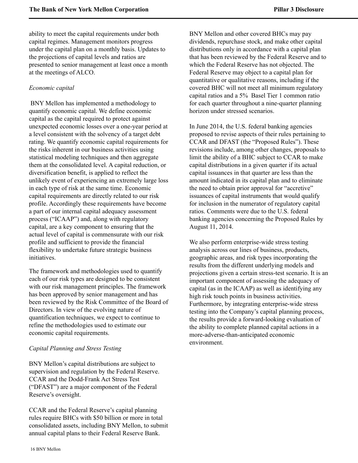ability to meet the capital requirements under both capital regimes. Management monitors progress under the capital plan on a monthly basis. Updates to the projections of capital levels and ratios are presented to senior management at least once a month at the meetings of ALCO.

#### *Economic capital*

 BNY Mellon has implemented a methodology to quantify economic capital. We define economic capital as the capital required to protect against unexpected economic losses over a one-year period at a level consistent with the solvency of a target debt rating. We quantify economic capital requirements for the risks inherent in our business activities using statistical modeling techniques and then aggregate them at the consolidated level. A capital reduction, or diversification benefit, is applied to reflect the unlikely event of experiencing an extremely large loss in each type of risk at the same time. Economic capital requirements are directly related to our risk profile. Accordingly these requirements have become a part of our internal capital adequacy assessment process ("ICAAP") and, along with regulatory capital, are a key component to ensuring that the actual level of capital is commensurate with our risk profile and sufficient to provide the financial flexibility to undertake future strategic business initiatives.

The framework and methodologies used to quantify each of our risk types are designed to be consistent with our risk management principles. The framework has been approved by senior management and has been reviewed by the Risk Committee of the Board of Directors. In view of the evolving nature of quantification techniques, we expect to continue to refine the methodologies used to estimate our economic capital requirements.

#### *Capital Planning and Stress Testing*

BNY Mellon's capital distributions are subject to supervision and regulation by the Federal Reserve. CCAR and the Dodd-Frank Act Stress Test ("DFAST") are a major component of the Federal Reserve's oversight.

CCAR and the Federal Reserve's capital planning rules require BHCs with \$50 billion or more in total consolidated assets, including BNY Mellon, to submit annual capital plans to their Federal Reserve Bank.

BNY Mellon and other covered BHCs may pay dividends, repurchase stock, and make other capital distributions only in accordance with a capital plan that has been reviewed by the Federal Reserve and to which the Federal Reserve has not objected. The Federal Reserve may object to a capital plan for quantitative or qualitative reasons, including if the covered BHC will not meet all minimum regulatory capital ratios and a 5% Basel Tier 1 common ratio for each quarter throughout a nine-quarter planning horizon under stressed scenarios.

In June 2014, the U.S. federal banking agencies proposed to revise aspects of their rules pertaining to CCAR and DFAST (the "Proposed Rules"). These revisions include, among other changes, proposals to limit the ability of a BHC subject to CCAR to make capital distributions in a given quarter if its actual capital issuances in that quarter are less than the amount indicated in its capital plan and to eliminate the need to obtain prior approval for "accretive" issuances of capital instruments that would qualify for inclusion in the numerator of regulatory capital ratios. Comments were due to the U.S. federal banking agencies concerning the Proposed Rules by August 11, 2014.

We also perform enterprise-wide stress testing analysis across our lines of business, products, geographic areas, and risk types incorporating the results from the different underlying models and projections given a certain stress-test scenario. It is an important component of assessing the adequacy of capital (as in the ICAAP) as well as identifying any high risk touch points in business activities. Furthermore, by integrating enterprise-wide stress testing into the Company's capital planning process, the results provide a forward-looking evaluation of the ability to complete planned capital actions in a more-adverse-than-anticipated economic environment.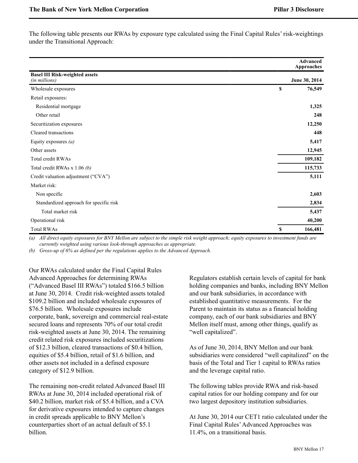The following table presents our RWAs by exposure type calculated using the Final Capital Rules' risk-weightings under the Transitional Approach:

|                                                        |             | <b>Advanced</b><br>Approaches |
|--------------------------------------------------------|-------------|-------------------------------|
| <b>Basel III Risk-weighted assets</b><br>(in millions) |             | June 30, 2014                 |
| Wholesale exposures                                    | \$          | 76,549                        |
| Retail exposures:                                      |             |                               |
| Residential mortgage                                   |             | 1,325                         |
| Other retail                                           |             | 248                           |
| Securitization exposures                               |             | 12,250                        |
| Cleared transactions                                   |             | 448                           |
| Equity exposures $(a)$                                 |             | 5,417                         |
| Other assets                                           |             | 12,945                        |
| Total credit RWAs                                      |             | 109,182                       |
| Total credit RWAs x 1.06 (b)                           |             | 115,733                       |
| Credit valuation adjustment ("CVA")                    |             | 5,111                         |
| Market risk:                                           |             |                               |
| Non specific                                           |             | 2,603                         |
| Standardized approach for specific risk                |             | 2,834                         |
| Total market risk                                      |             | 5,437                         |
| Operational risk                                       |             | 40,200                        |
| <b>Total RWAs</b>                                      | $\mathbf S$ | 166,481                       |

*(a) All direct equity exposures for BNY Mellon are subject to the simple risk weight approach; equity exposures to investment funds are currently weighted using various look-through approaches as appropriate.* 

*(b) Gross-up of 6% as defined per the regulations applies to the Advanced Approach.*

Our RWAs calculated under the Final Capital Rules Advanced Approaches for determining RWAs ("Advanced Basel III RWAs") totaled \$166.5 billion at June 30, 2014. Credit risk-weighted assets totaled \$109.2 billion and included wholesale exposures of \$76.5 billion. Wholesale exposures include corporate, bank, sovereign and commercial real-estate secured loans and represents 70% of our total credit risk-weighted assets at June 30, 2014. The remaining credit related risk exposures included securitizations of \$12.3 billion, cleared transactions of \$0.4 billion, equities of \$5.4 billion, retail of \$1.6 billion, and other assets not included in a defined exposure category of \$12.9 billion.

The remaining non-credit related Advanced Basel III RWAs at June 30, 2014 included operational risk of \$40.2 billion, market risk of \$5.4 billion, and a CVA for derivative exposures intended to capture changes in credit spreads applicable to BNY Mellon's counterparties short of an actual default of \$5.1 billion.

Regulators establish certain levels of capital for bank holding companies and banks, including BNY Mellon and our bank subsidiaries, in accordance with established quantitative measurements. For the Parent to maintain its status as a financial holding company, each of our bank subsidiaries and BNY Mellon itself must, among other things, qualify as "well capitalized".

As of June 30, 2014, BNY Mellon and our bank subsidiaries were considered "well capitalized" on the basis of the Total and Tier 1 capital to RWAs ratios and the leverage capital ratio.

The following tables provide RWA and risk-based capital ratios for our holding company and for our two largest depository institution subsidiaries.

At June 30, 2014 our CET1 ratio calculated under the Final Capital Rules'Advanced Approaches was 11.4%, on a transitional basis.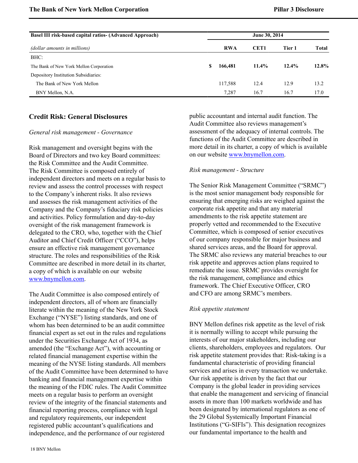| <b>Basel III risk-based capital ratios- (Advanced Approach)</b> |    |            | June 30, 2014    |        |       |
|-----------------------------------------------------------------|----|------------|------------------|--------|-------|
| (dollar amounts in millions)                                    |    | <b>RWA</b> | CET <sub>1</sub> | Tier 1 | Total |
| BHC:                                                            |    |            |                  |        |       |
| The Bank of New York Mellon Corporation                         | S. | 166,481    | $11.4\%$         | 12.4%  | 12.8% |
| Depository Institution Subsidiaries:                            |    |            |                  |        |       |
| The Bank of New York Mellon                                     |    | 117,588    | 12.4             | 12.9   | 13.2  |
| BNY Mellon, N.A.                                                |    | 7.287      | 16.7             | 16.7   | 17.0  |

## <span id="page-18-0"></span>**Credit Risk: General Disclosures**

#### *General risk management - Governance*

Risk management and oversight begins with the Board of Directors and two key Board committees: the Risk Committee and the Audit Committee. The Risk Committee is composed entirely of independent directors and meets on a regular basis to review and assess the control processes with respect to the Company's inherent risks. It also reviews and assesses the risk management activities of the Company and the Company's fiduciary risk policies and activities. Policy formulation and day-to-day oversight of the risk management framework is delegated to the CRO, who, together with the Chief Auditor and Chief Credit Officer ("CCO"), helps ensure an effective risk management governance structure. The roles and responsibilities of the Risk Committee are described in more detail in its charter, a copy of which is available on our website [www.bnymellon.com](#page-18-0).

The Audit Committee is also composed entirely of independent directors, all of whom are financially literate within the meaning of the New York Stock Exchange ("NYSE") listing standards, and one of whom has been determined to be an audit committee financial expert as set out in the rules and regulations under the Securities Exchange Act of 1934, as amended (the "Exchange Act"), with accounting or related financial management expertise within the meaning of the NYSE listing standards. All members of the Audit Committee have been determined to have banking and financial management expertise within the meaning of the FDIC rules. The Audit Committee meets on a regular basis to perform an oversight review of the integrity of the financial statements and financial reporting process, compliance with legal and regulatory requirements, our independent registered public accountant's qualifications and independence, and the performance of our registered

public accountant and internal audit function. The Audit Committee also reviews management's assessment of the adequacy of internal controls. The functions of the Audit Committee are described in more detail in its charter, a copy of which is available on our website [www.bnymellon.com](#page-18-0).

#### *Risk management - Structure*

The Senior Risk Management Committee ("SRMC") is the most senior management body responsible for ensuring that emerging risks are weighed against the corporate risk appetite and that any material amendments to the risk appetite statement are properly vetted and recommended to the Executive Committee, which is composed of senior executives of our company responsible for major business and shared services areas, and the Board for approval. The SRMC also reviews any material breaches to our risk appetite and approves action plans required to remediate the issue. SRMC provides oversight for the risk management, compliance and ethics framework. The Chief Executive Officer, CRO and CFO are among SRMC's members.

#### *Risk appetite statement*

BNY Mellon defines risk appetite as the level of risk it is normally willing to accept while pursuing the interests of our major stakeholders, including our clients, shareholders, employees and regulators. Our risk appetite statement provides that: Risk-taking is a fundamental characteristic of providing financial services and arises in every transaction we undertake. Our risk appetite is driven by the fact that our Company is the global leader in providing services that enable the management and servicing of financial assets in more than 100 markets worldwide and has been designated by international regulators as one of the 29 Global Systemically Important Financial Institutions ("G-SIFIs"). This designation recognizes our fundamental importance to the health and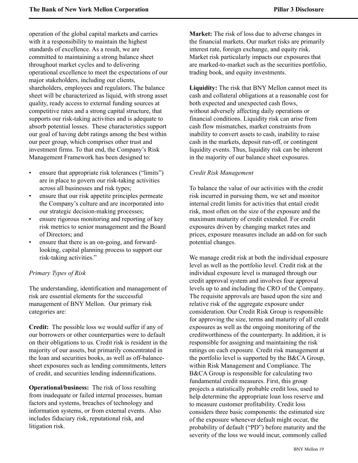operation of the global capital markets and carries with it a responsibility to maintain the highest standards of excellence. As a result, we are committed to maintaining a strong balance sheet throughout market cycles and to delivering operational excellence to meet the expectations of our major stakeholders, including our clients, shareholders, employees and regulators. The balance sheet will be characterized as liquid, with strong asset quality, ready access to external funding sources at competitive rates and a strong capital structure, that supports our risk-taking activities and is adequate to absorb potential losses. These characteristics support our goal of having debt ratings among the best within our peer group, which comprises other trust and investment firms. To that end, the Company's Risk Management Framework has been designed to:

- ensure that appropriate risk tolerances ("limits") are in place to govern our risk-taking activities across all businesses and risk types;
- ensure that our risk appetite principles permeate the Company's culture and are incorporated into our strategic decision-making processes;
- ensure rigorous monitoring and reporting of key risk metrics to senior management and the Board of Directors; and
- ensure that there is an on-going, and forwardlooking, capital planning process to support our risk-taking activities."

## *Primary Types of Risk*

The understanding, identification and management of risk are essential elements for the successful management of BNY Mellon. Our primary risk categories are:

**Credit:** The possible loss we would suffer if any of our borrowers or other counterparties were to default on their obligations to us. Credit risk is resident in the majority of our assets, but primarily concentrated in the loan and securities books, as well as off-balancesheet exposures such as lending commitments, letters of credit, and securities lending indemnifications.

**Operational/business:** The risk of loss resulting from inadequate or failed internal processes, human factors and systems, breaches of technology and information systems, or from external events. Also includes fiduciary risk, reputational risk, and litigation risk.

**Market:** The risk of loss due to adverse changes in the financial markets. Our market risks are primarily interest rate, foreign exchange, and equity risk. Market risk particularly impacts our exposures that are marked-to-market such as the securities portfolio, trading book, and equity investments.

**Liquidity:** The risk that BNY Mellon cannot meet its cash and collateral obligations at a reasonable cost for both expected and unexpected cash flows, without adversely affecting daily operations or financial conditions. Liquidity risk can arise from cash flow mismatches, market constraints from inability to convert assets to cash, inability to raise cash in the markets, deposit run-off, or contingent liquidity events. Thus, liquidity risk can be inherent in the majority of our balance sheet exposures.

#### *Credit Risk Management*

To balance the value of our activities with the credit risk incurred in pursuing them, we set and monitor internal credit limits for activities that entail credit risk, most often on the size of the exposure and the maximum maturity of credit extended. For credit exposures driven by changing market rates and prices, exposure measures include an add-on for such potential changes.

We manage credit risk at both the individual exposure level as well as the portfolio level. Credit risk at the individual exposure level is managed through our credit approval system and involves four approval levels up to and including the CRO of the Company. The requisite approvals are based upon the size and relative risk of the aggregate exposure under consideration. Our Credit Risk Group is responsible for approving the size, terms and maturity of all credit exposures as well as the ongoing monitoring of the creditworthiness of the counterparty. In addition, it is responsible for assigning and maintaining the risk ratings on each exposure. Credit risk management at the portfolio level is supported by the B&CA Group, within Risk Management and Compliance. The B&CA Group is responsible for calculating two fundamental credit measures. First, this group projects a statistically probable credit loss, used to help determine the appropriate loan loss reserve and to measure customer profitability. Credit loss considers three basic components: the estimated size of the exposure whenever default might occur, the probability of default ("PD") before maturity and the severity of the loss we would incur, commonly called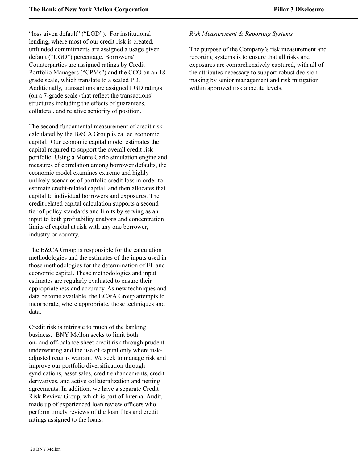"loss given default" ("LGD"). For institutional lending, where most of our credit risk is created, unfunded commitments are assigned a usage given default ("UGD") percentage. Borrowers/ Counterparties are assigned ratings by Credit Portfolio Managers ("CPMs") and the CCO on an 18 grade scale, which translate to a scaled PD. Additionally, transactions are assigned LGD ratings (on a 7-grade scale) that reflect the transactions' structures including the effects of guarantees, collateral, and relative seniority of position.

The second fundamental measurement of credit risk calculated by the B&CA Group is called economic capital. Our economic capital model estimates the capital required to support the overall credit risk portfolio. Using a Monte Carlo simulation engine and measures of correlation among borrower defaults, the economic model examines extreme and highly unlikely scenarios of portfolio credit loss in order to estimate credit-related capital, and then allocates that capital to individual borrowers and exposures. The credit related capital calculation supports a second tier of policy standards and limits by serving as an input to both profitability analysis and concentration limits of capital at risk with any one borrower, industry or country.

The B&CA Group is responsible for the calculation methodologies and the estimates of the inputs used in those methodologies for the determination of EL and economic capital. These methodologies and input estimates are regularly evaluated to ensure their appropriateness and accuracy. As new techniques and data become available, the BC&A Group attempts to incorporate, where appropriate, those techniques and data.

Credit risk is intrinsic to much of the banking business. BNY Mellon seeks to limit both on- and off-balance sheet credit risk through prudent underwriting and the use of capital only where riskadjusted returns warrant. We seek to manage risk and improve our portfolio diversification through syndications, asset sales, credit enhancements, credit derivatives, and active collateralization and netting agreements. In addition, we have a separate Credit Risk Review Group, which is part of Internal Audit, made up of experienced loan review officers who perform timely reviews of the loan files and credit ratings assigned to the loans.

#### *Risk Measurement & Reporting Systems*

The purpose of the Company's risk measurement and reporting systems is to ensure that all risks and exposures are comprehensively captured, with all of the attributes necessary to support robust decision making by senior management and risk mitigation within approved risk appetite levels.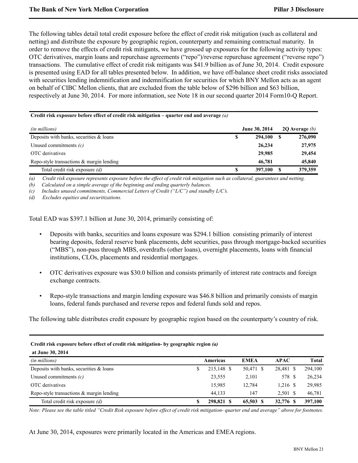The following tables detail total credit exposure before the effect of credit risk mitigation (such as collateral and netting) and distribute the exposure by geographic region, counterparty and remaining contractual maturity. In order to remove the effects of credit risk mitigants, we have grossed up exposures for the following activity types: OTC derivatives, margin loans and repurchase agreements ("repo")/reverse repurchase agreement ("reverse repo") transactions. The cumulative effect of credit risk mitigants was \$41.9 billion as of June 30, 2014. Credit exposure is presented using EAD for all tables presented below. In addition, we have off-balance sheet credit risks associated with securities lending indemnification and indemnification for securities for which BNY Mellon acts as an agent on behalf of CIBC Mellon clients, that are excluded from the table below of \$296 billion and \$63 billion, respectively at June 30, 2014. For more information, see Note 18 in our second quarter 2014 Form10-Q Report.

#### **Credit risk exposure before effect of credit risk mitigation – quarter end and average** *(a)*

| <i>(in millions)</i>                        |   | <b>June 30, 2014</b> | 20 Average $(b)$ |
|---------------------------------------------|---|----------------------|------------------|
| Deposits with banks, securities $\&$ loans  | S | 294,100              | 276,090          |
| Unused commitments $(c)$                    |   | 26,234               | 27,975           |
| OTC derivatives                             |   | 29,985               | 29,454           |
| Repo-style transactions $\&$ margin lending |   | 46,781               | 45,840           |
| Total credit risk exposure (d)              |   | 397,100              | 379,359          |

*(a) Credit risk exposure represents exposure before the effect of credit risk mitigation such as collateral, guarantees and netting.*

*(b) Calculated on a simple average of the beginning and ending quarterly balances.*

*(c) Includes unused commitments, Commercial Letters of Credit ("L/C") and standby L/C's.*

*(d) Excludes equities and securitizations.*

Total EAD was \$397.1 billion at June 30, 2014, primarily consisting of:

- Deposits with banks, securities and loans exposure was \$294.1 billion consisting primarily of interest bearing deposits, federal reserve bank placements, debt securities, pass through mortgage-backed securities ("MBS"), non-pass through MBS, overdrafts (other loans), overnight placements, loans with financial institutions, CLOs, placements and residential mortgages.
- OTC derivatives exposure was \$30.0 billion and consists primarily of interest rate contracts and foreign exchange contracts.
- Repo-style transactions and margin lending exposure was \$46.8 billion and primarily consists of margin loans, federal funds purchased and reverse repos and federal funds sold and repos.

The following table distributes credit exposure by geographic region based on the counterparty's country of risk.

| Credit risk exposure before effect of credit risk mitigation- by geographic region (a) |   |                 |             |             |              |  |  |  |  |  |  |
|----------------------------------------------------------------------------------------|---|-----------------|-------------|-------------|--------------|--|--|--|--|--|--|
| at June 30, 2014                                                                       |   |                 |             |             |              |  |  |  |  |  |  |
| (in millions)                                                                          |   | <b>Americas</b> | <b>EMEA</b> | <b>APAC</b> | <b>Total</b> |  |  |  |  |  |  |
| Deposits with banks, securities $\&$ loans                                             | S | 215,148 \$      | 50,471 \$   | 28,481 \$   | 294,100      |  |  |  |  |  |  |
| Unused commitments $(c)$                                                               |   | 23,555          | 2,101       | 578 \$      | 26,234       |  |  |  |  |  |  |
| OTC derivatives                                                                        |   | 15,985          | 12,784      | $1.216$ \$  | 29,985       |  |  |  |  |  |  |
| Repo-style transactions $\&$ margin lending                                            |   | 44.133          | 147         | 2.501 \$    | 46,781       |  |  |  |  |  |  |
| Total credit risk exposure (d)                                                         | S | 298,821 \$      | 65,503 \$   | 32,776 \$   | 397,100      |  |  |  |  |  |  |

*Note: Please see the table titled "Credit Risk exposure before effect of credit risk mitigation- quarter end and average" above for footnotes.*

At June 30, 2014, exposures were primarily located in the Americas and EMEA regions.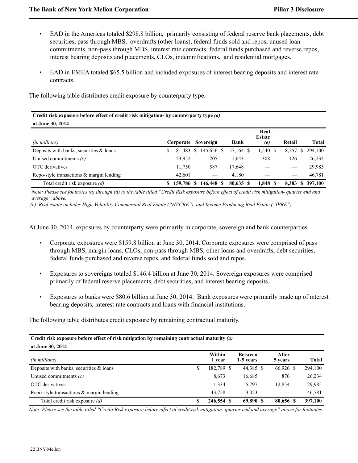- EAD in the Americas totaled \$298.8 billion, primarily consisting of federal reserve bank placements, debt securities, pass through MBS, overdrafts (other loans), federal funds sold and repos, unused loan commitments, non-pass through MBS, interest rate contracts, federal funds purchased and reverse repos, interest bearing deposits and placements, CLOs, indemnifications, and residential mortgages.
- EAD in EMEA totaled \$65.5 billion and included exposures of interest bearing deposits and interest rate contracts.

The following table distributes credit exposure by counterparty type.

| Credit risk exposure before effect of credit risk mitigation- by counterparty type (a) |    |            |    |            |  |             |  |                              |  |        |   |           |
|----------------------------------------------------------------------------------------|----|------------|----|------------|--|-------------|--|------------------------------|--|--------|---|-----------|
| at June 30, 2014                                                                       |    |            |    |            |  |             |  |                              |  |        |   |           |
| (in millions)                                                                          |    | Corporate  |    | Sovereign  |  | <b>Bank</b> |  | Real<br><b>Estate</b><br>(e) |  | Retail |   | Total     |
| Deposits with banks, securities $\&$ loans                                             | \$ | 81.483     | -S | 145,656 \$ |  | 57,164 \$   |  | $1,540$ \$                   |  | 8,257  | S | 294,100   |
| Unused commitments $(c)$                                                               |    | 23,952     |    | 205        |  | 1,643       |  | 308                          |  | 126    |   | 26,234    |
| OTC derivatives                                                                        |    | 11.750     |    | 587        |  | 17,648      |  |                              |  |        |   | 29,985    |
| Repo-style transactions & margin lending                                               |    | 42.601     |    |            |  | 4.180       |  |                              |  |        |   | 46,781    |
| Total credit risk exposure (d)                                                         |    | 159,786 \$ |    | 146,448 \$ |  | 80.635 \$   |  | 1.848 \$                     |  | 8.383  |   | \$397,100 |

*Note: Please see footnotes (a) through (d) to the table titled "Credit Risk exposure before effect of credit risk mitigation- quarter end and average" above.*

 *(e) Real estate includes High-Volatility Commercial Real Estate ("HVCRE") and Income Producing Real Estate ("IPRE").*

At June 30, 2014, exposures by counterparty were primarily in corporate, sovereign and bank counterparties.

- Corporate exposures were \$159.8 billion at June 30, 2014. Corporate exposures were comprised of pass through MBS, margin loans, CLOs, non-pass through MBS, other loans and overdrafts, debt securities, federal funds purchased and reverse repos, and federal funds sold and repos.
- Exposures to sovereigns totaled \$146.4 billion at June 30, 2014. Sovereign exposures were comprised primarily of federal reserve placements, debt securities, and interest bearing deposits.
- Exposures to banks were \$80.6 billion at June 30, 2014. Bank exposures were primarily made up of interest bearing deposits, interest rate contracts and loans with financial institutions.

The following table distributes credit exposure by remaining contractual maturity.

#### **Credit risk exposure before effect of risk mitigation by remaining contractual maturity** *(a)* **at June 30, 2014**

| (in millions)                               | Within<br>1 vear | <b>Between</b><br>1-5 years | After<br>5 years | <b>Total</b> |
|---------------------------------------------|------------------|-----------------------------|------------------|--------------|
| Deposits with banks, securities $\&$ loans  | \$<br>182,789 \$ | 44,385 \$                   | 66,926 \$        | 294,100      |
| Unused commitments $(c)$                    | 8.673            | 16,685                      | 876              | 26,234       |
| OTC derivatives                             | 11,334           | 5.797                       | 12.854           | 29,985       |
| Repo-style transactions $\&$ margin lending | 43.758           | 3.023                       |                  | 46,781       |
| Total credit risk exposure (d)              | 246,554 \$       | 69,890 \$                   | 80,656 \$        | 397,100      |

*Note: Please see the table titled "Credit Risk exposure before effect of credit risk mitigation- quarter end and average" above for footnotes.*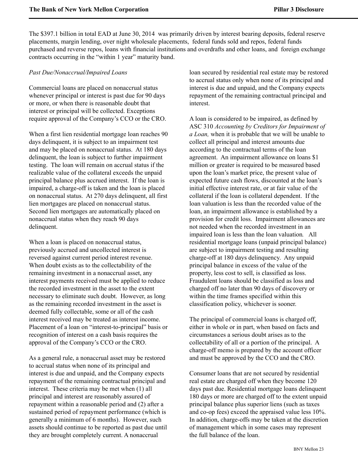The \$397.1 billion in total EAD at June 30, 2014 was primarily driven by interest bearing deposits, federal reserve placements, margin lending, over night wholesale placements, federal funds sold and repos, federal funds purchased and reverse repos, loans with financial institutions and overdrafts and other loans, and foreign exchange contracts occurring in the "within 1 year" maturity band.

#### *Past Due/Nonaccrual/Impaired Loans*

Commercial loans are placed on nonaccrual status whenever principal or interest is past due for 90 days or more, or when there is reasonable doubt that interest or principal will be collected. Exceptions require approval of the Company's CCO or the CRO.

When a first lien residential mortgage loan reaches 90 days delinquent, it is subject to an impairment test and may be placed on nonaccrual status. At 180 days delinquent, the loan is subject to further impairment testing. The loan will remain on accrual status if the realizable value of the collateral exceeds the unpaid principal balance plus accrued interest. If the loan is impaired, a charge-off is taken and the loan is placed on nonaccrual status. At 270 days delinquent, all first lien mortgages are placed on nonaccrual status. Second lien mortgages are automatically placed on nonaccrual status when they reach 90 days delinquent.

When a loan is placed on nonaccrual status, previously accrued and uncollected interest is reversed against current period interest revenue. When doubt exists as to the collectability of the remaining investment in a nonaccrual asset, any interest payments received must be applied to reduce the recorded investment in the asset to the extent necessary to eliminate such doubt. However, as long as the remaining recorded investment in the asset is deemed fully collectable, some or all of the cash interest received may be treated as interest income. Placement of a loan on "interest-to-principal" basis or recognition of interest on a cash basis requires the approval of the Company's CCO or the CRO.

As a general rule, a nonaccrual asset may be restored to accrual status when none of its principal and interest is due and unpaid, and the Company expects repayment of the remaining contractual principal and interest. These criteria may be met when (1) all principal and interest are reasonably assured of repayment within a reasonable period and (2) after a sustained period of repayment performance (which is generally a minimum of 6 months). However, such assets should continue to be reported as past due until they are brought completely current. A nonaccrual

loan secured by residential real estate may be restored to accrual status only when none of its principal and interest is due and unpaid, and the Company expects repayment of the remaining contractual principal and interest.

A loan is considered to be impaired, as defined by ASC 310 *Accounting by Creditors for Impairment of a Loan,* when it is probable that we will be unable to collect all principal and interest amounts due according to the contractual terms of the loan agreement. An impairment allowance on loans \$1 million or greater is required to be measured based upon the loan's market price, the present value of expected future cash flows, discounted at the loan's initial effective interest rate, or at fair value of the collateral if the loan is collateral dependent. If the loan valuation is less than the recorded value of the loan, an impairment allowance is established by a provision for credit loss. Impairment allowances are not needed when the recorded investment in an impaired loan is less than the loan valuation*.* All residential mortgage loans (unpaid principal balance) are subject to impairment testing and resulting charge-off at 180 days delinquency. Any unpaid principal balance in excess of the value of the property, less cost to sell, is classified as loss. Fraudulent loans should be classified as loss and charged off no later than 90 days of discovery or within the time frames specified within this classification policy, whichever is sooner.

The principal of commercial loans is charged off, either in whole or in part, when based on facts and circumstances a serious doubt arises as to the collectability of all or a portion of the principal. A charge-off memo is prepared by the account officer and must be approved by the CCO and the CRO.

Consumer loans that are not secured by residential real estate are charged off when they become 120 days past due. Residential mortgage loans delinquent 180 days or more are charged off to the extent unpaid principal balance plus superior liens (such as taxes and co-op fees) exceed the appraised value less 10%. In addition, charge-offs may be taken at the discretion of management which in some cases may represent the full balance of the loan.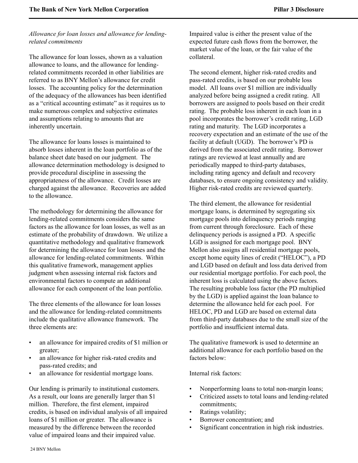## *Allowance for loan losses and allowance for lendingrelated commitments*

The allowance for loan losses, shown as a valuation allowance to loans, and the allowance for lendingrelated commitments recorded in other liabilities are referred to as BNY Mellon's allowance for credit losses. The accounting policy for the determination of the adequacy of the allowances has been identified as a "critical accounting estimate" as it requires us to make numerous complex and subjective estimates and assumptions relating to amounts that are inherently uncertain.

The allowance for loans losses is maintained to absorb losses inherent in the loan portfolio as of the balance sheet date based on our judgment. The allowance determination methodology is designed to provide procedural discipline in assessing the appropriateness of the allowance. Credit losses are charged against the allowance. Recoveries are added to the allowance.

The methodology for determining the allowance for lending-related commitments considers the same factors as the allowance for loan losses, as well as an estimate of the probability of drawdown. We utilize a quantitative methodology and qualitative framework for determining the allowance for loan losses and the allowance for lending-related commitments. Within this qualitative framework, management applies judgment when assessing internal risk factors and environmental factors to compute an additional allowance for each component of the loan portfolio.

The three elements of the allowance for loan losses and the allowance for lending-related commitments include the qualitative allowance framework. The three elements are:

- an allowance for impaired credits of \$1 million or greater;
- an allowance for higher risk-rated credits and pass-rated credits; and
- an allowance for residential mortgage loans.

Our lending is primarily to institutional customers. As a result, our loans are generally larger than \$1 million. Therefore, the first element, impaired credits, is based on individual analysis of all impaired loans of \$1 million or greater. The allowance is measured by the difference between the recorded value of impaired loans and their impaired value.

Impaired value is either the present value of the expected future cash flows from the borrower, the market value of the loan, or the fair value of the collateral.

The second element, higher risk-rated credits and pass-rated credits, is based on our probable loss model. All loans over \$1 million are individually analyzed before being assigned a credit rating. All borrowers are assigned to pools based on their credit rating. The probable loss inherent in each loan in a pool incorporates the borrower's credit rating, LGD rating and maturity. The LGD incorporates a recovery expectation and an estimate of the use of the facility at default (UGD). The borrower's PD is derived from the associated credit rating. Borrower ratings are reviewed at least annually and are periodically mapped to third-party databases, including rating agency and default and recovery databases, to ensure ongoing consistency and validity. Higher risk-rated credits are reviewed quarterly.

The third element, the allowance for residential mortgage loans, is determined by segregating six mortgage pools into delinquency periods ranging from current through foreclosure. Each of these delinquency periods is assigned a PD. A specific LGD is assigned for each mortgage pool. BNY Mellon also assigns all residential mortgage pools, except home equity lines of credit ("HELOC"), a PD and LGD based on default and loss data derived from our residential mortgage portfolio. For each pool, the inherent loss is calculated using the above factors. The resulting probable loss factor (the PD multiplied by the LGD) is applied against the loan balance to determine the allowance held for each pool. For HELOC, PD and LGD are based on external data from third-party databases due to the small size of the portfolio and insufficient internal data.

The qualitative framework is used to determine an additional allowance for each portfolio based on the factors below:

Internal risk factors:

- Nonperforming loans to total non-margin loans;
- Criticized assets to total loans and lending-related commitments;
- Ratings volatility;
- Borrower concentration; and
- Significant concentration in high risk industries.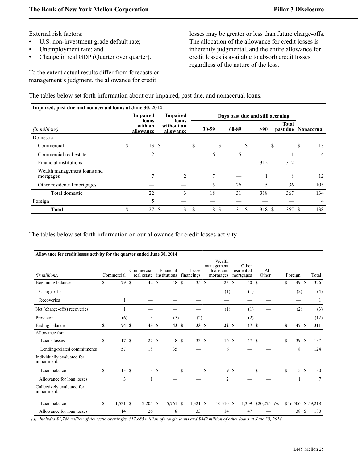External risk factors:

- U.S. non-investment grade default rate;
- Unemployment rate; and
- Change in real GDP (Quarter over quarter).

To the extent actual results differ from forecasts or management's judgment, the allowance for credit

losses may be greater or less than future charge-offs. The allocation of the allowance for credit losses is inherently judgmental, and the entire allowance for credit losses is available to absorb credit losses regardless of the nature of the loss.

The tables below set forth information about our impaired, past due, and nonaccrual loans.

| Impaired, past due and nonaccrual loans at June 30, 2014 |                               |                                  |               |       |                                  |       |              |                     |
|----------------------------------------------------------|-------------------------------|----------------------------------|---------------|-------|----------------------------------|-------|--------------|---------------------|
|                                                          | <b>Impaired</b>               | <b>Impaired</b>                  |               |       | Days past due and still accruing |       |              |                     |
| (in millions)                                            | loans<br>with an<br>allowance | loans<br>without an<br>allowance |               | 30-59 | 60-89                            | >90   | <b>Total</b> | past due Nonaccrual |
| Domestic                                                 |                               |                                  |               |       |                                  |       |              |                     |
| Commercial                                               | \$<br>-S<br>13                |                                  | \$            | S     | -S                               | S     | — \$         | 13                  |
| Commercial real estate                                   | 2                             |                                  |               | 6     | 5                                |       | 11           | 4                   |
| Financial institutions                                   |                               |                                  |               |       |                                  | 312   | 312          |                     |
| Wealth management loans and<br>mortgages                 |                               | $\overline{c}$                   |               | 7     |                                  |       | 8            | 12                  |
| Other residential mortgages                              |                               |                                  |               | 5     | 26                               | 5     | 36           | 105                 |
| Total domestic                                           | 22                            | 3                                |               | 18    | 31                               | 318   | 367          | 134                 |
| Foreign                                                  | 5                             |                                  |               |       |                                  |       |              | $\overline{4}$      |
| <b>Total</b>                                             | \$<br>-\$<br>27               | 3                                | <sup>\$</sup> | 18 \$ | 31 \$                            | 318 S | 367S         | 138                 |

The tables below set forth information on our allowance for credit losses activity.

| Allowance for credit losses activity for the quarter ended June 30, 2014 |                |                           |    |                           |               |                     |               |                                                |    |                                   |          |              |                   |         |              |    |                   |
|--------------------------------------------------------------------------|----------------|---------------------------|----|---------------------------|---------------|---------------------|---------------|------------------------------------------------|----|-----------------------------------|----------|--------------|-------------------|---------|--------------|----|-------------------|
| (in millions)                                                            | Commercial     | Commercial<br>real estate |    | Financial<br>institutions |               | Lease<br>financings |               | Wealth<br>management<br>loans and<br>mortgages |    | Other<br>residential<br>mortgages |          | All<br>Other |                   | Foreign |              |    | Total             |
| Beginning balance                                                        | \$<br>79 \$    | 42 \$                     |    | 48 \$                     |               | 35S                 |               | 23S                                            |    | 50 \$                             |          |              |                   | \$      | 49 \$        |    | 326               |
| Charge-offs                                                              |                |                           |    |                           |               |                     |               | (1)                                            |    | (1)                               |          |              |                   |         | (2)          |    | (4)               |
| Recoveries                                                               | $\mathbf{1}$   |                           |    |                           |               |                     |               |                                                |    |                                   |          |              |                   |         |              |    | 1                 |
| Net (charge-offs) recoveries                                             |                |                           |    |                           |               |                     |               | (1)                                            |    | (1)                               |          |              |                   |         | (2)          |    | (3)               |
| Provision                                                                | (6)            | 3                         |    | (5)                       |               | (2)                 |               |                                                |    | (2)                               |          |              |                   |         |              |    | (12)              |
| Ending balance                                                           | \$<br>74 \$    | 45S                       |    | 43S                       |               | 33S                 |               | 22S                                            |    | 47 \$                             |          |              |                   | S       | 47 \$        |    | 311               |
| Allowance for:                                                           |                |                           |    |                           |               |                     |               |                                                |    |                                   |          |              |                   |         |              |    |                   |
| Loans losses                                                             | \$<br>17S      | 27S                       |    | 8                         | <sup>\$</sup> | 33S                 |               | 16S                                            |    | 47 \$                             |          |              |                   | S       | 39S          |    | 187               |
| Lending-related commitments                                              | 57             | 18                        |    | 35                        |               |                     |               | 6                                              |    |                                   |          |              |                   |         | 8            |    | 124               |
| Individually evaluated for<br>impairment:                                |                |                           |    |                           |               |                     |               |                                                |    |                                   |          |              |                   |         |              |    |                   |
| Loan balance                                                             | \$<br>13S      |                           | 3S |                           | <sup>\$</sup> |                     | <sup>\$</sup> |                                                | 9S |                                   | <b>S</b> |              |                   | \$      |              | 5S | 30                |
| Allowance for loan losses                                                | 3              | 1                         |    |                           |               |                     |               | $\overline{c}$                                 |    |                                   |          |              |                   |         | $\mathbf{1}$ |    | 7                 |
| Collectively evaluated for<br>impairment:                                |                |                           |    |                           |               |                     |               |                                                |    |                                   |          |              |                   |         |              |    |                   |
| Loan balance                                                             | \$<br>1,531 \$ | $2,205$ \$                |    | 5,761 \$                  |               | $1,321$ \$          |               | $10,310$ \$                                    |    | 1,309                             |          | \$20,275     | $\left( a\right)$ |         |              |    | \$16,506 \$59,218 |
| Allowance for loan losses                                                | 14             | 26                        |    | 8                         |               | 33                  |               | 14                                             |    | 47                                |          |              |                   |         | 38 \$        |    | 180               |

 *(a) Includes \$1,748 million of domestic overdrafts, \$17,685 million of margin loans and \$842 million of other loans at June 30, 2014.*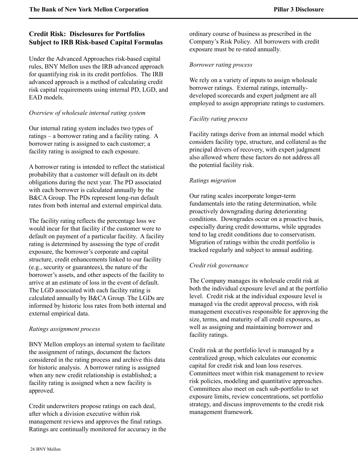# <span id="page-26-0"></span>**Credit Risk: Disclosures for Portfolios Subject to IRB Risk-based Capital Formulas**

Under the Advanced Approaches risk-based capital rules, BNY Mellon uses the IRB advanced approach for quantifying risk in its credit portfolios.The IRB advanced approach is a method of calculating credit risk capital requirements using internal PD, LGD, and EAD models.

## *Overview of wholesale internal rating system*

Our internal rating system includes two types of ratings – a borrower rating and a facility rating. A borrower rating is assigned to each customer; a facility rating is assigned to each exposure.

A borrower rating is intended to reflect the statistical probability that a customer will default on its debt obligations during the next year. The PD associated with each borrower is calculated annually by the B&CA Group. The PDs represent long-run default rates from both internal and external empirical data.

The facility rating reflects the percentage loss we would incur for that facility if the customer were to default on payment of a particular facility. A facility rating is determined by assessing the type of credit exposure, the borrower's corporate and capital structure, credit enhancements linked to our facility (e.g., security or guarantees), the nature of the borrower's assets, and other aspects of the facility to arrive at an estimate of loss in the event of default. The LGD associated with each facility rating is calculated annually by B&CA Group. The LGDs are informed by historic loss rates from both internal and external empirical data.

#### *Ratings assignment process*

BNY Mellon employs an internal system to facilitate the assignment of ratings, document the factors considered in the rating process and archive this data for historic analysis. A borrower rating is assigned when any new credit relationship is established; a facility rating is assigned when a new facility is approved.

Credit underwriters propose ratings on each deal, after which a division executive within risk management reviews and approves the final ratings. Ratings are continually monitored for accuracy in the ordinary course of business as prescribed in the Company's Risk Policy. All borrowers with credit exposure must be re-rated annually.

#### *Borrower rating process*

We rely on a variety of inputs to assign wholesale borrower ratings. External ratings, internallydeveloped scorecards and expert judgment are all employed to assign appropriate ratings to customers.

## *Facility rating process*

Facility ratings derive from an internal model which considers facility type, structure, and collateral as the principal drivers of recovery, with expert judgment also allowed where these factors do not address all the potential facility risk.

## *Ratings migration*

Our rating scales incorporate longer-term fundamentals into the rating determination, while proactively downgrading during deteriorating conditions. Downgrades occur on a proactive basis, especially during credit downturns, while upgrades tend to lag credit conditions due to conservatism. Migration of ratings within the credit portfolio is tracked regularly and subject to annual auditing.

## *Credit risk governance*

The Company manages its wholesale credit risk at both the individual exposure level and at the portfolio level. Credit risk at the individual exposure level is managed via the credit approval process, with risk management executives responsible for approving the size, terms, and maturity of all credit exposures, as well as assigning and maintaining borrower and facility ratings.

Credit risk at the portfolio level is managed by a centralized group, which calculates our economic capital for credit risk and loan loss reserves. Committees meet within risk management to review risk policies, modeling and quantitative approaches. Committees also meet on each sub-portfolio to set exposure limits, review concentrations, set portfolio strategy, and discuss improvements to the credit risk management framework.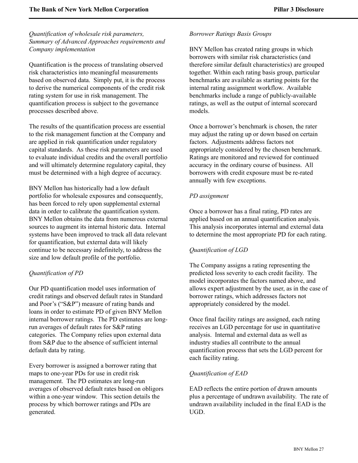*Quantification of wholesale risk parameters, Summary of Advanced Approaches requirements and Company implementation*

Quantification is the process of translating observed risk characteristics into meaningful measurements based on observed data. Simply put, it is the process to derive the numerical components of the credit risk rating system for use in risk management. The quantification process is subject to the governance processes described above.

The results of the quantification process are essential to the risk management function at the Company and are applied in risk quantification under regulatory capital standards. As these risk parameters are used to evaluate individual credits and the overall portfolio and will ultimately determine regulatory capital, they must be determined with a high degree of accuracy.

BNY Mellon has historically had a low default portfolio for wholesale exposures and consequently, has been forced to rely upon supplemental external data in order to calibrate the quantification system. BNY Mellon obtains the data from numerous external sources to augment its internal historic data. Internal systems have been improved to track all data relevant for quantification, but external data will likely continue to be necessary indefinitely, to address the size and low default profile of the portfolio.

## *Quantification of PD*

Our PD quantification model uses information of credit ratings and observed default rates in Standard and Poor's ("S&P") measure of rating bands and loans in order to estimate PD of given BNY Mellon internal borrower ratings. The PD estimates are longrun averages of default rates for S&P rating categories. The Company relies upon external data from S&P due to the absence of sufficient internal default data by rating.

Every borrower is assigned a borrower rating that maps to one-year PDs for use in credit risk management. The PD estimates are long-run averages of observed default rates based on obligors within a one-year window. This section details the process by which borrower ratings and PDs are generated.

#### *Borrower Ratings Basis Groups*

BNY Mellon has created rating groups in which borrowers with similar risk characteristics (and therefore similar default characteristics) are grouped together. Within each rating basis group, particular benchmarks are available as starting points for the internal rating assignment workflow. Available benchmarks include a range of publicly-available ratings, as well as the output of internal scorecard models.

Once a borrower's benchmark is chosen, the rater may adjust the rating up or down based on certain factors. Adjustments address factors not appropriately considered by the chosen benchmark. Ratings are monitored and reviewed for continued accuracy in the ordinary course of business. All borrowers with credit exposure must be re-rated annually with few exceptions.

#### *PD assignment*

Once a borrower has a final rating, PD rates are applied based on an annual quantification analysis. This analysis incorporates internal and external data to determine the most appropriate PD for each rating.

#### *Quantification of LGD*

The Company assigns a rating representing the predicted loss severity to each credit facility. The model incorporates the factors named above, and allows expert adjustment by the user, as in the case of borrower ratings, which addresses factors not appropriately considered by the model.

Once final facility ratings are assigned, each rating receives an LGD percentage for use in quantitative analysis. Internal and external data as well as industry studies all contribute to the annual quantification process that sets the LGD percent for each facility rating.

## *Quantification of EAD*

EAD reflects the entire portion of drawn amounts plus a percentage of undrawn availability. The rate of undrawn availability included in the final EAD is the UGD.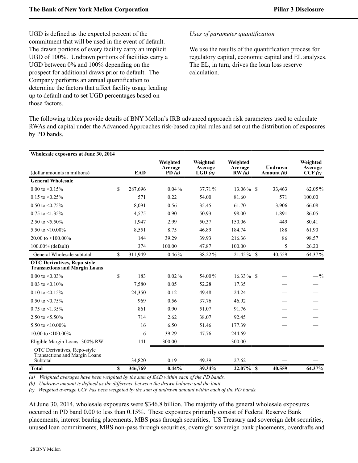UGD is defined as the expected percent of the commitment that will be used in the event of default. The drawn portions of every facility carry an implicit UGD of 100%. Undrawn portions of facilities carry a UGD between 0% and 100% depending on the prospect for additional draws prior to default. The Company performs an annual quantification to determine the factors that affect facility usage leading up to default and to set UGD percentages based on those factors.

#### *Uses of parameter quantification*

We use the results of the quantification process for regulatory capital, economic capital and EL analyses. The EL, in turn, drives the loan loss reserve calculation.

The following tables provide details of BNY Mellon's IRB advanced approach risk parameters used to calculate RWAs and capital under the Advanced Approaches risk-based capital rules and set out the distribution of exposures by PD bands.

| Wholesale exposures at June 30, 2014                                       |              |            |                              |                               |                              |                              |                               |
|----------------------------------------------------------------------------|--------------|------------|------------------------------|-------------------------------|------------------------------|------------------------------|-------------------------------|
| (dollar amounts in millions)                                               |              | <b>EAD</b> | Weighted<br>Average<br>PD(a) | Weighted<br>Average<br>LGD(a) | Weighted<br>Average<br>RW(a) | <b>Undrawn</b><br>Amount (b) | Weighted<br>Average<br>CCF(c) |
| <b>General Wholesale</b>                                                   |              |            |                              |                               |                              |                              |                               |
| $0.00$ to $\leq 0.15\%$                                                    | $\mathbb{S}$ | 287,696    | $0.04\%$                     | 37.71 %                       | $13.06\%$ \$                 | 33,463                       | 62.05%                        |
| $0.15$ to $\leq 0.25\%$                                                    |              | 571        | 0.22                         | 54.00                         | 81.60                        | 571                          | 100.00                        |
| 0.50 to $\leq$ 0.75%                                                       |              | 8,091      | 0.56                         | 35.45                         | 61.70                        | 3,906                        | 66.08                         |
| $0.75$ to $\leq 1.35\%$                                                    |              | 4,575      | 0.90                         | 50.93                         | 98.00                        | 1,891                        | 86.05                         |
| 2.50 to $\leq 5.50\%$                                                      |              | 1,947      | 2.99                         | 50.37                         | 150.06                       | 449                          | 80.41                         |
| 5.50 to $\leq 10.00\%$                                                     |              | 8,551      | 8.75                         | 46.89                         | 184.74                       | 188                          | 61.90                         |
| 20.00 to $\leq 100.00\%$                                                   |              | 144        | 39.29                        | 39.93                         | 216.36                       | 86                           | 98.57                         |
| 100.00% (default)                                                          |              | 374        | 100.00                       | 47.87                         | 100.00                       | 5                            | 26.20                         |
| General Wholesale subtotal                                                 | \$           | 311,949    | $0.46\%$                     | 38.22%                        | $21.45\%$ \$                 | 40,559                       | 64.37%                        |
| <b>OTC Derivatives, Repo-style</b><br><b>Transactions and Margin Loans</b> |              |            |                              |                               |                              |                              |                               |
| 0.00 to $\leq 0.03\%$                                                      | \$           | 183        | $0.02\%$                     | 54.00%                        | $16.33\%$ \$                 |                              | $-$ %                         |
| 0.03 to $\leq 0.10\%$                                                      |              | 7,580      | 0.05                         | 52.28                         | 17.35                        |                              |                               |
| 0.10 to $\leq 0.15\%$                                                      |              | 24,350     | 0.12                         | 49.48                         | 24.24                        |                              |                               |
| 0.50 to $\leq$ 0.75%                                                       |              | 969        | 0.56                         | 37.76                         | 46.92                        |                              |                               |
| $0.75$ to $\leq 1.35\%$                                                    |              | 861        | 0.90                         | 51.07                         | 91.76                        |                              |                               |
| 2.50 to $\leq 5.50\%$                                                      |              | 714        | 2.62                         | 38.07                         | 92.45                        |                              |                               |
| 5.50 to $\leq 10.00\%$                                                     |              | 16         | 6.50                         | 51.46                         | 177.39                       |                              |                               |
| 10.00 to $\leq 100.00\%$                                                   |              | 6          | 39.29                        | 47.76                         | 244.69                       |                              |                               |
| Eligible Margin Loans- 300% RW                                             |              | 141        | 300.00                       |                               | 300.00                       |                              |                               |
| OTC Derivatives, Repo-style<br>Transactions and Margin Loans<br>Subtotal   |              | 34,820     | 0.19                         | 49.39                         | 27.62                        |                              |                               |
| <b>Total</b>                                                               | S            | 346,769    | 0.44%                        | 39.34%                        | 22.07%                       | $\mathbf{s}$<br>40,559       | 64.37%                        |

*(a) Weighted averages have been weighted by the sum of EAD within each of the PD bands.*

*(b) Undrawn amount is defined as the difference between the drawn balance and the limit.*

*(c) Weighted average CCF has been weighted by the sum of undrawn amount within each of the PD bands.*

At June 30, 2014, wholesale exposures were \$346.8 billion. The majority of the general wholesale exposures occurred in PD band 0.00 to less than 0.15%. These exposures primarily consist of Federal Reserve Bank placements, interest bearing placements, MBS pass through securities, US Treasury and sovereign debt securities, unused loan commitments, MBS non-pass through securities, overnight sovereign bank placements, overdrafts and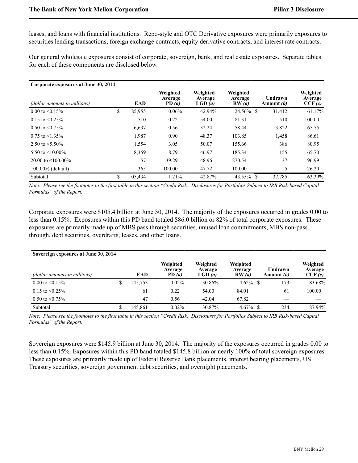leases, and loans with financial institutions. Repo-style and OTC Derivative exposures were primarily exposures to securities lending transactions, foreign exchange contracts, equity derivative contracts, and interest rate contracts.

Our general wholesale exposures consist of corporate, sovereign, bank, and real estate exposures. Separate tables for each of these components are disclosed below.

| Corporate exposures at June 30, 2014 |               |                              |                               |                              |                       |                               |
|--------------------------------------|---------------|------------------------------|-------------------------------|------------------------------|-----------------------|-------------------------------|
| (dollar amounts in millions)         | EAD           | Weighted<br>Average<br>PD(a) | Weighted<br>Average<br>LGD(a) | Weighted<br>Average<br>RW(a) | Undrawn<br>Amount (b) | Weighted<br>Average<br>CCF(c) |
| $0.00$ to $\leq 0.15\%$              | \$<br>85,955  | 0.06%                        | 42.94%                        | 24.56% \$                    | 31,412                | 61.17%                        |
| $0.15$ to $\leq 0.25\%$              | 510           | 0.22                         | 54.00                         | 81.31                        | 510                   | 100.00                        |
| $0.50$ to $\leq 0.75\%$              | 6,637         | 0.56                         | 32.24                         | 58.44                        | 3,822                 | 65.75                         |
| $0.75$ to $\leq 1.35\%$              | 1,987         | 0.90                         | 48.37                         | 103.85                       | 1,458                 | 86.61                         |
| 2.50 to $\leq 5.50\%$                | 1,554         | 3.05                         | 50.07                         | 155.66                       | 386                   | 80.95                         |
| 5.50 to $\leq 10.00\%$               | 8,369         | 8.79                         | 46.97                         | 185.34                       | 155                   | 65.70                         |
| 20.00 to $\leq 100.00\%$             | 57            | 39.29                        | 48.96                         | 270.54                       | 37                    | 96.99                         |
| $100.00\%$ (default)                 | 365           | 100.00                       | 47.72                         | 100.00                       | 5                     | 26.20                         |
| Subtotal                             | \$<br>105.434 | 1.21%                        | 42.87%                        | 43.55% \$                    | 37.785                | 63.39%                        |

*Note: Please see the footnotes to the first table in this section "Credit Risk: Disclosures for Portfolios Subject to IRB Risk-based Capital Formulas" of the Report.* 

Corporate exposures were \$105.4 billion at June 30, 2014. The majority of the exposures occurred in grades 0.00 to less than 0.15%. Exposures within this PD band totaled \$86.0 billion or 82% of total corporate exposures. These exposures are primarily made up of MBS pass through securities, unused loan commitments, MBS non-pass through, debt securities, overdrafts, leases, and other loans.

| Sovereign exposures at June 30, 2014 |         |                              |                               |                              |                              |                               |
|--------------------------------------|---------|------------------------------|-------------------------------|------------------------------|------------------------------|-------------------------------|
| (dollar amounts in millions)         | EAD     | Weighted<br>Average<br>PD(a) | Weighted<br>Average<br>LGD(a) | Weighted<br>Average<br>RW(a) | Undrawn<br>Amount <i>(b)</i> | Weighted<br>Average<br>CCF(c) |
| $0.00 \text{ to } 0.15\%$            | 145,753 | 0.02%                        | 30.86%                        |                              | 173                          | 83.68%                        |
| $0.15$ to $\leq 0.25\%$              | 61      | 0.22                         | 54.00                         | 84.01                        | 61                           | 100.00                        |
| $0.50$ to $\leq 0.75\%$              | 47      | 0.56                         | 42.04                         | 67.82                        |                              |                               |
| Subtotal                             | 145.861 | 0.02%                        | 30.87%                        | $4.67\%$ \$                  | 234                          | 87.94%                        |

*Note: Please see the footnotes to the first table in this section "Credit Risk: Disclosures for Portfolios Subject to IRB Risk-based Capital Formulas" of the Report.* 

Sovereign exposures were \$145.9 billion at June 30, 2014. The majority of the exposures occurred in grades 0.00 to less than 0.15%. Exposures within this PD band totaled \$145.8 billion or nearly 100% of total sovereign exposures. These exposures are primarily made up of Federal Reserve Bank placements, interest bearing placements, US Treasury securities, sovereign government debt securities, and overnight placements.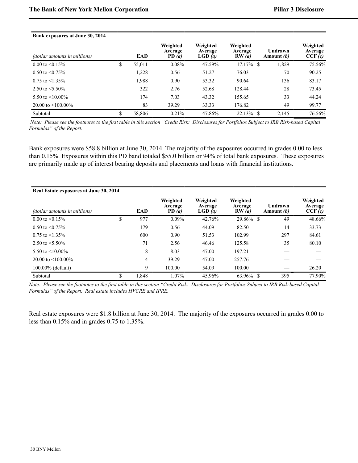| Bank exposures at June 30, 2014 |    |        |                              |                               |                              |                       |                               |
|---------------------------------|----|--------|------------------------------|-------------------------------|------------------------------|-----------------------|-------------------------------|
| (dollar amounts in millions)    |    | EAD    | Weighted<br>Average<br>PD(a) | Weighted<br>Average<br>LGD(a) | Weighted<br>Average<br>RW(a) | Undrawn<br>Amount (b) | Weighted<br>Average<br>CCF(c) |
| 0.00 to $\leq 0.15\%$           | \$ | 55,011 | $0.08\%$                     | 47.59%                        | 17.17%<br>-S                 | 1,829                 | 75.56%                        |
| $0.50$ to $\leq 0.75\%$         |    | 1,228  | 0.56                         | 51.27                         | 76.03                        | 70                    | 90.25                         |
| $0.75$ to $\leq 1.35\%$         |    | 1.988  | 0.90                         | 53.32                         | 90.64                        | 136                   | 83.17                         |
| 2.50 to $\leq 5.50\%$           |    | 322    | 2.76                         | 52.68                         | 128.44                       | 28                    | 73.45                         |
| 5.50 to $\leq 10.00\%$          |    | 174    | 7.03                         | 43.32                         | 155.65                       | 33                    | 44.24                         |
| 20.00 to $\leq 100.00\%$        |    | 83     | 39.29                        | 33.33                         | 176.82                       | 49                    | 99.77                         |
| Subtotal                        | S  | 58,806 | $0.21\%$                     | 47.86%                        | 22.13%<br>-S                 | 2,145                 | 76.56%                        |

 *Note: Please see the footnotes to the first table in this section "Credit Risk: Disclosures for Portfolios Subject to IRB Risk-based Capital Formulas" of the Report.* 

Bank exposures were \$58.8 billion at June 30, 2014. The majority of the exposures occurred in grades 0.00 to less than 0.15%. Exposures within this PD band totaled \$55.0 billion or 94% of total bank exposures. These exposures are primarily made up of interest bearing deposits and placements and loans with financial institutions.

| Real Estate exposures at June 30, 2014 |             |                              |                               |                              |                       |                               |
|----------------------------------------|-------------|------------------------------|-------------------------------|------------------------------|-----------------------|-------------------------------|
| (dollar amounts in millions)           | EAD         | Weighted<br>Average<br>PD(a) | Weighted<br>Average<br>LGD(a) | Weighted<br>Average<br>RW(a) | Undrawn<br>Amount (b) | Weighted<br>Average<br>CCF(c) |
| $0.00 \text{ to } 5\%$                 | \$<br>977   | $0.09\%$                     | 42.76%                        | 29.86% \$                    | 49                    | 48.66%                        |
| $0.50$ to $\leq 0.75\%$                | 179         | 0.56                         | 44.09                         | 82.50                        | 14                    | 33.73                         |
| $0.75$ to $\leq 1.35\%$                | 600         | 0.90                         | 51.53                         | 102.99                       | 297                   | 84.61                         |
| 2.50 to $\leq 5.50\%$                  | 71          | 2.56                         | 46.46                         | 125.58                       | 35                    | 80.10                         |
| 5.50 to $\leq 10.00\%$                 | 8           | 8.03                         | 47.00                         | 197.21                       |                       |                               |
| 20.00 to $\leq 100.00\%$               | 4           | 39.29                        | 47.00                         | 257.76                       |                       |                               |
| $100.00\%$ (default)                   | 9           | 100.00                       | 54.09                         | 100.00                       |                       | 26.20                         |
| Subtotal                               | \$<br>1.848 | 1.07%                        | 45.96%                        | $63.96\%$ \$                 | 395                   | 77.90%                        |

*Note: Please see the footnotes to the first table in this section "Credit Risk: Disclosures for Portfolios Subject to IRB Risk-based Capital Formulas" of the Report. Real estate includes HVCRE and IPRE.*

Real estate exposures were \$1.8 billion at June 30, 2014. The majority of the exposures occurred in grades 0.00 to less than 0.15% and in grades 0.75 to 1.35%.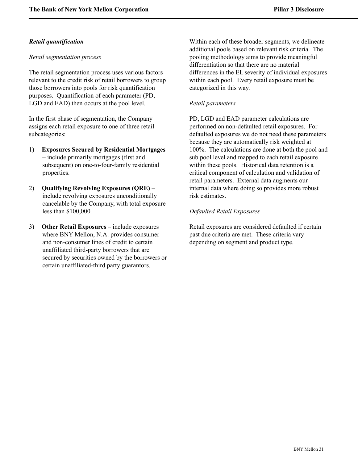## *Retail quantification*

#### *Retail segmentation process*

The retail segmentation process uses various factors relevant to the credit risk of retail borrowers to group those borrowers into pools for risk quantification purposes. Quantification of each parameter (PD, LGD and EAD) then occurs at the pool level.

In the first phase of segmentation, the Company assigns each retail exposure to one of three retail subcategories:

- 1) **Exposures Secured by Residential Mortgages** – include primarily mortgages (first and subsequent) on one-to-four-family residential properties.
- 2) **Qualifying Revolving Exposures (QRE)** include revolving exposures unconditionally cancelable by the Company, with total exposure less than \$100,000.
- 3) **Other Retail Exposures**  include exposures where BNY Mellon, N.A. provides consumer and non-consumer lines of credit to certain unaffiliated third-party borrowers that are secured by securities owned by the borrowers or certain unaffiliated-third party guarantors.

Within each of these broader segments, we delineate additional pools based on relevant risk criteria. The pooling methodology aims to provide meaningful differentiation so that there are no material differences in the EL severity of individual exposures within each pool. Every retail exposure must be categorized in this way.

## *Retail parameters*

PD, LGD and EAD parameter calculations are performed on non-defaulted retail exposures. For defaulted exposures we do not need these parameters because they are automatically risk weighted at 100%. The calculations are done at both the pool and sub pool level and mapped to each retail exposure within these pools. Historical data retention is a critical component of calculation and validation of retail parameters. External data augments our internal data where doing so provides more robust risk estimates.

## *Defaulted Retail Exposures*

Retail exposures are considered defaulted if certain past due criteria are met. These criteria vary depending on segment and product type.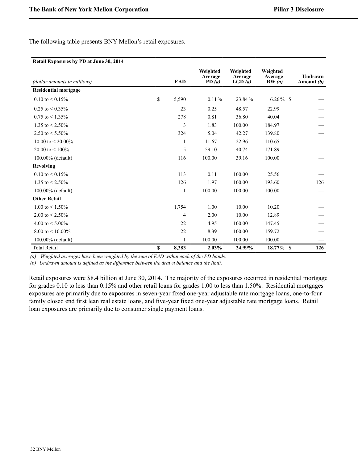The following table presents BNY Mellon's retail exposures.

#### **Retail Exposures by PD at June 30, 2014**

| (dollar amounts in millions) | <b>EAD</b>   | Weighted<br>Average<br>PD $(a)$ | Weighted<br>Average<br>LGD(a) | Weighted<br>Average<br>RW(a) | Undrawn<br>Amount (b) |
|------------------------------|--------------|---------------------------------|-------------------------------|------------------------------|-----------------------|
| <b>Residential mortgage</b>  |              |                                 |                               |                              |                       |
| $0.10 \text{ to } 0.15\%$    | \$<br>5,590  | $0.11\%$                        | 23.84%                        | $6.26\%$ \$                  |                       |
| $0.25$ to $\leq 0.35\%$      | 23           | 0.25                            | 48.57                         | 22.99                        |                       |
| $0.75$ to $\leq 1.35\%$      | 278          | 0.81                            | 36.80                         | 40.04                        |                       |
| 1.35 to $< 2.50\%$           | 3            | 1.83                            | 100.00                        | 184.97                       |                       |
| 2.50 to $< 5.50\%$           | 324          | 5.04                            | 42.27                         | 139.80                       |                       |
| 10.00 to $\leq$ 20.00%       | 1            | 11.67                           | 22.96                         | 110.65                       |                       |
| 20.00 to $<$ 100%            | 5            | 59.10                           | 40.74                         | 171.89                       |                       |
| 100.00% (default)            | 116          | 100.00                          | 39.16                         | 100.00                       |                       |
| <b>Revolving</b>             |              |                                 |                               |                              |                       |
| $0.10 \text{ to } 0.15\%$    | 113          | 0.11                            | 100.00                        | 25.56                        |                       |
| 1.35 to $\leq$ 2.50%         | 126          | 1.97                            | 100.00                        | 193.60                       | 126                   |
| 100.00% (default)            | $\mathbf{1}$ | 100.00                          | 100.00                        | 100.00                       |                       |
| <b>Other Retail</b>          |              |                                 |                               |                              |                       |
| 1.00 to $\leq$ 1.50%         | 1,754        | 1.00                            | 10.00                         | 10.20                        |                       |
| 2.00 to $< 2.50\%$           | 4            | 2.00                            | 10.00                         | 12.89                        |                       |
| 4.00 to $< 5.00\%$           | 22           | 4.95                            | 100.00                        | 147.45                       |                       |
| 8.00 to $<$ 10.00%           | 22           | 8.39                            | 100.00                        | 159.72                       |                       |
| 100.00% (default)            | 1            | 100.00                          | 100.00                        | 100.00                       |                       |
| <b>Total Retail</b>          | \$<br>8,383  | 2.03%                           | 24.99%                        | 18.77% \$                    | 126                   |

*(a) Weighted averages have been weighted by the sum of EAD within each of the PD bands.*

*(b) Undrawn amount is defined as the difference between the drawn balance and the limit.*

Retail exposures were \$8.4 billion at June 30, 2014. The majority of the exposures occurred in residential mortgage for grades 0.10 to less than 0.15% and other retail loans for grades 1.00 to less than 1.50%. Residential mortgages exposures are primarily due to exposures in seven-year fixed one-year adjustable rate mortgage loans, one-to-four family closed end first lean real estate loans, and five-year fixed one-year adjustable rate mortgage loans. Retail loan exposures are primarily due to consumer single payment loans.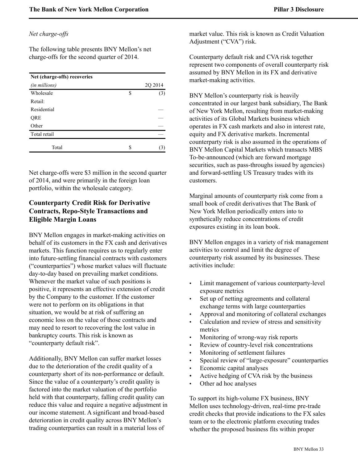# *Net charge-offs*

The following table presents BNY Mellon's net charge-offs for the second quarter of 2014.

| Net (charge-offs) recoveries |           |
|------------------------------|-----------|
| (in millions)                | 2Q 2014   |
| Wholesale                    | \$<br>(3) |
| Retail:                      |           |
| Residential                  |           |
| QRE                          |           |
| Other                        |           |
| Total retail                 |           |
| Total                        | \$<br>3   |

Net charge-offs were \$3 million in the second quarter of 2014, and were primarily in the foreign loan portfolio, within the wholesale category.

# <span id="page-33-0"></span>**Counterparty Credit Risk for Derivative Contracts, Repo-Style Transactions and Eligible Margin Loans**

BNY Mellon engages in market-making activities on behalf of its customers in the FX cash and derivatives markets. This function requires us to regularly enter into future-settling financial contracts with customers ("counterparties") whose market values will fluctuate day-to-day based on prevailing market conditions. Whenever the market value of such positions is positive, it represents an effective extension of credit by the Company to the customer. If the customer were not to perform on its obligations in that situation, we would be at risk of suffering an economic loss on the value of those contracts and may need to resort to recovering the lost value in bankruptcy courts. This risk is known as "counterparty default risk".

Additionally, BNY Mellon can suffer market losses due to the deterioration of the credit quality of a counterparty short of its non-performance or default. Since the value of a counterparty's credit quality is factored into the market valuation of the portfolio held with that counterparty, falling credit quality can reduce this value and require a negative adjustment in our income statement. A significant and broad-based deterioration in credit quality across BNY Mellon's trading counterparties can result in a material loss of

market value. This risk is known as Credit Valuation Adjustment ("CVA") risk.

Counterparty default risk and CVA risk together represent two components of overall counterparty risk assumed by BNY Mellon in its FX and derivative market-making activities.

BNY Mellon's counterparty risk is heavily concentrated in our largest bank subsidiary, The Bank of New York Mellon, resulting from market-making activities of its Global Markets business which operates in FX cash markets and also in interest rate, equity and FX derivative markets. Incremental counterparty risk is also assumed in the operations of BNY Mellon Capital Markets which transacts MBS To-be-announced (which are forward mortgage securities, such as pass-throughs issued by agencies) and forward-settling US Treasury trades with its customers.

Marginal amounts of counterparty risk come from a small book of credit derivatives that The Bank of New York Mellon periodically enters into to synthetically reduce concentrations of credit exposures existing in its loan book.

BNY Mellon engages in a variety of risk management activities to control and limit the degree of counterparty risk assumed by its businesses. These activities include:

- Limit management of various counterparty-level exposure metrics
- Set up of netting agreements and collateral exchange terms with large counterparties
- Approval and monitoring of collateral exchanges
- Calculation and review of stress and sensitivity metrics
- Monitoring of wrong-way risk reports
- Review of country-level risk concentrations
- Monitoring of settlement failures
- Special review of "large-exposure" counterparties
- Economic capital analyses
- Active hedging of CVA risk by the business
- Other ad hoc analyses

To support its high-volume FX business, BNY Mellon uses technology-driven, real-time pre-trade credit checks that provide indications to the FX sales team or to the electronic platform executing trades whether the proposed business fits within proper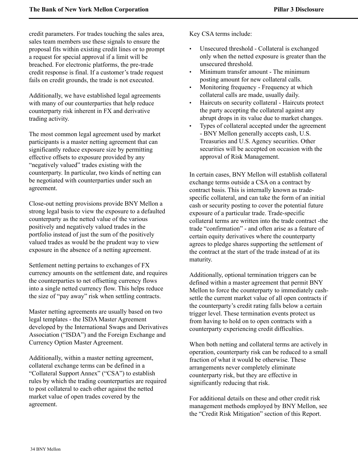credit parameters. For trades touching the sales area, sales team members use these signals to ensure the proposal fits within existing credit lines or to prompt a request for special approval if a limit will be breached. For electronic platforms, the pre-trade credit response is final. If a customer's trade request fails on credit grounds, the trade is not executed.

Additionally, we have established legal agreements with many of our counterparties that help reduce counterparty risk inherent in FX and derivative trading activity.

The most common legal agreement used by market participants is a master netting agreement that can significantly reduce exposure size by permitting effective offsets to exposure provided by any "negatively valued" trades existing with the counterparty. In particular, two kinds of netting can be negotiated with counterparties under such an agreement.

Close-out netting provisions provide BNY Mellon a strong legal basis to view the exposure to a defaulted counterparty as the netted value of the various positively and negatively valued trades in the portfolio instead of just the sum of the positively valued trades as would be the prudent way to view exposure in the absence of a netting agreement.

Settlement netting pertains to exchanges of FX currency amounts on the settlement date, and requires the counterparties to net offsetting currency flows into a single netted currency flow. This helps reduce the size of "pay away" risk when settling contracts.

Master netting agreements are usually based on two legal templates - the ISDA Master Agreement developed by the International Swaps and Derivatives Association ("ISDA") and the Foreign Exchange and Currency Option Master Agreement.

Additionally, within a master netting agreement, collateral exchange terms can be defined in a "Collateral Support Annex" ("CSA") to establish rules by which the trading counterparties are required to post collateral to each other against the netted market value of open trades covered by the agreement.

Key CSA terms include:

- Unsecured threshold Collateral is exchanged only when the netted exposure is greater than the unsecured threshold.
- Minimum transfer amount The minimum posting amount for new collateral calls.
- Monitoring frequency Frequency at which collateral calls are made, usually daily.
- Haircuts on security collateral Haircuts protect the party accepting the collateral against any abrupt drops in its value due to market changes.
- Types of collateral accepted under the agreement - BNY Mellon generally accepts cash, U.S. Treasuries and U.S. Agency securities. Other securities will be accepted on occasion with the approval of Risk Management.

In certain cases, BNY Mellon will establish collateral exchange terms outside a CSA on a contract by contract basis. This is internally known as tradespecific collateral, and can take the form of an initial cash or security posting to cover the potential future exposure of a particular trade. Trade-specific collateral terms are written into the trade contract -the trade "confirmation" - and often arise as a feature of certain equity derivatives where the counterparty agrees to pledge shares supporting the settlement of the contract at the start of the trade instead of at its maturity.

Additionally, optional termination triggers can be defined within a master agreement that permit BNY Mellon to force the counterparty to immediately cashsettle the current market value of all open contracts if the counterparty's credit rating falls below a certain trigger level. These termination events protect us from having to hold on to open contracts with a counterparty experiencing credit difficulties.

When both netting and collateral terms are actively in operation, counterparty risk can be reduced to a small fraction of what it would be otherwise. These arrangements never completely eliminate counterparty risk, but they are effective in significantly reducing that risk.

For additional details on these and other credit risk management methods employed by BNY Mellon, see the "Credit Risk Mitigation" section of this Report.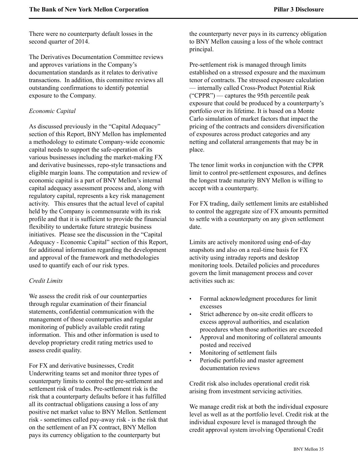There were no counterparty default losses in the second quarter of 2014.

The Derivatives Documentation Committee reviews and approves variations in the Company's documentation standards as it relates to derivative transactions. In addition, this committee reviews all outstanding confirmations to identify potential exposure to the Company.

#### *Economic Capital*

As discussed previously in the "Capital Adequacy" section of this Report, BNY Mellon has implemented a methodology to estimate Company-wide economic capital needs to support the safe-operation of its various businesses including the market-making FX and derivative businesses, repo-style transactions and eligible margin loans. The computation and review of economic capital is a part of BNY Mellon's internal capital adequacy assessment process and, along with regulatory capital, represents a key risk management activity. This ensures that the actual level of capital held by the Company is commensurate with its risk profile and that it is sufficient to provide the financial flexibility to undertake future strategic business initiatives. Please see the discussion in the "Capital Adequacy - Economic Capital" section of this Report, for additional information regarding the development and approval of the framework and methodologies used to quantify each of our risk types.

#### *Credit Limits*

We assess the credit risk of our counterparties through regular examination of their financial statements, confidential communication with the management of those counterparties and regular monitoring of publicly available credit rating information. This and other information is used to develop proprietary credit rating metrics used to assess credit quality.

For FX and derivative businesses, Credit Underwriting teams set and monitor three types of counterparty limits to control the pre-settlement and settlement risk of trades. Pre-settlement risk is the risk that a counterparty defaults before it has fulfilled all its contractual obligations causing a loss of any positive net market value to BNY Mellon. Settlement risk - sometimes called pay-away risk - is the risk that on the settlement of an FX contract, BNY Mellon pays its currency obligation to the counterparty but

the counterparty never pays in its currency obligation to BNY Mellon causing a loss of the whole contract principal.

Pre-settlement risk is managed through limits established on a stressed exposure and the maximum tenor of contracts. The stressed exposure calculation — internally called Cross-Product Potential Risk ("CPPR") — captures the 95th percentile peak exposure that could be produced by a counterparty's portfolio over its lifetime. It is based on a Monte Carlo simulation of market factors that impact the pricing of the contracts and considers diversification of exposures across product categories and any netting and collateral arrangements that may be in place.

The tenor limit works in conjunction with the CPPR limit to control pre-settlement exposures, and defines the longest trade maturity BNY Mellon is willing to accept with a counterparty.

For FX trading, daily settlement limits are established to control the aggregate size of FX amounts permitted to settle with a counterparty on any given settlement date.

Limits are actively monitored using end-of-day snapshots and also on a real-time basis for FX activity using intraday reports and desktop monitoring tools. Detailed policies and procedures govern the limit management process and cover activities such as:

- Formal acknowledgment procedures for limit excesses
- Strict adherence by on-site credit officers to excess approval authorities, and escalation procedures when those authorities are exceeded
- Approval and monitoring of collateral amounts posted and received
- Monitoring of settlement fails
- Periodic portfolio and master agreement documentation reviews

Credit risk also includes operational credit risk arising from investment servicing activities.

We manage credit risk at both the individual exposure level as well as at the portfolio level. Credit risk at the individual exposure level is managed through the credit approval system involving Operational Credit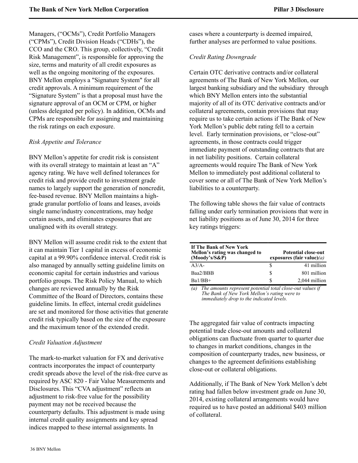Managers, ("OCMs"), Credit Portfolio Managers ("CPMs"), Credit Division Heads ("CDHs"), the CCO and the CRO. This group, collectively, "Credit Risk Management", is responsible for approving the size, terms and maturity of all credit exposures as well as the ongoing monitoring of the exposures. BNY Mellon employs a "Signature System" for all credit approvals. A minimum requirement of the "Signature System" is that a proposal must have the signature approval of an OCM or CPM, or higher (unless delegated per policy). In addition, OCMs and CPMs are responsible for assigning and maintaining the risk ratings on each exposure.

#### *Risk Appetite and Tolerance*

BNY Mellon's appetite for credit risk is consistent with its overall strategy to maintain at least an "A" agency rating. We have well defined tolerances for credit risk and provide credit to investment grade names to largely support the generation of noncredit, fee-based revenue. BNY Mellon maintains a highgrade granular portfolio of loans and leases, avoids single name/industry concentrations, may hedge certain assets, and eliminates exposures that are unaligned with its overall strategy.

BNY Mellon will assume credit risk to the extent that it can maintain Tier 1 capital in excess of economic capital at a 99.90% confidence interval. Credit risk is also managed by annually setting guideline limits on economic capital for certain industries and various portfolio groups. The Risk Policy Manual, to which changes are reviewed annually by the Risk Committee of the Board of Directors, contains these guideline limits. In effect, internal credit guidelines are set and monitored for those activities that generate credit risk typically based on the size of the exposure and the maximum tenor of the extended credit.

#### *Credit Valuation Adjustment*

The mark-to-market valuation for FX and derivative contracts incorporates the impact of counterparty credit spreads above the level of the risk-free curve as required by ASC 820 - Fair Value Measurements and Disclosures. This "CVA adjustment" reflects an adjustment to risk-free value for the possibility payment may not be received because the counterparty defaults. This adjustment is made using internal credit quality assignments and key spread indices mapped to these internal assignments. In

cases where a counterparty is deemed impaired, further analyses are performed to value positions.

## *Credit Rating Downgrade*

Certain OTC derivative contracts and/or collateral agreements of The Bank of New York Mellon, our largest banking subsidiary and the subsidiary through which BNY Mellon enters into the substantial majority of all of its OTC derivative contracts and/or collateral agreements, contain provisions that may require us to take certain actions if The Bank of New York Mellon's public debt rating fell to a certain level. Early termination provisions, or "close-out" agreements, in those contracts could trigger immediate payment of outstanding contracts that are in net liability positions. Certain collateral agreements would require The Bank of New York Mellon to immediately post additional collateral to cover some or all of The Bank of New York Mellon's liabilities to a counterparty.

The following table shows the fair value of contracts falling under early termination provisions that were in net liability positions as of June 30, 2014 for three key ratings triggers:

| If The Bank of New York<br>Mellon's rating was changed to<br>$(Moody's/S\&P)$ |   | <b>Potential close-out</b><br>exposures (fair value) $(a)$ |
|-------------------------------------------------------------------------------|---|------------------------------------------------------------|
| $A^3/A$                                                                       | S | 41 million                                                 |
| Baa2/BBB                                                                      | S | 801 million                                                |
| $Ba1/BB+$                                                                     | S | 2,044 million                                              |

*(a) The amounts represent potential total close-out values if The Bank of New York Mellon's rating were to immediately drop to the indicated levels.*

The aggregated fair value of contracts impacting potential trade close-out amounts and collateral obligations can fluctuate from quarter to quarter due to changes in market conditions, changes in the composition of counterparty trades, new business, or changes to the agreement definitions establishing close-out or collateral obligations.

Additionally, if The Bank of New York Mellon's debt rating had fallen below investment grade on June 30, 2014, existing collateral arrangements would have required us to have posted an additional \$403 million of collateral.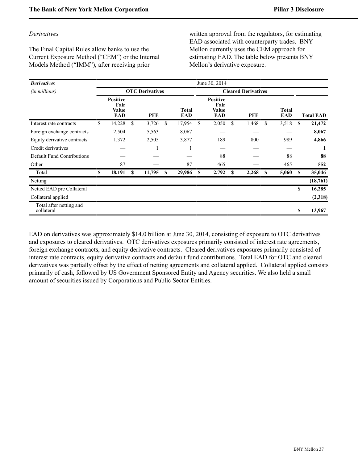#### *Derivatives*

The Final Capital Rules allow banks to use the Current Exposure Method ("CEM") or the Internal Models Method ("IMM"), after receiving prior

written approval from the regulators, for estimating EAD associated with counterparty trades. BNY Mellon currently uses the CEM approach for estimating EAD. The table below presents BNY Mellon's derivative exposure.

| <b>Derivatives</b>                    |                                         |   |                        |   |                     |    | June 30, 2014                           |    |                            |    |                            |    |                  |
|---------------------------------------|-----------------------------------------|---|------------------------|---|---------------------|----|-----------------------------------------|----|----------------------------|----|----------------------------|----|------------------|
| (in millions)                         |                                         |   | <b>OTC</b> Derivatives |   |                     |    |                                         |    | <b>Cleared Derivatives</b> |    |                            |    |                  |
|                                       | <b>Positive</b><br>Fair<br>Value<br>EAD |   | <b>PFE</b>             |   | <b>Total</b><br>EAD |    | Positive<br>Fair<br>Value<br><b>EAD</b> |    | <b>PFE</b>                 |    | <b>Total</b><br><b>EAD</b> |    | <b>Total EAD</b> |
| Interest rate contracts               | \$<br>14,228                            | S | 3,726                  | S | 17,954              | \$ | 2,050                                   | \$ | 1,468                      | \$ | 3,518                      | S  | 21,472           |
| Foreign exchange contracts            | 2,504                                   |   | 5,563                  |   | 8,067               |    |                                         |    |                            |    |                            |    | 8,067            |
| Equity derivative contracts           | 1,372                                   |   | 2,505                  |   | 3,877               |    | 189                                     |    | 800                        |    | 989                        |    | 4,866            |
| Credit derivatives                    |                                         |   |                        |   | -1                  |    |                                         |    |                            |    |                            |    |                  |
| Default Fund Contributions            |                                         |   |                        |   |                     |    | 88                                      |    |                            |    | 88                         |    | 88               |
| Other                                 | 87                                      |   |                        |   | 87                  |    | 465                                     |    |                            |    | 465                        |    | 552              |
| Total                                 | \$<br>18,191                            | S | 11,795                 | S | 29,986              | S  | 2,792                                   | S  | 2,268                      | S  | 5,060                      | S  | 35,046           |
| Netting                               |                                         |   |                        |   |                     |    |                                         |    |                            |    |                            |    | (18, 761)        |
| Netted EAD pre Collateral             |                                         |   |                        |   |                     |    |                                         |    |                            |    |                            | \$ | 16,285           |
| Collateral applied                    |                                         |   |                        |   |                     |    |                                         |    |                            |    |                            |    | (2,318)          |
| Total after netting and<br>collateral |                                         |   |                        |   |                     |    |                                         |    |                            |    |                            | \$ | 13,967           |

EAD on derivatives was approximately \$14.0 billion at June 30, 2014, consisting of exposure to OTC derivatives and exposures to cleared derivatives. OTC derivatives exposures primarily consisted of interest rate agreements, foreign exchange contracts, and equity derivative contracts. Cleared derivatives exposures primarily consisted of interest rate contracts, equity derivative contracts and default fund contributions. Total EAD for OTC and cleared derivatives was partially offset by the effect of netting agreements and collateral applied. Collateral applied consists primarily of cash, followed by US Government Sponsored Entity and Agency securities. We also held a small amount of securities issued by Corporations and Public Sector Entities.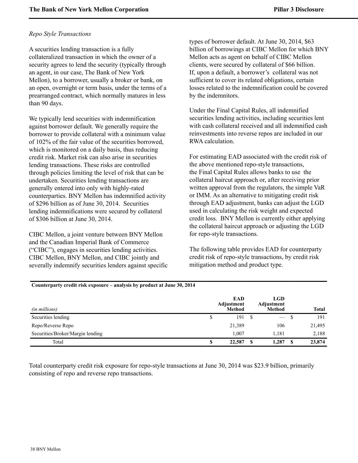#### *Repo Style Transactions*

A securities lending transaction is a fully collateralized transaction in which the owner of a security agrees to lend the security (typically through an agent, in our case, The Bank of New York Mellon), to a borrower, usually a broker or bank, on an open, overnight or term basis, under the terms of a prearranged contract, which normally matures in less than 90 days.

We typically lend securities with indemnification against borrower default. We generally require the borrower to provide collateral with a minimum value of 102% of the fair value of the securities borrowed, which is monitored on a daily basis, thus reducing credit risk. Market risk can also arise in securities lending transactions. These risks are controlled through policies limiting the level of risk that can be undertaken. Securities lending transactions are generally entered into only with highly-rated counterparties. BNY Mellon has indemnified activity of \$296 billion as of June 30, 2014. Securities lending indemnifications were secured by collateral of \$306 billion at June 30, 2014.

CIBC Mellon, a joint venture between BNY Mellon and the Canadian Imperial Bank of Commerce ("CIBC"), engages in securities lending activities. CIBC Mellon, BNY Mellon, and CIBC jointly and severally indemnify securities lenders against specific types of borrower default. At June 30, 2014, \$63 billion of borrowings at CIBC Mellon for which BNY Mellon acts as agent on behalf of CIBC Mellon clients, were secured by collateral of \$66 billion. If, upon a default, a borrower's collateral was not sufficient to cover its related obligations, certain losses related to the indemnification could be covered by the indemnitors.

Under the Final Capital Rules, all indemnified securities lending activities, including securities lent with cash collateral received and all indemnified cash reinvestments into reverse repos are included in our RWA calculation.

For estimating EAD associated with the credit risk of the above mentioned repo-style transactions, the Final Capital Rules allows banks to use the collateral haircut approach or, after receiving prior written approval from the regulators, the simple VaR or IMM. As an alternative to mitigating credit risk through EAD adjustment, banks can adjust the LGD used in calculating the risk weight and expected credit loss. BNY Mellon is currently either applying the collateral haircut approach or adjusting the LGD for repo-style transactions.

The following table provides EAD for counterparty credit risk of repo-style transactions, by credit risk mitigation method and product type.

#### **Counterparty credit risk exposure – analysis by product at June 30, 2014**

| (in millions)                    |    | <b>EAD</b><br>Adjustment<br><b>Method</b> |      | <b>LGD</b><br>Adjustment<br>Method |      | <b>Total</b> |
|----------------------------------|----|-------------------------------------------|------|------------------------------------|------|--------------|
| Securities lending               | ۰D | 191                                       | - \$ | $\overline{\phantom{0}}$           |      | 191          |
| Repo/Reverse Repo                |    | 21,389                                    |      | 106                                |      | 21,495       |
| Securities/Broker/Margin lending |    | 1,007                                     |      | 1.181                              |      | 2,188        |
| Total                            | ۱D | 22,587                                    | -SS  | 1,287                              | - \$ | 23,874       |

Total counterparty credit risk exposure for repo-style transactions at June 30, 2014 was \$23.9 billion, primarily consisting of repo and reverse repo transactions.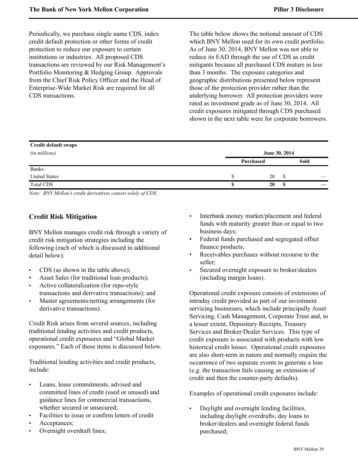Periodically, we purchase single name CDS, index credit default protection or other forms of credit protection to reduce our exposure to certain institutions or industries. All proposed CDS transactions are reviewed by our Risk Management's Portfolio Monitoring & Hedging Group. Approvals from the Chief Risk Policy Officer and the Head of Enterprise-Wide Market Risk are required for all CDS transactions.

The table below shows the notional amount of CDS which BNY Mellon used for its own credit portfolio. As of June 30, 2014, BNY Mellon was not able to reduce its EAD through the use of CDS as credit mitigants because all purchased CDS mature in less than 3 months. The exposure categories and geographic distributions presented below represent those of the protection provider rather than the underlying borrower. All protection providers were rated as investment grade as of June 30, 2014. All credit exposures mitigated through CDS purchased shown in the next table were for corporate borrowers.

| <b>Credit default swaps</b> |               |           |   |      |    |  |
|-----------------------------|---------------|-----------|---|------|----|--|
| (in millions)               | June 30, 2014 |           |   |      |    |  |
|                             |               | Purchased |   | Sold |    |  |
| Banks:                      |               |           |   |      |    |  |
| <b>United States</b>        |               | 20        | S |      |    |  |
| <b>Total CDS</b>            |               | 20        | S |      | __ |  |

*Note: BNY Mellon's credit derivatives consist solely of CDS.* 

## <span id="page-39-0"></span>**Credit Risk Mitigation**

BNY Mellon manages credit risk through a variety of credit risk mitigation strategies including the following (each of which is discussed in additional detail below):

- CDS (as shown in the table above);
- Asset Sales (for traditional loan products);
- Active collateralization (for repo-style transactions and derivative transactions); and
- Master agreements/netting arrangements (for derivative transactions).

Credit Risk arises from several sources, including traditional lending activities and credit products, operational credit exposures and "Global Market exposures." Each of these items is discussed below.

Traditional lending activities and credit products, include:

- Loans, lease commitments, advised and committed lines of credit (used or unused) and guidance lines for commercial transactions, whether secured or unsecured:
- Facilities to issue or confirm letters of credit
- Acceptances;
- Overnight overdraft lines;
- Interbank money market/placement and federal funds with maturity greater than or equal to two business days;
- Federal funds purchased and segregated offset finance products;
- Receivables purchases without recourse to the seller;
- Secured overnight exposure to broker/dealers (including margin loans).

Operational credit exposure consists of extensions of intraday credit provided as part of our investment servicing businesses, which include principally Asset Servicing, Cash Management, Corporate Trust and, to a lesser extent, Depositary Receipts, Treasury Services and Broker/Dealer Services. This type of credit exposure is associated with products with low historical credit losses. Operational credit exposures are also short-term in nature and normally require the occurrence of two separate events to generate a loss (e.g. the transaction fails causing an extension of credit and then the counter-party defaults).

Examples of operational credit exposures include:

• Daylight and overnight lending facilities, including daylight overdrafts, day loans to broker/dealers and overnight federal funds purchased;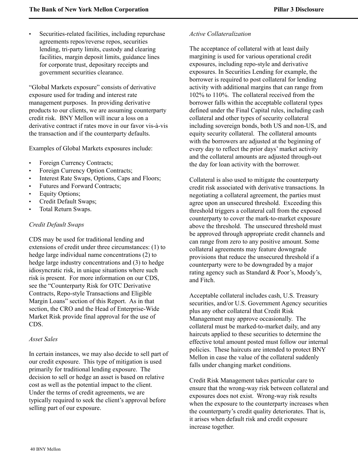Securities-related facilities, including repurchase agreements repos/reverse repos, securities lending, tri-party limits, custody and clearing facilities, margin deposit limits, guidance lines for corporate trust, depositary receipts and government securities clearance.

"Global Markets exposure" consists of derivative exposure used for trading and interest rate management purposes. In providing derivative products to our clients, we are assuming counterparty credit risk. BNY Mellon will incur a loss on a derivative contract if rates move in our favor vis-à-vis the transaction and if the counterparty defaults.

Examples of Global Markets exposures include:

- Foreign Currency Contracts;
- Foreign Currency Option Contracts;
- Interest Rate Swaps, Options, Caps and Floors;
- Futures and Forward Contracts;
- **Equity Options;**
- Credit Default Swaps;
- Total Return Swaps.

#### *Credit Default Swaps*

CDS may be used for traditional lending and extensions of credit under three circumstances: (1) to hedge large individual name concentrations (2) to hedge large industry concentrations and (3) to hedge idiosyncratic risk, in unique situations where such risk is present. For more information on our CDS, see the "Counterparty Risk for OTC Derivative Contracts, Repo-style Transactions and Eligible Margin Loans" section of this Report. As in that section, the CRO and the Head of Enterprise-Wide Market Risk provide final approval for the use of CDS.

#### *Asset Sales*

In certain instances, we may also decide to sell part of our credit exposure. This type of mitigation is used primarily for traditional lending exposure. The decision to sell or hedge an asset is based on relative cost as well as the potential impact to the client. Under the terms of credit agreements, we are typically required to seek the client's approval before selling part of our exposure.

#### *Active Collateralization*

The acceptance of collateral with at least daily margining is used for various operational credit exposures, including repo-style and derivative exposures. In Securities Lending for example, the borrower is required to post collateral for lending activity with additional margins that can range from 102% to 110%. The collateral received from the borrower falls within the acceptable collateral types defined under the Final Capital rules, including cash collateral and other types of security collateral including sovereign bonds, both US and non-US, and equity security collateral. The collateral amounts with the borrowers are adjusted at the beginning of every day to reflect the prior days' market activity and the collateral amounts are adjusted through-out the day for loan activity with the borrower.

Collateral is also used to mitigate the counterparty credit risk associated with derivative transactions. In negotiating a collateral agreement, the parties must agree upon an unsecured threshold. Exceeding this threshold triggers a collateral call from the exposed counterparty to cover the mark-to-market exposure above the threshold. The unsecured threshold must be approved through appropriate credit channels and can range from zero to any positive amount. Some collateral agreements may feature downgrade provisions that reduce the unsecured threshold if a counterparty were to be downgraded by a major rating agency such as Standard & Poor's, Moody's, and Fitch.

Acceptable collateral includes cash, U.S. Treasury securities, and/or U.S. Government Agency securities plus any other collateral that Credit Risk Management may approve occasionally. The collateral must be marked-to-market daily, and any haircuts applied to these securities to determine the effective total amount posted must follow our internal policies. These haircuts are intended to protect BNY Mellon in case the value of the collateral suddenly falls under changing market conditions.

Credit Risk Management takes particular care to ensure that the wrong-way risk between collateral and exposures does not exist. Wrong-way risk results when the exposure to the counterparty increases when the counterparty's credit quality deteriorates. That is, it arises when default risk and credit exposure increase together.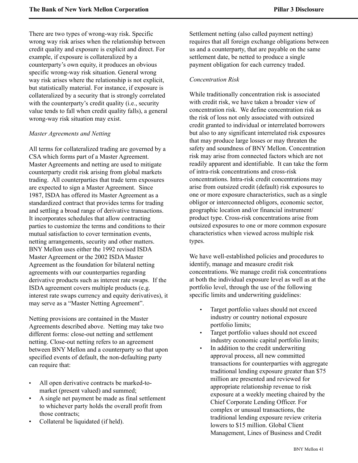There are two types of wrong-way risk. Specific wrong way risk arises when the relationship between credit quality and exposure is explicit and direct. For example, if exposure is collateralized by a counterparty's own equity, it produces an obvious specific wrong-way risk situation. General wrong way risk arises where the relationship is not explicit, but statistically material. For instance, if exposure is collateralized by a security that is strongly correlated with the counterparty's credit quality (i.e., security value tends to fall when credit quality falls), a general wrong-way risk situation may exist.

#### *Master Agreements and Netting*

All terms for collateralized trading are governed by a CSA which forms part of a Master Agreement. Master Agreements and netting are used to mitigate counterparty credit risk arising from global markets trading. All counterparties that trade term exposures are expected to sign a Master Agreement. Since 1987, ISDA has offered its Master Agreement as a standardized contract that provides terms for trading and settling a broad range of derivative transactions. It incorporates schedules that allow contracting parties to customize the terms and conditions to their mutual satisfaction to cover termination events, netting arrangements, security and other matters. BNY Mellon uses either the 1992 revised ISDA Master Agreement or the 2002 ISDA Master Agreement as the foundation for bilateral netting agreements with our counterparties regarding derivative products such as interest rate swaps. If the ISDA agreement covers multiple products (e.g. interest rate swaps currency and equity derivatives), it may serve as a "Master Netting Agreement".

Netting provisions are contained in the Master Agreements described above. Netting may take two different forms: close-out netting and settlement netting. Close-out netting refers to an agreement between BNY Mellon and a counterparty so that upon specified events of default, the non-defaulting party can require that:

- All open derivative contracts be marked-tomarket (present valued) and summed;
- A single net payment be made as final settlement to whichever party holds the overall profit from those contracts;
- Collateral be liquidated (if held).

Settlement netting (also called payment netting) requires that all foreign exchange obligations between us and a counterparty, that are payable on the same settlement date, be netted to produce a single payment obligation for each currency traded.

#### *Concentration Risk*

While traditionally concentration risk is associated with credit risk, we have taken a broader view of concentration risk. We define concentration risk as the risk of loss not only associated with outsized credit granted to individual or interrelated borrowers but also to any significant interrelated risk exposures that may produce large losses or may threaten the safety and soundness of BNY Mellon. Concentration risk may arise from connected factors which are not readily apparent and identifiable. It can take the form of intra-risk concentrations and cross-risk concentrations. Intra-risk credit concentrations may arise from outsized credit (default) risk exposures to one or more exposure characteristics, such as a single obligor or interconnected obligors, economic sector, geographic location and/or financial instrument/ product type. Cross-risk concentrations arise from outsized exposures to one or more common exposure characteristics when viewed across multiple risk types.

We have well-established policies and procedures to identify, manage and measure credit risk concentrations. We manage credit risk concentrations at both the individual exposure level as well as at the portfolio level, through the use of the following specific limits and underwriting guidelines:

- Target portfolio values should not exceed industry or country notional exposure portfolio limits;
- Target portfolio values should not exceed industry economic capital portfolio limits;
- In addition to the credit underwriting approval process, all new committed transactions for counterparties with aggregate traditional lending exposure greater than \$75 million are presented and reviewed for appropriate relationship revenue to risk exposure at a weekly meeting chaired by the Chief Corporate Lending Officer. For complex or unusual transactions, the traditional lending exposure review criteria lowers to \$15 million. Global Client Management, Lines of Business and Credit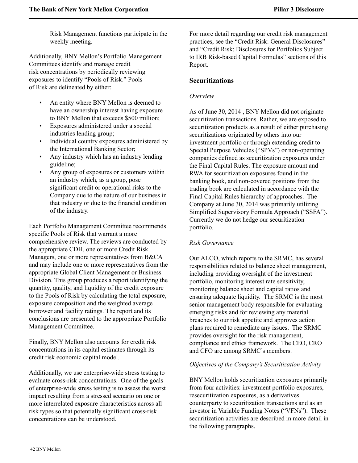Risk Management functions participate in the weekly meeting.

<span id="page-42-0"></span>Additionally, BNY Mellon's Portfolio Management Committees identify and manage credit risk concentrations by periodically reviewing exposures to identify "Pools of Risk." Pools of Risk are delineated by either:

- An entity where BNY Mellon is deemed to have an ownership interest having exposure to BNY Mellon that exceeds \$500 million;
- Exposures administered under a special industries lending group;
- Individual country exposures administered by the International Banking Sector;
- Any industry which has an industry lending guideline;
- Any group of exposures or customers within an industry which, as a group, pose significant credit or operational risks to the Company due to the nature of our business in that industry or due to the financial condition of the industry.

Each Portfolio Management Committee recommends specific Pools of Risk that warrant a more comprehensive review. The reviews are conducted by the appropriate CDH, one or more Credit Risk Managers, one or more representatives from B&CA and may include one or more representatives from the appropriate Global Client Management or Business Division. This group produces a report identifying the quantity, quality, and liquidity of the credit exposure to the Pools of Risk by calculating the total exposure, exposure composition and the weighted average borrower and facility ratings. The report and its conclusions are presented to the appropriate Portfolio Management Committee.

Finally, BNY Mellon also accounts for credit risk concentrations in its capital estimates through its credit risk economic capital model.

Additionally, we use enterprise-wide stress testing to evaluate cross-risk concentrations. One of the goals of enterprise-wide stress testing is to assess the worst impact resulting from a stressed scenario on one or more interrelated exposure characteristics across all risk types so that potentially significant cross-risk concentrations can be understood.

For more detail regarding our credit risk management practices, see the "Credit Risk: General Disclosures" and "Credit Risk: Disclosures for Portfolios Subject to IRB Risk-based Capital Formulas" sections of this Report.

## **Securitizations**

## *Overview*

As of June 30, 2014 , BNY Mellon did not originate securitization transactions. Rather, we are exposed to securitization products as a result of either purchasing securitizations originated by others into our investment portfolio or through extending credit to Special Purpose Vehicles ("SPVs") or non-operating companies defined as securitization exposures under the Final Capital Rules. The exposure amount and RWA for securitization exposures found in the banking book, and non-covered positions from the trading book are calculated in accordance with the Final Capital Rules hierarchy of approaches. The Company at June 30, 2014 was primarily utilizing Simplified Supervisory Formula Approach ("SSFA"). Currently we do not hedge our securitization portfolio.

## *Risk Governance*

Our ALCO, which reports to the SRMC, has several responsibilities related to balance sheet management, including providing oversight of the investment portfolio, monitoring interest rate sensitivity, monitoring balance sheet and capital ratios and ensuring adequate liquidity. The SRMC is the most senior management body responsible for evaluating emerging risks and for reviewing any material breaches to our risk appetite and approves action plans required to remediate any issues. The SRMC provides oversight for the risk management, compliance and ethics framework. The CEO, CRO and CFO are among SRMC's members.

#### *Objectives of the Company's Securitization Activity*

BNY Mellon holds securitization exposures primarily from four activities: investment portfolio exposures, resecuritization exposures, as a derivatives counterparty to securitization transactions and as an investor in Variable Funding Notes ("VFNs"). These securitization activities are described in more detail in the following paragraphs.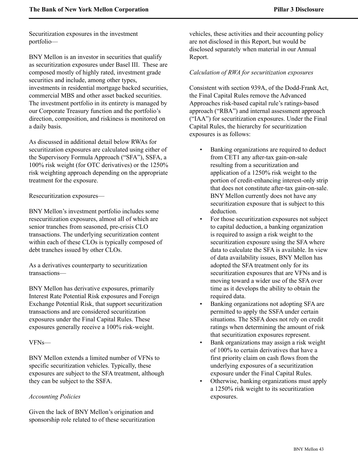Securitization exposures in the investment portfolio—

BNY Mellon is an investor in securities that qualify as securitization exposures under Basel III. These are composed mostly of highly rated, investment grade securities and include, among other types, investments in residential mortgage backed securities, commercial MBS and other asset backed securities. The investment portfolio in its entirety is managed by our Corporate Treasury function and the portfolio's direction, composition, and riskiness is monitored on a daily basis.

As discussed in additional detail below RWAs for securitization exposures are calculated using either of the Supervisory Formula Approach ("SFA"), SSFA, a 100% risk weight (for OTC derivatives) or the 1250% risk weighting approach depending on the appropriate treatment for the exposure.

Resecuritization exposures—

BNY Mellon's investment portfolio includes some resecuritization exposures, almost all of which are senior tranches from seasoned, pre-crisis CLO transactions. The underlying securitization content within each of these CLOs is typically composed of debt tranches issued by other CLOs.

As a derivatives counterparty to securitization transactions—

BNY Mellon has derivative exposures, primarily Interest Rate Potential Risk exposures and Foreign Exchange Potential Risk, that support securitization transactions and are considered securitization exposures under the Final Capital Rules. These exposures generally receive a 100% risk-weight.

#### VFNs—

BNY Mellon extends a limited number of VFNs to specific securitization vehicles. Typically, these exposures are subject to the SFA treatment, although they can be subject to the SSFA.

#### *Accounting Policies*

Given the lack of BNY Mellon's origination and sponsorship role related to of these securitization vehicles, these activities and their accounting policy are not disclosed in this Report, but would be disclosed separately when material in our Annual Report.

#### *Calculation of RWA for securitization exposures*

Consistent with section 939A, of the Dodd-Frank Act, the Final Capital Rules remove the Advanced Approaches risk-based capital rule's ratings-based approach ("RBA") and internal assessment approach ("IAA") for securitization exposures. Under the Final Capital Rules, the hierarchy for securitization exposures is as follows:

- Banking organizations are required to deduct from CET1 any after-tax gain-on-sale resulting from a securitization and application of a 1250% risk weight to the portion of credit-enhancing interest-only strip that does not constitute after-tax gain-on-sale. BNY Mellon currently does not have any securitization exposure that is subject to this deduction.
- For those securitization exposures not subject to capital deduction, a banking organization is required to assign a risk weight to the securitization exposure using the SFA where data to calculate the SFA is available. In view of data availability issues, BNY Mellon has adopted the SFA treatment only for its securitization exposures that are VFNs and is moving toward a wider use of the SFA over time as it develops the ability to obtain the required data.
- Banking organizations not adopting SFA are permitted to apply the SSFA under certain situations. The SSFA does not rely on credit ratings when determining the amount of risk that securitization exposures represent.
- Bank organizations may assign a risk weight of 100% to certain derivatives that have a first priority claim on cash flows from the underlying exposures of a securitization exposure under the Final Capital Rules.
- Otherwise, banking organizations must apply a 1250% risk weight to its securitization exposures.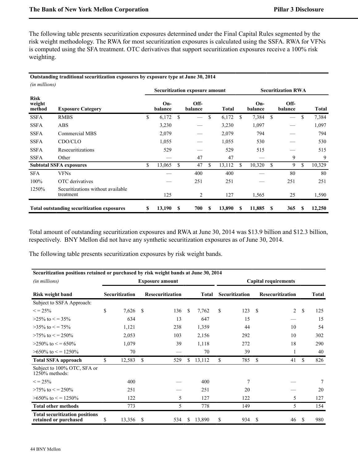The following table presents securitization exposures determined under the Final Capital Rules segmented by the risk weight methodology. The RWA for most securitization exposures is calculated using the SSFA. RWA for VFNs is computed using the SFA treatment. OTC derivatives that support securitization exposures receive a 100% risk weighting.

#### **Outstanding traditional securitization exposures by exposure type at June 30, 2014**

| (in millions)                   |                                                   |    |                  |               | <b>Securitization exposure amount</b> |    | <b>Securitization RWA</b> |    |                  |    |                 |    |        |
|---------------------------------|---------------------------------------------------|----|------------------|---------------|---------------------------------------|----|---------------------------|----|------------------|----|-----------------|----|--------|
| <b>Risk</b><br>weight<br>method | <b>Exposure Category</b>                          |    | $On-$<br>balance |               | Off-<br>balance                       |    | <b>Total</b>              |    | $On-$<br>balance |    | Off-<br>balance |    | Total  |
| <b>SSFA</b>                     | <b>RMBS</b>                                       | \$ | 6,172            | \$            |                                       | \$ | 6,172                     | \$ | 7,384            | S  |                 | \$ | 7,384  |
| <b>SSFA</b>                     | ABS                                               |    | 3,230            |               |                                       |    | 3,230                     |    | 1,097            |    |                 |    | 1,097  |
| <b>SSFA</b>                     | Commercial MBS                                    |    | 2,079            |               |                                       |    | 2,079                     |    | 794              |    |                 |    | 794    |
| <b>SSFA</b>                     | CDO/CLO                                           |    | 1,055            |               |                                       |    | 1,055                     |    | 530              |    |                 |    | 530    |
| <b>SSFA</b>                     | Resecuritizations                                 |    | 529              |               |                                       |    | 529                       |    | 515              |    |                 |    | 515    |
| <b>SSFA</b>                     | Other                                             |    |                  |               | 47                                    |    | 47                        |    |                  |    | 9               |    | 9      |
|                                 | <b>Subtotal SSFA exposures</b>                    | \$ | 13,065           | <sup>\$</sup> | 47                                    | \$ | 13,112                    | S. | 10,320           | \$ | 9               | \$ | 10,329 |
| <b>SFA</b>                      | <b>VFNs</b>                                       |    |                  |               | 400                                   |    | 400                       |    |                  |    | 80              |    | 80     |
| $100\%$                         | OTC derivatives                                   |    |                  |               | 251                                   |    | 251                       |    |                  |    | 251             |    | 251    |
| 1250%                           | Securitizations without available<br>treatment    |    | 125              |               | 2                                     |    | 127                       |    | 1,565            |    | 25              |    | 1,590  |
|                                 | <b>Total outstanding securitization exposures</b> | S  | 13,190           | S             | 700                                   | S  | 13,890                    | S  | 11,885           | S  | 365             | S  | 12,250 |

Total amount of outstanding securitization exposures and RWA at June 30, 2014 was \$13.9 billion and \$12.3 billion, respectively. BNY Mellon did not have any synthetic securitization exposures as of June 30, 2014.

The following table presents securitization exposures by risk weight bands.

| Securitization positions retained or purchased by risk weight bands at June 30, 2014 |                                    |            |              |                        |                |                         |                             |     |               |                |     |     |  |  |
|--------------------------------------------------------------------------------------|------------------------------------|------------|--------------|------------------------|----------------|-------------------------|-----------------------------|-----|---------------|----------------|-----|-----|--|--|
| (in millions)                                                                        |                                    |            |              | <b>Exposure amount</b> |                |                         | <b>Capital requirements</b> |     |               |                |     |     |  |  |
| <b>Risk weight band</b>                                                              | Securitization<br>Resecuritization |            | <b>Total</b> |                        | Securitization | <b>Resecuritization</b> |                             |     | <b>Total</b>  |                |     |     |  |  |
| Subject to SSFA Approach:                                                            |                                    |            |              |                        |                |                         |                             |     |               |                |     |     |  |  |
| $\leq$ = 25%                                                                         | \$                                 | $7,626$ \$ |              | 136                    | -S             | 7,762                   | \$                          | 123 | <sup>\$</sup> | $\overline{2}$ | \$  | 125 |  |  |
| $>25\%$ to $\lt$ = 35%                                                               |                                    | 634        |              | 13                     |                | 647                     |                             | 15  |               |                |     | 15  |  |  |
| $>35\%$ to $\lt$ = 75%                                                               |                                    | 1,121      |              | 238                    |                | 1,359                   |                             | 44  |               | 10             |     | 54  |  |  |
| $>75\%$ to $\lt$ = 250\%                                                             |                                    | 2,053      |              | 103                    |                | 2,156                   |                             | 292 |               | 10             |     | 302 |  |  |
| $>250\%$ to $\leq$ = 650\%                                                           |                                    | 1,079      |              | 39                     |                | 1,118                   |                             | 272 |               | 18             |     | 290 |  |  |
| $>650\%$ to $\leq$ = 1250\%                                                          |                                    | 70         |              |                        |                | 70                      |                             | 39  |               |                |     | 40  |  |  |
| <b>Total SSFA approach</b>                                                           | \$                                 | 12,583     | \$           | 529                    | S              | 13,112                  | \$                          | 785 | \$            | 41             | S   | 826 |  |  |
| Subject to 100% OTC, SFA or<br>$1250\%$ methods:                                     |                                    |            |              |                        |                |                         |                             |     |               |                |     |     |  |  |
| $\leq$ = 25%                                                                         |                                    | 400        |              |                        |                | 400                     |                             | 7   |               |                |     | 7   |  |  |
| $>75\%$ to $\lt$ = 250\%                                                             |                                    | 251        |              |                        |                | 251                     |                             | 20  |               |                |     | 20  |  |  |
| $>650\%$ to $\leq$ = 1250\%                                                          |                                    | 122        |              | 5                      |                | 127                     |                             | 122 |               | 5              |     | 127 |  |  |
| <b>Total other methods</b>                                                           |                                    | 773        |              | 5                      |                | 778                     |                             | 149 |               | 5              |     | 154 |  |  |
| <b>Total securitization positions</b><br>retained or purchased                       | S                                  | 13,356     | S            | 534                    | S.             | 13,890                  | \$                          | 934 | <sup>\$</sup> | 46             | \$. | 980 |  |  |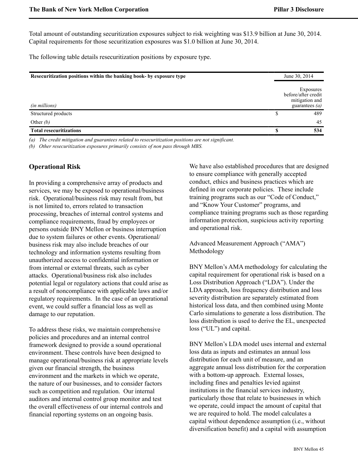Total amount of outstanding securitization exposures subject to risk weighting was \$13.9 billion at June 30, 2014. Capital requirements for those securitization exposures was \$1.0 billion at June 30, 2014.

The following table details resecuritization positions by exposure type.

| Resecuritization positions within the banking book- by exposure type |   | June 30, 2014                                                          |  |  |
|----------------------------------------------------------------------|---|------------------------------------------------------------------------|--|--|
| (in millions)                                                        |   | Exposures<br>before/after credit<br>mitigation and<br>guarantees $(a)$ |  |  |
| Structured products                                                  |   | 489                                                                    |  |  |
| Other $(b)$                                                          |   | 45                                                                     |  |  |
| <b>Total resecuritizations</b>                                       | ¢ | 534                                                                    |  |  |

*(a) The credit mitigation and guarantees related to resecuritization positions are not significant.*

*(b) Other resecuritization exposures primarily consists of non pass through MBS.*

## <span id="page-45-0"></span>**Operational Risk**

In providing a comprehensive array of products and services, we may be exposed to operational/business risk. Operational/business risk may result from, but is not limited to, errors related to transaction processing, breaches of internal control systems and compliance requirements, fraud by employees or persons outside BNY Mellon or business interruption due to system failures or other events. Operational/ business risk may also include breaches of our technology and information systems resulting from unauthorized access to confidential information or from internal or external threats, such as cyber attacks. Operational/business risk also includes potential legal or regulatory actions that could arise as a result of noncompliance with applicable laws and/or regulatory requirements. In the case of an operational event, we could suffer a financial loss as well as damage to our reputation.

To address these risks, we maintain comprehensive policies and procedures and an internal control framework designed to provide a sound operational environment. These controls have been designed to manage operational/business risk at appropriate levels given our financial strength, the business environment and the markets in which we operate, the nature of our businesses, and to consider factors such as competition and regulation. Our internal auditors and internal control group monitor and test the overall effectiveness of our internal controls and financial reporting systems on an ongoing basis.

We have also established procedures that are designed to ensure compliance with generally accepted conduct, ethics and business practices which are defined in our corporate policies. These include training programs such as our "Code of Conduct," and "Know Your Customer" programs, and compliance training programs such as those regarding information protection, suspicious activity reporting and operational risk.

Advanced Measurement Approach ("AMA") Methodology

BNY Mellon's AMA methodology for calculating the capital requirement for operational risk is based on a Loss Distribution Approach ("LDA"). Under the LDA approach, loss frequency distribution and loss severity distribution are separately estimated from historical loss data, and then combined using Monte Carlo simulations to generate a loss distribution. The loss distribution is used to derive the EL, unexpected loss ("UL") and capital.

BNY Mellon's LDA model uses internal and external loss data as inputs and estimates an annual loss distribution for each unit of measure, and an aggregate annual loss distribution for the corporation with a bottom-up approach. External losses, including fines and penalties levied against institutions in the financial services industry, particularly those that relate to businesses in which we operate, could impact the amount of capital that we are required to hold. The model calculates a capital without dependence assumption (i.e., without diversification benefit) and a capital with assumption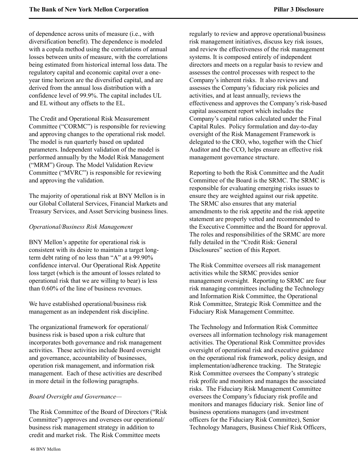of dependence across units of measure (i.e., with diversification benefit). The dependence is modeled with a copula method using the correlations of annual losses between units of measure, with the correlations being estimated from historical internal loss data. The regulatory capital and economic capital over a oneyear time horizon are the diversified capital, and are derived from the annual loss distribution with a confidence level of 99.9%. The capital includes UL and EL without any offsets to the EL.

The Credit and Operational Risk Measurement Committee ("CORMC") is responsible for reviewing and approving changes to the operational risk model. The model is run quarterly based on updated parameters. Independent validation of the model is performed annually by the Model Risk Management ("MRM") Group. The Model Validation Review Committee ("MVRC") is responsible for reviewing and approving the validation.

The majority of operational risk at BNY Mellon is in our Global Collateral Services, Financial Markets and Treasury Services, and Asset Servicing business lines.

#### *Operational/Business Risk Management*

BNY Mellon's appetite for operational risk is consistent with its desire to maintain a target longterm debt rating of no less than "A" at a 99.90% confidence interval. Our Operational Risk Appetite loss target (which is the amount of losses related to operational risk that we are willing to bear) is less than 0.60% of the line of business revenues.

We have established operational/business risk management as an independent risk discipline.

The organizational framework for operational/ business risk is based upon a risk culture that incorporates both governance and risk management activities. These activities include Board oversight and governance, accountability of businesses, operation risk management, and information risk management. Each of these activities are described in more detail in the following paragraphs.

#### *Board Oversight and Governance—*

The Risk Committee of the Board of Directors ("Risk Committee") approves and oversees our operational/ business risk management strategy in addition to credit and market risk. The Risk Committee meets

regularly to review and approve operational/business risk management initiatives, discuss key risk issues, and review the effectiveness of the risk management systems. It is composed entirely of independent directors and meets on a regular basis to review and assesses the control processes with respect to the Company's inherent risks. It also reviews and assesses the Company's fiduciary risk policies and activities, and at least annually, reviews the effectiveness and approves the Company's risk-based capital assessment report which includes the Company's capital ratios calculated under the Final Capital Rules. Policy formulation and day-to-day oversight of the Risk Management Framework is delegated to the CRO, who, together with the Chief Auditor and the CCO, helps ensure an effective risk management governance structure.

Reporting to both the Risk Committee and the Audit Committee of the Board is the SRMC. The SRMC is responsible for evaluating emerging risks issues to ensure they are weighted against our risk appetite. The SRMC also ensures that any material amendments to the risk appetite and the risk appetite statement are properly vetted and recommended to the Executive Committee and the Board for approval. The roles and responsibilities of the SRMC are more fully detailed in the "Credit Risk: General Disclosures" section of this Report.

The Risk Committee oversees all risk management activities while the SRMC provides senior management oversight. Reporting to SRMC are four risk managing committees including the Technology and Information Risk Committee, the Operational Risk Committee, Strategic Risk Committee and the Fiduciary Risk Management Committee.

The Technology and Information Risk Committee oversees all information technology risk management activities. The Operational Risk Committee provides oversight of operational risk and executive guidance on the operational risk framework, policy design, and implementation/adherence tracking. The Strategic Risk Committee oversees the Company's strategic risk profile and monitors and manages the associated risks. The Fiduciary Risk Management Committee oversees the Company's fiduciary risk profile and monitors and manages fiduciary risk. Senior line of business operations managers (and investment officers for the Fiduciary Risk Committee), Senior Technology Managers, Business Chief Risk Officers,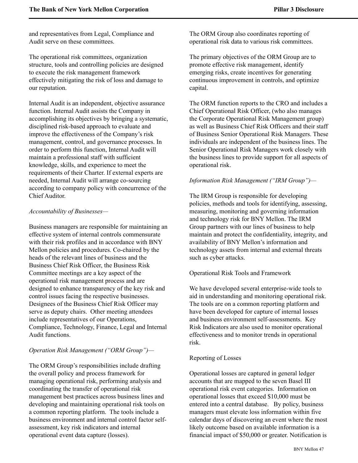and representatives from Legal, Compliance and Audit serve on these committees.

The operational risk committees, organization structure, tools and controlling policies are designed to execute the risk management framework effectively mitigating the risk of loss and damage to our reputation.

Internal Audit is an independent, objective assurance function. Internal Audit assists the Company in accomplishing its objectives by bringing a systematic, disciplined risk-based approach to evaluate and improve the effectiveness of the Company's risk management, control, and governance processes. In order to perform this function, Internal Audit will maintain a professional staff with sufficient knowledge, skills, and experience to meet the requirements of their Charter. If external experts are needed, Internal Audit will arrange co-sourcing according to company policy with concurrence of the Chief Auditor.

#### *Accountability of Businesses—*

Business managers are responsible for maintaining an effective system of internal controls commensurate with their risk profiles and in accordance with BNY Mellon policies and procedures. Co-chaired by the heads of the relevant lines of business and the Business Chief Risk Officer, the Business Risk Committee meetings are a key aspect of the operational risk management process and are designed to enhance transparency of the key risk and control issues facing the respective businesses. Designees of the Business Chief Risk Officer may serve as deputy chairs. Other meeting attendees include representatives of our Operations, Compliance, Technology, Finance, Legal and Internal Audit functions.

#### *Operation Risk Management ("ORM Group")—*

The ORM Group's responsibilities include drafting the overall policy and process framework for managing operational risk, performing analysis and coordinating the transfer of operational risk management best practices across business lines and developing and maintaining operational risk tools on a common reporting platform. The tools include a business environment and internal control factor selfassessment, key risk indicators and internal operational event data capture (losses).

The ORM Group also coordinates reporting of operational risk data to various risk committees.

The primary objectives of the ORM Group are to promote effective risk management, identify emerging risks, create incentives for generating continuous improvement in controls, and optimize capital.

The ORM function reports to the CRO and includes a Chief Operational Risk Officer, (who also manages the Corporate Operational Risk Management group) as well as Business Chief Risk Officers and their staff of Business Senior Operational Risk Managers. These individuals are independent of the business lines. The Senior Operational Risk Managers work closely with the business lines to provide support for all aspects of operational risk.

### *Information Risk Management ("IRM Group")—*

The IRM Group is responsible for developing policies, methods and tools for identifying, assessing, measuring, monitoring and governing information and technology risk for BNY Mellon. The IRM Group partners with our lines of business to help maintain and protect the confidentiality, integrity, and availability of BNY Mellon's information and technology assets from internal and external threats such as cyber attacks.

#### Operational Risk Tools and Framework

We have developed several enterprise-wide tools to aid in understanding and monitoring operational risk. The tools are on a common reporting platform and have been developed for capture of internal losses and business environment self-assessments. Key Risk Indicators are also used to monitor operational effectiveness and to monitor trends in operational risk.

#### Reporting of Losses

Operational losses are captured in general ledger accounts that are mapped to the seven Basel III operational risk event categories. Information on operational losses that exceed \$10,000 must be entered into a central database. By policy, business managers must elevate loss information within five calendar days of discovering an event where the most likely outcome based on available information is a financial impact of \$50,000 or greater. Notification is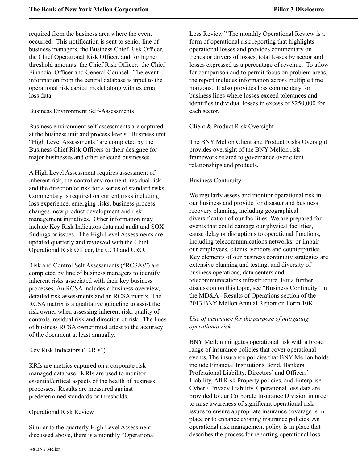required from the business area where the event occurred. This notification is sent to senior line of business managers, the Business Chief Risk Officer, the Chief Operational Risk Officer, and for higher threshold amounts, the Chief Risk Officer, the Chief Financial Officer and General Counsel. The event information from the central database is input to the operational risk capital model along with external loss data.

#### Business Environment Self-Assessments

Business environment self-assessments are captured at the business unit and process levels. Business unit "High Level Assessments" are completed by the Business Chief Risk Officers or their designee for major businesses and other selected businesses.

A High Level Assessment requires assessment of inherent risk, the control environment, residual risk and the direction of risk for a series of standard risks. Commentary is required on current risks including loss experience, emerging risks, business process changes, new product development and risk management initiatives. Other information may include Key Risk Indicators data and audit and SOX findings or issues. The High Level Assessments are updated quarterly and reviewed with the Chief Operational Risk Officer, the CCO and CRO.

Risk and Control Self Assessments ("RCSAs") are completed by line of business managers to identify inherent risks associated with their key business processes. An RCSA includes a business overview, detailed risk assessments and an RCSA matrix. The RCSA matrix is a qualitative guideline to assist the risk owner when assessing inherent risk, quality of controls, residual risk and direction of risk. The lines of business RCSA owner must attest to the accuracy of the document at least annually.

#### Key Risk Indicators ("KRIs")

KRIs are metrics captured on a corporate risk managed database. KRIs are used to monitor essential/critical aspects of the health of business processes. Results are measured against predetermined standards or thresholds.

#### Operational Risk Review

Similar to the quarterly High Level Assessment discussed above, there is a monthly "Operational Loss Review." The monthly Operational Review is a form of operational risk reporting that highlights operational losses and provides commentary on trends or drivers of losses, total losses by sector and losses expressed as a percentage of revenue. To allow for comparison and to permit focus on problem areas, the report includes information across multiple time horizons. It also provides loss commentary for business lines where losses exceed tolerances and identifies individual losses in excess of \$250,000 for each sector.

#### Client & Product Risk Oversight

The BNY Mellon Client and Product Risks Oversight provides oversight of the BNY Mellon risk framework related to governance over client relationships and products.

#### Business Continuity

We regularly assess and monitor operational risk in our business and provide for disaster and business recovery planning, including geographical diversification of our facilities. We are prepared for events that could damage our physical facilities, cause delay or disruptions to operational functions, including telecommunications networks, or impair our employees, clients, vendors and counterparties. Key elements of our business continuity strategies are extensive planning and testing, and diversity of business operations, data centers and telecommunications infrastructure. For a further discussion on this topic, see "Business Continuity" in the MD&A - Results of Operations section of the 2013 BNY Mellon Annual Report on Form 10K.

## *Use of insurance for the purpose of mitigating operational risk*

BNY Mellon mitigates operational risk with a broad range of insurance policies that cover operational events. The insurance policies that BNY Mellon holds include Financial Institutions Bond, Bankers Professional Liability, Directors' and Officers' Liability, All Risk Property policies, and Enterprise Cyber / Privacy Liability. Operational loss data are provided to our Corporate Insurance Division in order to raise awareness of significant operational risk issues to ensure appropriate insurance coverage is in place or to enhance existing insurance policies. An operational risk management policy is in place that describes the process for reporting operational loss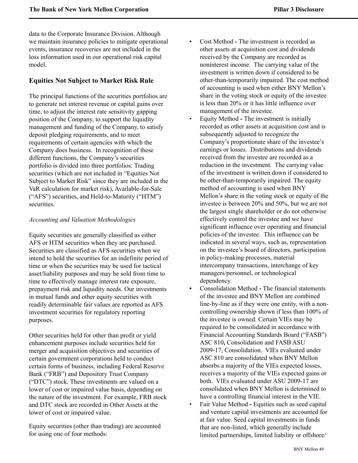data to the Corporate Insurance Division. Although we maintain insurance policies to mitigate operational events, insurance recoveries are not included in the loss information used in our operational risk capital model.

# <span id="page-49-0"></span>**Equities Not Subject to Market Risk Rule**

The principal functions of the securities portfolios are to generate net interest revenue or capital gains over time, to adjust the interest rate sensitivity gapping position of the Company, to support the liquidity management and funding of the Company, to satisfy deposit pledging requirements, and to meet requirements of certain agencies with which the Company does business. In recognition of these different functions, the Company's securities portfolio is divided into three portfolios: Trading securities (which are not included in "Equities Not Subject to Market Risk" since they are included in the VaR calculation for market risk), Available-for-Sale ("AFS") securities, and Held-to-Maturity ("HTM") securities.

## *Accounting and Valuation Methodologies*

Equity securities are generally classified as either AFS or HTM securities when they are purchased. Securities are classified as AFS securities when we intend to hold the securities for an indefinite period of time or when the securities may be used for tactical asset/liability purposes and may be sold from time to time to effectively manage interest rate exposure, prepayment risk and liquidity needs. Our investments in mutual funds and other equity securities with readily determinable fair values are reported as AFS investment securities for regulatory reporting purposes.

Other securities held for other than profit or yield enhancement purposes include securities held for merger and acquisition objectives and securities of certain government corporations held to conduct certain forms of business, including Federal Reserve Bank ("FRB") and Depository Trust Company ("DTC") stock. These investments are valued on a lower of cost or impaired value basis, depending on the nature of the investment. For example, FRB stock and DTC stock are recorded in Other Assets at the lower of cost or impaired value.

Equity securities (other than trading) are accounted for using one of four methods:

- Cost Method **-** The investment is recorded as other assets at acquisition cost and dividends received by the Company are recorded as noninterest income. The carrying value of the investment is written down if considered to be other-than-temporarily impaired. The cost method of accounting is used when either BNY Mellon's share in the voting stock or equity of the investee is less than 20% or it has little influence over management of the investee.
- Equity Method The investment is initially recorded as other assets at acquisition cost and is subsequently adjusted to recognize the Company's proportionate share of the investee's earnings or losses. Distributions and dividends received from the investee are recorded as a reduction in the investment. The carrying value of the investment is written down if considered to be other-than-temporarily impaired. The equity method of accounting is used when BNY Mellon's share in the voting stock or equity of the investee is between 20% and 50%, but we are not the largest single shareholder or do not otherwise effectively control the investee and we have significant influence over operating and financial policies of the investee. This influence can be indicated in several ways, such as, representation on the investee's board of directors, participation in policy-making processes, material intercompany transactions, interchange of key managers/personnel, or technological dependency.
- Consolidation Method **-** The financial statements of the investee and BNY Mellon are combined line-by-line as if they were one entity, with a noncontrolling ownership shown if less than 100% of the investee is owned. Certain VIEs may be required to be consolidated in accordance with Financial Accounting Standards Board ("FASB") ASC 810**,** Consolidation and FASB ASU 2009-17, Consolidation. VIEs evaluated under ASC 810 are consolidated when BNY Mellon absorbs a majority of the VIEs expected losses, receives a majority of the VIEs expected gains or both. VIEs evaluated under ASU 2009-17 are consolidated when BNY Mellon is determined to have a controlling financial interest in the VIE.
- Fair Value Method **-** Equities such as seed capital and venture capital investments are accounted for at fair value. Seed capital investments in funds that are non-listed, which generally include limited partnerships, limited liability or offshore/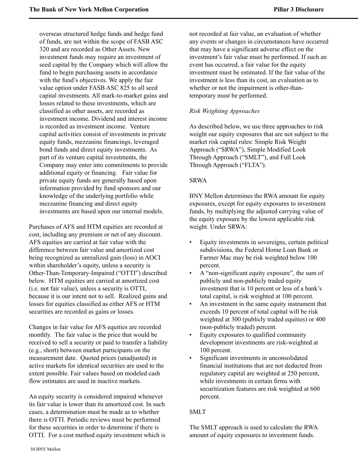overseas structured hedge funds and hedge fund of funds, are not within the scope of FASB ASC 320 and are recorded as Other Assets. New investment funds may require an investment of seed capital by the Company which will allow the fund to begin purchasing assets in accordance with the fund's objectives. We apply the fair value option under FASB ASC 825 to all seed capital investments. All mark-to-market gains and losses related to these investments, which are classified as other assets, are recorded as investment income. Dividend and interest income is recorded as investment income. Venture capital activities consist of investments in private equity funds, mezzanine financings, leveraged bond funds and direct equity investments. As part of its venture capital investments, the Company may enter into commitments to provide additional equity or financing. Fair value for private equity funds are generally based upon information provided by fund sponsors and our knowledge of the underlying portfolio while mezzanine financing and direct equity investments are based upon our internal models.

Purchases of AFS and HTM equities are recorded at cost, including any premium or net of any discount. AFS equities are carried at fair value with the difference between fair value and amortized cost being recognized as unrealized gain (loss) in AOCI within shareholder's equity, unless a security is Other-Than-Temporary-Impaired ("OTTI") described below. HTM equities are carried at amortized cost (i.e. not fair value), unless a security is OTTI, because it is our intent not to sell. Realized gains and losses for equities classified as either AFS or HTM securities are recorded as gains or losses.

Changes in fair value for AFS equities are recorded monthly. The fair value is the price that would be received to sell a security or paid to transfer a liability (e.g., short) between market participants on the measurement date. Quoted prices (unadjusted) in active markets for identical securities are used to the extent possible. Fair values based on modeled cash flow estimates are used in inactive markets.

An equity security is considered impaired whenever its fair value is lower than its amortized cost. In such cases, a determination must be made as to whether there is OTTI. Periodic reviews must be performed for these securities in order to determine if there is OTTI. For a cost method equity investment which is not recorded at fair value, an evaluation of whether any events or changes in circumstances have occurred that may have a significant adverse effect on the investment's fair value must be performed. If such an event has occurred, a fair value for the equity investment must be estimated. If the fair value of the investment is less than its cost, an evaluation as to whether or not the impairment is other-thantemporary must be performed.

## *Risk Weighting Approaches*

As described below, we use three approaches to risk weight our equity exposures that are not subject to the market risk capital rules: Simple Risk Weight Approach ("SRWA"), Simple Modified Look Through Approach ("SMLT"), and Full Look Through Approach ("FLTA").

#### SRWA

BNY Mellon determines the RWA amount for equity exposures, except for equity exposures to investment funds, by multiplying the adjusted carrying value of the equity exposure by the lowest applicable risk weight. Under SRWA:

- Equity investments in sovereigns, certain political subdivisions, the Federal Home Loan Bank or Farmer Mac may be risk weighted below 100 percent.
- A "non-significant equity exposure", the sum of publicly and non-publicly traded equity investment that is 10 percent or less of a bank's total capital, is risk weighted at 100 percent.
- An investment in the same equity instrument that exceeds 10 percent of total capital will be risk weighted at 300 (publicly traded equities) or 400 (non-publicly traded) percent.
- Equity exposures to qualified community development investments are risk-weighted at 100 percent.
- Significant investments in unconsolidated financial institutions that are not deducted from regulatory capital are weighted at 250 percent, while investments in certain firms with securitization features are risk weighted at 600 percent.

#### SMLT

The SMLT approach is used to calculate the RWA amount of equity exposures to investment funds.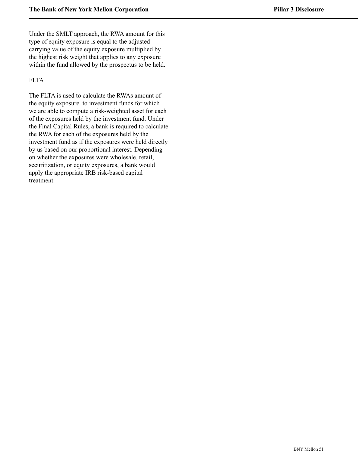Under the SMLT approach, the RWA amount for this type of equity exposure is equal to the adjusted carrying value of the equity exposure multiplied by the highest risk weight that applies to any exposure within the fund allowed by the prospectus to be held.

## FLTA

The FLTA is used to calculate the RWAs amount of the equity exposure to investment funds for which we are able to compute a risk-weighted asset for each of the exposures held by the investment fund. Under the Final Capital Rules, a bank is required to calculate the RWA for each of the exposures held by the investment fund as if the exposures were held directly by us based on our proportional interest. Depending on whether the exposures were wholesale, retail, securitization, or equity exposures, a bank would apply the appropriate IRB risk-based capital treatment.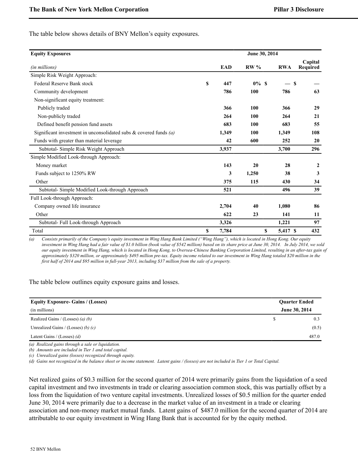The table below shows details of BNY Mellon's equity exposures.

| <b>Equity Exposures</b>                                              | June 30, 2014 |       |         |            |                     |
|----------------------------------------------------------------------|---------------|-------|---------|------------|---------------------|
| (in millions)                                                        |               | EAD   | $RW\%$  | <b>RWA</b> | Capital<br>Required |
| Simple Risk Weight Approach:                                         |               |       |         |            |                     |
| Federal Reserve Bank stock                                           | \$.           | 447   | $0\%$ S |            |                     |
| Community development                                                |               | 786   | 100     | 786        | 63                  |
| Non-significant equity treatment:                                    |               |       |         |            |                     |
| Publicly traded                                                      |               | 366   | 100     | 366        | 29                  |
| Non-publicly traded                                                  |               | 264   | 100     | 264        | 21                  |
| Defined benefit pension fund assets                                  |               | 683   | 100     | 683        | 55                  |
| Significant investment in unconsolidated subs $\&$ covered funds (a) |               | 1,349 | 100     | 1,349      | 108                 |
| Funds with greater than material leverage                            |               | 42    | 600     | 252        | 20                  |
| Subtotal- Simple Risk Weight Approach                                |               | 3,937 |         | 3,700      | 296                 |
| Simple Modified Look-through Approach:                               |               |       |         |            |                     |
| Money market                                                         |               | 143   | 20      | 28         | $\overline{2}$      |
| Funds subject to 1250% RW                                            |               | 3     | 1,250   | 38         | 3                   |
| Other                                                                |               | 375   | 115     | 430        | 34                  |
| Subtotal- Simple Modified Look-through Approach                      |               | 521   |         | 496        | 39                  |
| Full Look-through Approach:                                          |               |       |         |            |                     |
| Company owned life insurance                                         |               | 2,704 | 40      | 1,080      | 86                  |
| Other                                                                |               | 622   | 23      | 141        | 11                  |
| Subtotal- Full Look-through Approach                                 |               | 3,326 |         | 1,221      | 97                  |
| Total                                                                | S             | 7,784 | \$      | 5,417 \$   | 432                 |

*(a) Consists primarily of the Company's equity investment in Wing Hang Bank Limited ("Wing Hang"), which is located in Hong Kong. Our equity investment in Wing Hang had a fair value of \$1.0 billion (book value of \$542 million) based on its share price at June 30, 2014. In July 2014, we sold our equity investment in Wing Hang, which is located in Hong Kong, to Oversea-Chinese Banking Corporation Limited, resulting in an after-tax gain of approximately \$320 million, or approximately \$495 million pre-tax. Equity income related to our investment in Wing Hang totaled \$20 million in the first half of 2014 and \$95 million in full-year 2013, including \$37 million from the sale of a property.*

The table below outlines equity exposure gains and losses.

| <b>Equity Exposure- Gains / (Losses)</b> | <b>Ouarter Ended</b> |
|------------------------------------------|----------------------|
| (in millions)                            | June 30, 2014        |
| Realized Gains / (Losses) (a) (b)        | 0.3                  |
| Unrealized Gains / (Losses) (b) $(c)$    | (0.5)                |
| Latent Gains / (Losses) $(d)$            | 487.0                |

*(a) Realized gains through a sale or liquidation.*

*(b) Amounts are included in Tier 1 and total capital.*

*(c) Unrealized gains (losses) recognized through equity.*

*(d) Gains not recognized in the balance sheet or income statement. Latent gains / (losses) are not included in Tier 1 or Total Capital.*

Net realized gains of \$0.3 million for the second quarter of 2014 were primarily gains from the liquidation of a seed capital investment and two investments in trade or clearing association common stock, this was partially offset by a loss from the liquidation of two venture capital investments. Unrealized losses of \$0.5 million for the quarter ended June 30, 2014 were primarily due to a decrease in the market value of an investment in a trade or clearing association and non-money market mutual funds. Latent gains of \$487.0 million for the second quarter of 2014 are attributable to our equity investment in Wing Hang Bank that is accounted for by the equity method.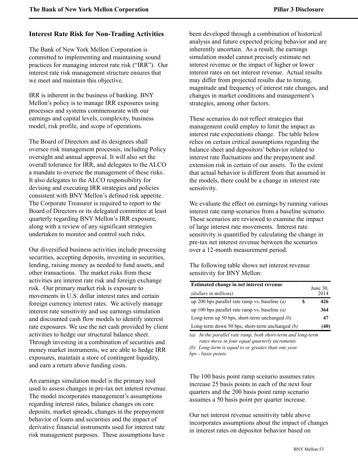## <span id="page-53-0"></span>**Interest Rate Risk for Non-Trading Activities**

The Bank of New York Mellon Corporation is committed to implementing and maintaining sound practices for managing interest rate risk ("IRR"). Our interest rate risk management structure ensures that we meet and maintain this objective.

IRR is inherent in the business of banking. BNY Mellon's policy is to manage IRR exposures using processes and systems commensurate with our earnings and capital levels, complexity, business model, risk profile, and scope of operations.

The Board of Directors and its designees shall oversee risk management processes, including Policy oversight and annual approval. It will also set the overall tolerance for IRR, and delegates to the ALCO a mandate to oversee the management of these risks. It also delegates to the ALCO responsibility for devising and executing IRR strategies and policies consistent with BNY Mellon's defined risk appetite. The Corporate Treasurer is required to report to the Board of Directors or its delegated committee at least quarterly regarding BNY Mellon's IRR exposure, along with a review of any significant strategies undertaken to monitor and control such risks.

Our diversified business activities include processing securities, accepting deposits, investing in securities, lending, raising money as needed to fund assets, and other transactions. The market risks from these activities are interest rate risk and foreign exchange risk. Our primary market risk is exposure to movements in U.S. dollar interest rates and certain foreign currency interest rates. We actively manage interest rate sensitivity and use earnings simulation and discounted cash flow models to identify interest rate exposures. We use the net cash provided by client activities to hedge our structural balance sheet. Through investing in a combination of securities and money market instruments, we are able to hedge IRR exposures, maintain a store of contingent liquidity, and earn a return above funding costs.

An earnings simulation model is the primary tool used to assess changes in pre-tax net interest revenue. The model incorporates management's assumptions regarding interest rates, balance changes on core deposits, market spreads, changes in the prepayment behavior of loans and securities and the impact of derivative financial instruments used for interest rate risk management purposes. These assumptions have

been developed through a combination of historical analysis and future expected pricing behavior and are inherently uncertain. As a result, the earnings simulation model cannot precisely estimate net interest revenue or the impact of higher or lower interest rates on net interest revenue. Actual results may differ from projected results due to timing, magnitude and frequency of interest rate changes, and changes in market conditions and management's strategies, among other factors.

These scenarios do not reflect strategies that management could employ to limit the impact as interest rate expectations change. The table below relies on certain critical assumptions regarding the balance sheet and depositors' behavior related to interest rate fluctuations and the prepayment and extension risk in certain of our assets. To the extent that actual behavior is different from that assumed in the models, there could be a change in interest rate sensitivity.

We evaluate the effect on earnings by running various interest rate ramp scenarios from a baseline scenario. These scenarios are reviewed to examine the impact of large interest rate movements. Interest rate sensitivity is quantified by calculating the change in pre-tax net interest revenue between the scenarios over a 12-month measurement period.

The following table shows net interest revenue sensitivity for BNY Mellon:

| Estimated change in net interest revenue          |   | June $30$ . |
|---------------------------------------------------|---|-------------|
| (dollars in millions)                             |   | 2014        |
| up 200 bps parallel rate ramp vs. baseline $(a)$  | S | 426         |
| up 100 bps parallel rate ramp vs. baseline $(a)$  |   | 364         |
| Long-term up 50 bps, short-term unchanged $(b)$   |   | 47          |
| Long-term down 50 bps, short-term unchanged $(b)$ |   | (40)        |

*(a) In the parallel rate ramp, both short-term and long-term rates move in four equal quarterly increments.*

*(b) Long-term is equal to or greater than one year. bps - basis points.*

The 100 basis point ramp scenario assumes rates increase 25 basis points in each of the next four quarters and the 200 basis point ramp scenario assumes a 50 basis point per quarter increase.

Our net interest revenue sensitivity table above incorporates assumptions about the impact of changes in interest rates on depositor behavior based on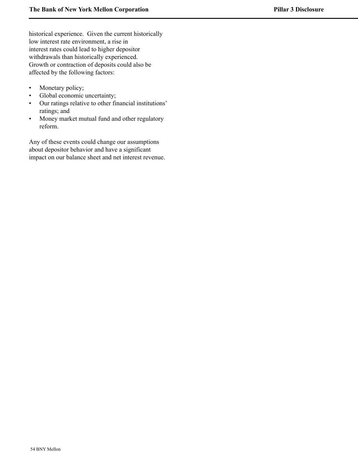historical experience. Given the current historically low interest rate environment, a rise in interest rates could lead to higher depositor withdrawals than historically experienced. Growth or contraction of deposits could also be affected by the following factors:

- Monetary policy;
- Global economic uncertainty;
- Our ratings relative to other financial institutions' ratings; and
- Money market mutual fund and other regulatory reform.

Any of these events could change our assumptions about depositor behavior and have a significant impact on our balance sheet and net interest revenue.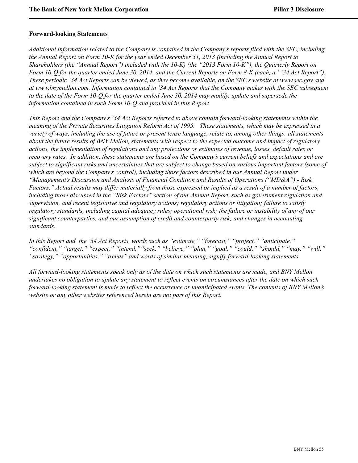#### <span id="page-55-0"></span>**Forward-looking Statements**

*Additional information related to the Company is contained in the Company's reports filed with the SEC, including the Annual Report on Form 10-K for the year ended December 31, 2013 (including the Annual Report to Shareholders (the "Annual Report") included with the 10-K) (the "2013 Form 10-K"), the Quarterly Report on Form 10-Q for the quarter ended June 30, 2014, and the Current Reports on Form 8-K (each, a "'34 Act Report"). These periodic '34 Act Reports can be viewed, as they become available, on the SEC's website at www.sec.gov and at www.bnymellon.com. Information contained in '34 Act Reports that the Company makes with the SEC subsequent to the date of the Form 10-Q for the quarter ended June 30, 2014 may modify, update and supersede the information contained in such Form 10-Q and provided in this Report.* 

*This Report and the Company's '34 Act Reports referred to above contain forward-looking statements within the meaning of the Private Securities Litigation Reform Act of 1995. These statements, which may be expressed in a variety of ways, including the use of future or present tense language, relate to, among other things: all statements about the future results of BNY Mellon, statements with respect to the expected outcome and impact of regulatory actions, the implementation of regulations and any projections or estimates of revenue, losses, default rates or recovery rates. In addition, these statements are based on the Company's current beliefs and expectations and are subject to significant risks and uncertainties that are subject to change based on various important factors (some of which are beyond the Company's control), including those factors described in our Annual Report under "Management's Discussion and Analysis of Financial Condition and Results of Operations ("MD&A") - Risk Factors." Actual results may differ materially from those expressed or implied as a result of a number of factors, including those discussed in the "Risk Factors" section of our Annual Report, such as government regulation and supervision, and recent legislative and regulatory actions; regulatory actions or litigation; failure to satisfy regulatory standards, including capital adequacy rules; operational risk; the failure or instability of any of our significant counterparties, and our assumption of credit and counterparty risk; and changes in accounting standards.*

*In this Report and the '34 Act Reports, words such as "estimate," "forecast," "project," "anticipate," "confident," "target," "expect," "intend,""seek," "believe," "plan," "goal," "could," "should," "may," "will," "strategy," "opportunities," "trends" and words of similar meaning, signify forward-looking statements.* 

*All forward-looking statements speak only as of the date on which such statements are made, and BNY Mellon undertakes no obligation to update any statement to reflect events on circumstances after the date on which such forward-looking statement is made to reflect the occurrence or unanticipated events. The contents of BNY Mellon's website or any other websites referenced herein are not part of this Report.*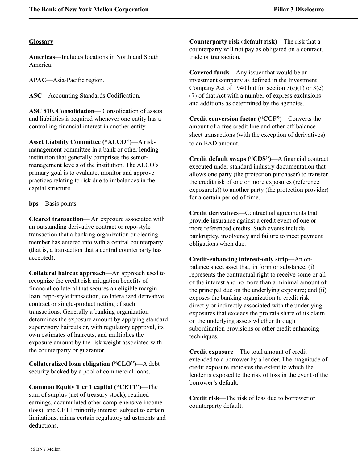## <span id="page-56-0"></span>**Glossary**

**Americas**—Includes locations in North and South America.

**APAC**—Asia-Pacific region.

**ASC**—Accounting Standards Codification.

**ASC 810, Consolidation**— Consolidation of assets and liabilities is required whenever one entity has a controlling financial interest in another entity.

**Asset Liability Committee ("ALCO")**—A riskmanagement committee in a bank or other lending institution that generally comprises the seniormanagement levels of the institution. The ALCO's primary goal is to evaluate, monitor and approve practices relating to risk due to imbalances in the capital structure.

**bps**—Basis points.

**Cleared transaction**— An exposure associated with an outstanding derivative contract or repo-style transaction that a banking organization or clearing member has entered into with a central counterparty (that is, a transaction that a central counterparty has accepted).

**Collateral haircut approach**—An approach used to recognize the credit risk mitigation benefits of financial collateral that secures an eligible margin loan, repo-style transaction, collateralized derivative contract or single-product netting of such transactions. Generally a banking organization determines the exposure amount by applying standard supervisory haircuts or, with regulatory approval, its own estimates of haircuts, and multiplies the exposure amount by the risk weight associated with the counterparty or guarantor.

**Collateralized loan obligation ("CLO")**—A debt security backed by a pool of commercial loans.

**Common Equity Tier 1 capital ("CET1")**—The sum of surplus (net of treasury stock), retained earnings, accumulated other comprehensive income (loss), and CET1 minority interest subject to certain limitations, minus certain regulatory adjustments and deductions.

**Counterparty risk (default risk)**—The risk that a counterparty will not pay as obligated on a contract, trade or transaction.

**Covered funds**—Any issuer that would be an investment company as defined in the Investment Company Act of 1940 but for section  $3(c)(1)$  or  $3(c)$ (7) of that Act with a number of express exclusions and additions as determined by the agencies.

**Credit conversion factor ("CCF")**—Converts the amount of a free credit line and other off-balancesheet transactions (with the exception of derivatives) to an EAD amount.

**Credit default swaps ("CDS")**—A financial contract executed under standard industry documentation that allows one party (the protection purchaser) to transfer the credit risk of one or more exposures (reference exposure(s)) to another party (the protection provider) for a certain period of time.

**Credit derivatives**—Contractual agreements that provide insurance against a credit event of one or more referenced credits. Such events include bankruptcy, insolvency and failure to meet payment obligations when due.

**Credit-enhancing interest-only strip**—An onbalance sheet asset that, in form or substance, (i) represents the contractual right to receive some or all of the interest and no more than a minimal amount of the principal due on the underlying exposure; and (ii) exposes the banking organization to credit risk directly or indirectly associated with the underlying exposures that exceeds the pro rata share of its claim on the underlying assets whether through subordination provisions or other credit enhancing techniques.

**Credit exposure**—The total amount of credit extended to a borrower by a lender. The magnitude of credit exposure indicates the extent to which the lender is exposed to the risk of loss in the event of the borrower's default.

**Credit risk**—The risk of loss due to borrower or counterparty default.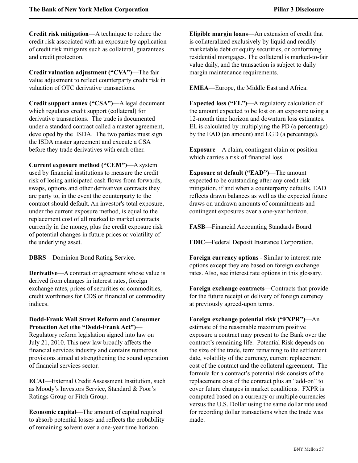**Credit risk mitigation**—A technique to reduce the credit risk associated with an exposure by application of credit risk mitigants such as collateral, guarantees and credit protection.

**Credit valuation adjustment ("CVA")**—The fair value adjustment to reflect counterparty credit risk in valuation of OTC derivative transactions.

**Credit support annex ("CSA")**—A legal document which regulates credit support (collateral) for derivative transactions. The trade is documented under a standard contract called a master agreement, developed by the ISDA. The two parties must sign the ISDA master agreement and execute a CSA before they trade derivatives with each other.

**Current exposure method ("CEM")**—A system used by financial institutions to measure the credit risk of losing anticipated cash flows from forwards, swaps, options and other derivatives contracts they are party to, in the event the counterparty to the contract should default. An investor's total exposure, under the current exposure method, is equal to the replacement cost of all marked to market contracts currently in the money, plus the credit exposure risk of potential changes in future prices or volatility of the underlying asset.

**DBRS**—Dominion Bond Rating Service.

**Derivative—A** contract or agreement whose value is derived from changes in interest rates, foreign exchange rates, prices of securities or commodities, credit worthiness for CDS or financial or commodity indices.

## **Dodd-Frank Wall Street Reform and Consumer Protection Act (the "Dodd-Frank Act")**—

Regulatory reform legislation signed into law on July 21, 2010. This new law broadly affects the financial services industry and contains numerous provisions aimed at strengthening the sound operation of financial services sector.

**ECAI**—External Credit Assessment Institution, such as Moody's Investors Service, Standard & Poor's Ratings Group or Fitch Group.

**Economic capital**—The amount of capital required to absorb potential losses and reflects the probability of remaining solvent over a one-year time horizon.

**Eligible margin loans**—An extension of credit that is collateralized exclusively by liquid and readily marketable debt or equity securities, or conforming residential mortgages. The collateral is marked-to-fair value daily, and the transaction is subject to daily margin maintenance requirements.

**EMEA**—Europe, the Middle East and Africa.

**Expected loss ("EL")**—A regulatory calculation of the amount expected to be lost on an exposure using a 12-month time horizon and downturn loss estimates. EL is calculated by multiplying the PD (a percentage) by the EAD (an amount) and LGD (a percentage).

**Exposure**—A claim, contingent claim or position which carries a risk of financial loss.

**Exposure at default ("EAD")**—The amount expected to be outstanding after any credit risk mitigation, if and when a counterparty defaults. EAD reflects drawn balances as well as the expected future draws on undrawn amounts of commitments and contingent exposures over a one-year horizon.

**FASB**—Financial Accounting Standards Board.

**FDIC**—Federal Deposit Insurance Corporation.

**Foreign currency options** - Similar to interest rate options except they are based on foreign exchange rates. Also, see interest rate options in this glossary.

**Foreign exchange contracts**—Contracts that provide for the future receipt or delivery of foreign currency at previously agreed-upon terms.

#### **Foreign exchange potential risk ("FXPR")**—An

estimate of the reasonable maximum positive exposure a contract may present to the Bank over the contract's remaining life. Potential Risk depends on the size of the trade, term remaining to the settlement date, volatility of the currency, current replacement cost of the contract and the collateral agreement. The formula for a contract's potential risk consists of the replacement cost of the contract plus an "add-on" to cover future changes in market conditions. FXPR is computed based on a currency or multiple currencies versus the U.S. Dollar using the same dollar rate used for recording dollar transactions when the trade was made.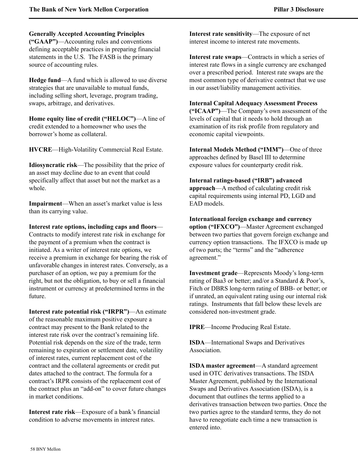**Generally Accepted Accounting Principles** 

**("GAAP")**—Accounting rules and conventions defining acceptable practices in preparing financial statements in the U.S. The FASB is the primary source of accounting rules.

**Hedge fund**—A fund which is allowed to use diverse strategies that are unavailable to mutual funds, including selling short, leverage, program trading, swaps, arbitrage, and derivatives.

**Home equity line of credit ("HELOC")**—A line of credit extended to a homeowner who uses the borrower's home as collateral.

**HVCRE**—High-Volatility Commercial Real Estate.

**Idiosyncratic risk**—The possibility that the price of an asset may decline due to an event that could specifically affect that asset but not the market as a whole.

**Impairment**—When an asset's market value is less than its carrying value.

**Interest rate options, including caps and floors**— Contracts to modify interest rate risk in exchange for the payment of a premium when the contract is initiated. As a writer of interest rate options, we receive a premium in exchange for bearing the risk of unfavorable changes in interest rates. Conversely, as a purchaser of an option, we pay a premium for the right, but not the obligation, to buy or sell a financial instrument or currency at predetermined terms in the future.

**Interest rate potential risk ("IRPR")**—An estimate of the reasonable maximum positive exposure a contract may present to the Bank related to the interest rate risk over the contract's remaining life. Potential risk depends on the size of the trade, term remaining to expiration or settlement date, volatility of interest rates, current replacement cost of the contract and the collateral agreements or credit put dates attached to the contract. The formula for a contract's IRPR consists of the replacement cost of the contract plus an "add-on" to cover future changes in market conditions.

**Interest rate risk**—Exposure of a bank's financial condition to adverse movements in interest rates.

**Interest rate sensitivity**—The exposure of net interest income to interest rate movements.

**Interest rate swaps**—Contracts in which a series of interest rate flows in a single currency are exchanged over a prescribed period. Interest rate swaps are the most common type of derivative contract that we use in our asset/liability management activities.

## **Internal Capital Adequacy Assessment Process**

**("ICAAP")**—The Company's own assessment of the levels of capital that it needs to hold through an examination of its risk profile from regulatory and economic capital viewpoints.

**Internal Models Method ("IMM")**—One of three approaches defined by Basel III to determine exposure values for counterparty credit risk.

## **Internal ratings-based ("IRB") advanced**

**approach**—A method of calculating credit risk capital requirements using internal PD, LGD and EAD models.

**International foreign exchange and currency option ("IFXCO")**—Master Agreement exchanged between two parties that govern foreign exchange and currency option transactions. The IFXCO is made up of two parts; the "terms" and the "adherence agreement."

**Investment grade**—Represents Moody's long-term rating of Baa3 or better; and/or a Standard & Poor's, Fitch or DBRS long-term rating of BBB- or better; or if unrated, an equivalent rating using our internal risk ratings. Instruments that fall below these levels are considered non-investment grade.

**IPRE**—Income Producing Real Estate.

**ISDA**—International Swaps and Derivatives Association.

**ISDA master agreement**—A standard agreement used in OTC derivatives transactions. The ISDA Master Agreement, published by the International Swaps and Derivatives Association (ISDA), is a document that outlines the terms applied to a derivatives transaction between two parties. Once the two parties agree to the standard terms, they do not have to renegotiate each time a new transaction is entered into.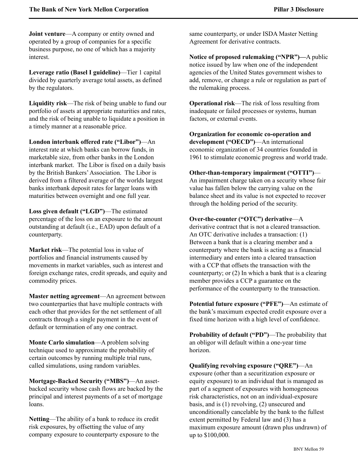**Joint venture**—A company or entity owned and operated by a group of companies for a specific business purpose, no one of which has a majority interest.

**Leverage ratio (Basel I guideline)**—Tier 1 capital divided by quarterly average total assets, as defined by the regulators.

**Liquidity risk**—The risk of being unable to fund our portfolio of assets at appropriate maturities and rates, and the risk of being unable to liquidate a position in a timely manner at a reasonable price.

**London interbank offered rate ("Libor")**—An interest rate at which banks can borrow funds, in marketable size, from other banks in the London interbank market. The Libor is fixed on a daily basis by the British Bankers'Association. The Libor is derived from a filtered average of the worlds largest banks interbank deposit rates for larger loans with maturities between overnight and one full year.

**Loss given default ("LGD")**—The estimated percentage of the loss on an exposure to the amount outstanding at default (i.e., EAD) upon default of a counterparty.

**Market risk**—The potential loss in value of portfolios and financial instruments caused by movements in market variables, such as interest and foreign exchange rates, credit spreads, and equity and commodity prices.

**Master netting agreement**—An agreement between two counterparties that have multiple contracts with each other that provides for the net settlement of all contracts through a single payment in the event of default or termination of any one contract.

**Monte Carlo simulation**—A problem solving technique used to approximate the probability of certain outcomes by running multiple trial runs, called simulations, using random variables.

**Mortgage-Backed Security ("MBS")**—An assetbacked security whose cash flows are backed by the principal and interest payments of a set of mortgage loans.

**Netting**—The ability of a bank to reduce its credit risk exposures, by offsetting the value of any company exposure to counterparty exposure to the same counterparty, or under ISDA Master Netting Agreement for derivative contracts.

**Notice of proposed rulemaking ("NPR")—**A public notice issued by law when one of the independent agencies of the United States government wishes to add, remove, or change a rule or regulation as part of the rulemaking process.

**Operational risk**—The risk of loss resulting from inadequate or failed processes or systems, human factors, or external events.

**Organization for economic co-operation and development ("OECD")**—An international economic organization of 34 countries founded in 1961 to stimulate economic progress and world trade.

## **Other-than-temporary impairment ("OTTI")**—

An impairment charge taken on a security whose fair value has fallen below the carrying value on the balance sheet and its value is not expected to recover through the holding period of the security.

## **Over-the-counter ("OTC") derivative**—A

derivative contract that is not a cleared transaction. An OTC derivative includes a transaction: (1) Between a bank that is a clearing member and a counterparty where the bank is acting as a financial intermediary and enters into a cleared transaction with a CCP that offsets the transaction with the counterparty; or (2) In which a bank that is a clearing member provides a CCP a guarantee on the performance of the counterparty to the transaction.

**Potential future exposure ("PFE")**—An estimate of the bank's maximum expected credit exposure over a fixed time horizon with a high level of confidence.

**Probability of default ("PD")**—The probability that an obligor will default within a one-year time horizon.

**Qualifying revolving exposure ("QRE")**—An exposure (other than a securitization exposure or equity exposure) to an individual that is managed as part of a segment of exposures with homogeneous risk characteristics, not on an individual-exposure basis, and is (1) revolving, (2) unsecured and unconditionally cancelable by the bank to the fullest extent permitted by Federal law and (3) has a maximum exposure amount (drawn plus undrawn) of up to \$100,000.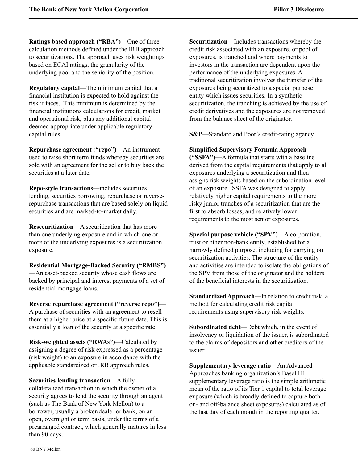**Ratings based approach ("RBA")**—One of three calculation methods defined under the IRB approach to securitizations. The approach uses risk weightings based on ECAI ratings, the granularity of the underlying pool and the seniority of the position.

**Regulatory capital**—The minimum capital that a financial institution is expected to hold against the risk it faces. This minimum is determined by the financial institutions calculations for credit, market and operational risk, plus any additional capital deemed appropriate under applicable regulatory capital rules.

**Repurchase agreement ("repo")**—An instrument used to raise short term funds whereby securities are sold with an agreement for the seller to buy back the securities at a later date.

**Repo-style transactions**—includes securities lending, securities borrowing, repurchase or reverserepurchase transactions that are based solely on liquid securities and are marked-to-market daily.

**Resecuritization**—A securitization that has more than one underlying exposure and in which one or more of the underlying exposures is a securitization exposure.

**Residential Mortgage-Backed Security ("RMBS")** —An asset-backed security whose cash flows are backed by principal and interest payments of a set of residential mortgage loans.

**Reverse repurchase agreement ("reverse repo")**— A purchase of securities with an agreement to resell them at a higher price at a specific future date. This is essentially a loan of the security at a specific rate.

**Risk-weighted assets ("RWAs")**—Calculated by assigning a degree of risk expressed as a percentage (risk weight) to an exposure in accordance with the applicable standardized or IRB approach rules.

**Securities lending transaction**—A fully

collateralized transaction in which the owner of a security agrees to lend the security through an agent (such as The Bank of New York Mellon) to a borrower, usually a broker/dealer or bank, on an open, overnight or term basis, under the terms of a prearranged contract, which generally matures in less than 90 days.

**Securitization**—Includes transactions whereby the credit risk associated with an exposure, or pool of exposures, is tranched and where payments to investors in the transaction are dependent upon the performance of the underlying exposures. A traditional securitization involves the transfer of the exposures being securitized to a special purpose entity which issues securities. In a synthetic securitization, the tranching is achieved by the use of credit derivatives and the exposures are not removed from the balance sheet of the originator.

**S&P**—Standard and Poor's credit-rating agency.

**Simplified Supervisory Formula Approach ("SSFA")**—A formula that starts with a baseline derived from the capital requirements that apply to all exposures underlying a securitization and then assigns risk weights based on the subordination level of an exposure. SSFA was designed to apply relatively higher capital requirements to the more risky junior tranches of a securitization that are the first to absorb losses, and relatively lower requirements to the most senior exposures.

**Special purpose vehicle ("SPV")**—A corporation, trust or other non-bank entity, established for a narrowly defined purpose, including for carrying on securitization activities. The structure of the entity and activities are intended to isolate the obligations of the SPV from those of the originator and the holders of the beneficial interests in the securitization.

**Standardized Approach**—In relation to credit risk, a method for calculating credit risk capital requirements using supervisory risk weights.

**Subordinated debt**—Debt which, in the event of insolvency or liquidation of the issuer, is subordinated to the claims of depositors and other creditors of the issuer.

**Supplementary leverage ratio**—An Advanced Approaches banking organization's Basel III supplementary leverage ratio is the simple arithmetic mean of the ratio of its Tier 1 capital to total leverage exposure (which is broadly defined to capture both on- and off-balance sheet exposures) calculated as of the last day of each month in the reporting quarter.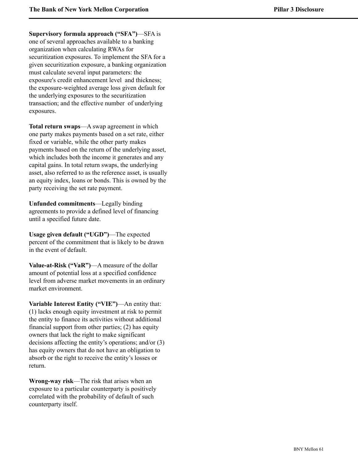**Supervisory formula approach ("SFA")**—SFA is one of several approaches available to a banking organization when calculating RWAs for securitization exposures. To implement the SFA for a given securitization exposure, a banking organization must calculate several input parameters: the exposure's credit enhancement level and thickness; the exposure-weighted average loss given default for the underlying exposures to the securitization transaction; and the effective number of underlying exposures.

**Total return swaps**—A swap agreement in which one party makes payments based on a set rate, either fixed or variable, while the other party makes payments based on the return of the underlying asset, which includes both the income it generates and any capital gains. In total return swaps, the underlying asset, also referred to as the reference asset, is usually an equity index, loans or bonds. This is owned by the party receiving the set rate payment.

**Unfunded commitments**—Legally binding agreements to provide a defined level of financing until a specified future date.

**Usage given default ("UGD")**—The expected percent of the commitment that is likely to be drawn in the event of default.

**Value-at-Risk ("VaR")**—A measure of the dollar amount of potential loss at a specified confidence level from adverse market movements in an ordinary market environment.

**Variable Interest Entity ("VIE")**—An entity that: (1) lacks enough equity investment at risk to permit the entity to finance its activities without additional financial support from other parties; (2) has equity owners that lack the right to make significant decisions affecting the entity's operations; and/or (3) has equity owners that do not have an obligation to absorb or the right to receive the entity's losses or return.

**Wrong-way risk**—The risk that arises when an exposure to a particular counterparty is positively correlated with the probability of default of such counterparty itself.